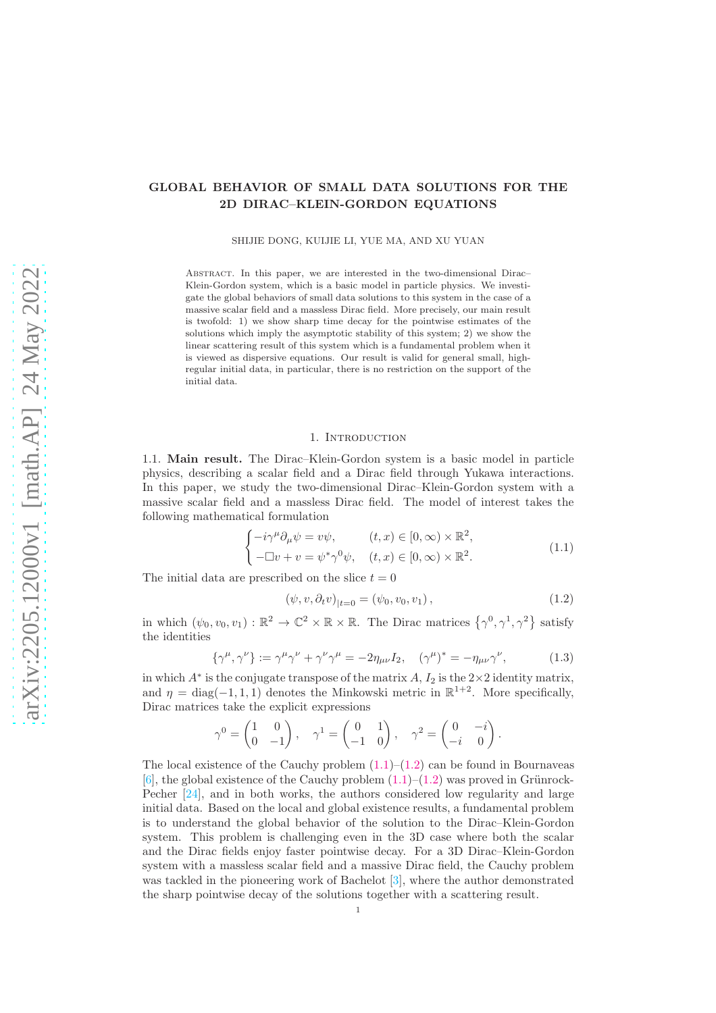## GLOBAL BEHAVIOR OF SMALL DATA SOLUTIONS FOR THE 2D DIRAC–KLEIN-GORDON EQUATIONS

SHIJIE DONG, KUIJIE LI, YUE MA, AND XU YUAN

Abstract. In this paper, we are interested in the two-dimensional Dirac– Klein-Gordon system, which is a basic model in particle physics. We investigate the global behaviors of small data solutions to this system in the case of a massive scalar field and a massless Dirac field. More precisely, our main result is twofold: 1) we show sharp time decay for the pointwise estimates of the solutions which imply the asymptotic stability of this system; 2) we show the linear scattering result of this system which is a fundamental problem when it is viewed as dispersive equations. Our result is valid for general small, highregular initial data, in particular, there is no restriction on the support of the initial data.

#### 1. INTRODUCTION

1.1. Main result. The Dirac–Klein-Gordon system is a basic model in particle physics, describing a scalar field and a Dirac field through Yukawa interactions. In this paper, we study the two-dimensional Dirac–Klein-Gordon system with a massive scalar field and a massless Dirac field. The model of interest takes the following mathematical formulation

<span id="page-0-0"></span>
$$
\begin{cases}\n-i\gamma^{\mu}\partial_{\mu}\psi = v\psi, & (t,x) \in [0,\infty) \times \mathbb{R}^{2}, \\
-\Box v + v = \psi^{*}\gamma^{0}\psi, & (t,x) \in [0,\infty) \times \mathbb{R}^{2}.\n\end{cases}
$$
\n(1.1)

The initial data are prescribed on the slice  $t = 0$ 

<span id="page-0-1"></span>
$$
(\psi, v, \partial_t v)_{|t=0} = (\psi_0, v_0, v_1), \qquad (1.2)
$$

in which  $(\psi_0, v_0, v_1) : \mathbb{R}^2 \to \mathbb{C}^2 \times \mathbb{R} \times \mathbb{R}$ . The Dirac matrices  $\{\gamma^0, \gamma^1, \gamma^2\}$  satisfy the identities

<span id="page-0-2"></span>
$$
\{\gamma^{\mu}, \gamma^{\nu}\} := \gamma^{\mu} \gamma^{\nu} + \gamma^{\nu} \gamma^{\mu} = -2\eta_{\mu\nu} I_2, \quad (\gamma^{\mu})^* = -\eta_{\mu\nu} \gamma^{\nu}, \tag{1.3}
$$

in which  $A^*$  is the conjugate transpose of the matrix  $A$ ,  $I_2$  is the  $2 \times 2$  identity matrix, and  $\eta = \text{diag}(-1, 1, 1)$  denotes the Minkowski metric in  $\mathbb{R}^{1+2}$ . More specifically, Dirac matrices take the explicit expressions

$$
\gamma^0 = \begin{pmatrix} 1 & 0 \\ 0 & -1 \end{pmatrix}, \quad \gamma^1 = \begin{pmatrix} 0 & 1 \\ -1 & 0 \end{pmatrix}, \quad \gamma^2 = \begin{pmatrix} 0 & -i \\ -i & 0 \end{pmatrix}.
$$

The local existence of the Cauchy problem  $(1.1)$ – $(1.2)$  can be found in Bournaveas [\[6\]](#page-39-0), the global existence of the Cauchy problem  $(1.1)$ – $(1.2)$  was proved in Grünrock-Pecher [\[24\]](#page-40-0), and in both works, the authors considered low regularity and large initial data. Based on the local and global existence results, a fundamental problem is to understand the global behavior of the solution to the Dirac–Klein-Gordon system. This problem is challenging even in the 3D case where both the scalar and the Dirac fields enjoy faster pointwise decay. For a 3D Dirac–Klein-Gordon system with a massless scalar field and a massive Dirac field, the Cauchy problem was tackled in the pioneering work of Bachelot [\[3\]](#page-39-1), where the author demonstrated the sharp pointwise decay of the solutions together with a scattering result.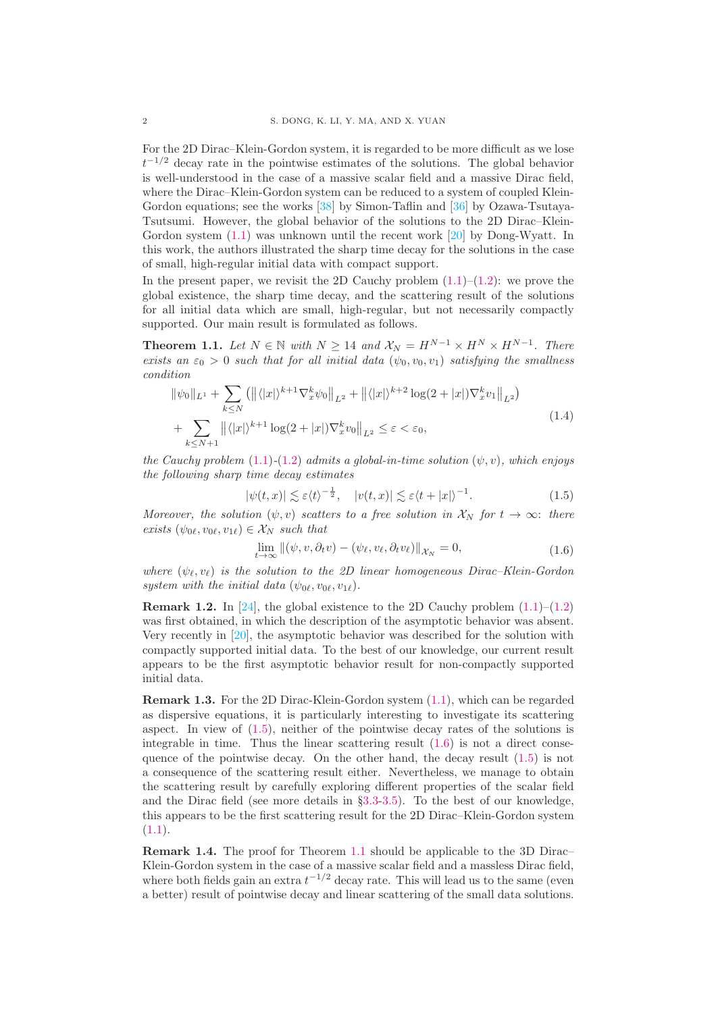For the 2D Dirac–Klein-Gordon system, it is regarded to be more difficult as we lose  $t^{-1/2}$  decay rate in the pointwise estimates of the solutions. The global behavior is well-understood in the case of a massive scalar field and a massive Dirac field, where the Dirac–Klein-Gordon system can be reduced to a system of coupled Klein-Gordon equations; see the works [\[38\]](#page-41-0) by Simon-Taflin and [\[36\]](#page-41-1) by Ozawa-Tsutaya-Tsutsumi. However, the global behavior of the solutions to the 2D Dirac–Klein-Gordon system [\(1.1\)](#page-0-0) was unknown until the recent work [\[20\]](#page-40-1) by Dong-Wyatt. In this work, the authors illustrated the sharp time decay for the solutions in the case of small, high-regular initial data with compact support.

In the present paper, we revisit the 2D Cauchy problem  $(1.1)$ – $(1.2)$ : we prove the global existence, the sharp time decay, and the scattering result of the solutions for all initial data which are small, high-regular, but not necessarily compactly supported. Our main result is formulated as follows.

<span id="page-1-2"></span>**Theorem 1.1.** Let  $N \in \mathbb{N}$  with  $N \ge 14$  and  $\mathcal{X}_N = H^{N-1} \times H^N \times H^{N-1}$ . There exists an  $\varepsilon_0 > 0$  such that for all initial data  $(\psi_0, v_0, v_1)$  satisfying the smallness condition

<span id="page-1-3"></span>
$$
\|\psi_0\|_{L^1} + \sum_{k \le N} \left( \|\langle |x| \rangle^{k+1} \nabla_x^k \psi_0 \|_{L^2} + \|\langle |x| \rangle^{k+2} \log(2+|x|) \nabla_x^k v_1 \|_{L^2} \right) + \sum_{k \le N+1} \|\langle |x| \rangle^{k+1} \log(2+|x|) \nabla_x^k v_0 \|_{L^2} \le \varepsilon < \varepsilon_0,
$$
\n(1.4)

the Cauchy problem [\(1.1\)](#page-0-0)-[\(1.2\)](#page-0-1) admits a global-in-time solution  $(\psi, v)$ , which enjoys the following sharp time decay estimates

<span id="page-1-0"></span>
$$
|\psi(t,x)| \lesssim \varepsilon \langle t \rangle^{-\frac{1}{2}}, \quad |v(t,x)| \lesssim \varepsilon \langle t+|x| \rangle^{-1}.
$$
 (1.5)

Moreover, the solution  $(\psi, v)$  scatters to a free solution in  $\mathcal{X}_N$  for  $t \to \infty$ : there exists  $(\psi_{0\ell}, v_{0\ell}, v_{1\ell}) \in \mathcal{X}_N$  such that

<span id="page-1-1"></span>
$$
\lim_{t \to \infty} ||(\psi, v, \partial_t v) - (\psi_\ell, v_\ell, \partial_t v_\ell)||_{\mathcal{X}_N} = 0,
$$
\n(1.6)

where  $(\psi_{\ell}, \psi_{\ell})$  is the solution to the 2D linear homogeneous Dirac–Klein-Gordon system with the initial data  $(\psi_{0\ell}, v_{0\ell}, v_{1\ell})$ .

**Remark 1.2.** In [\[24\]](#page-40-0), the global existence to the 2D Cauchy problem  $(1.1)$ – $(1.2)$ was first obtained, in which the description of the asymptotic behavior was absent. Very recently in [\[20\]](#page-40-1), the asymptotic behavior was described for the solution with compactly supported initial data. To the best of our knowledge, our current result appears to be the first asymptotic behavior result for non-compactly supported initial data.

Remark 1.3. For the 2D Dirac-Klein-Gordon system [\(1.1\)](#page-0-0), which can be regarded as dispersive equations, it is particularly interesting to investigate its scattering aspect. In view of  $(1.5)$ , neither of the pointwise decay rates of the solutions is integrable in time. Thus the linear scattering result [\(1.6\)](#page-1-1) is not a direct consequence of the pointwise decay. On the other hand, the decay result [\(1.5\)](#page-1-0) is not a consequence of the scattering result either. Nevertheless, we manage to obtain the scattering result by carefully exploring different properties of the scalar field and the Dirac field (see more details in  $\S 3.3-3.5$  $\S 3.3-3.5$  $\S 3.3-3.5$ ). To the best of our knowledge, this appears to be the first scattering result for the 2D Dirac–Klein-Gordon system  $(1.1).$  $(1.1).$ 

Remark 1.4. The proof for Theorem [1.1](#page-1-2) should be applicable to the 3D Dirac– Klein-Gordon system in the case of a massive scalar field and a massless Dirac field, where both fields gain an extra  $t^{-1/2}$  decay rate. This will lead us to the same (even a better) result of pointwise decay and linear scattering of the small data solutions.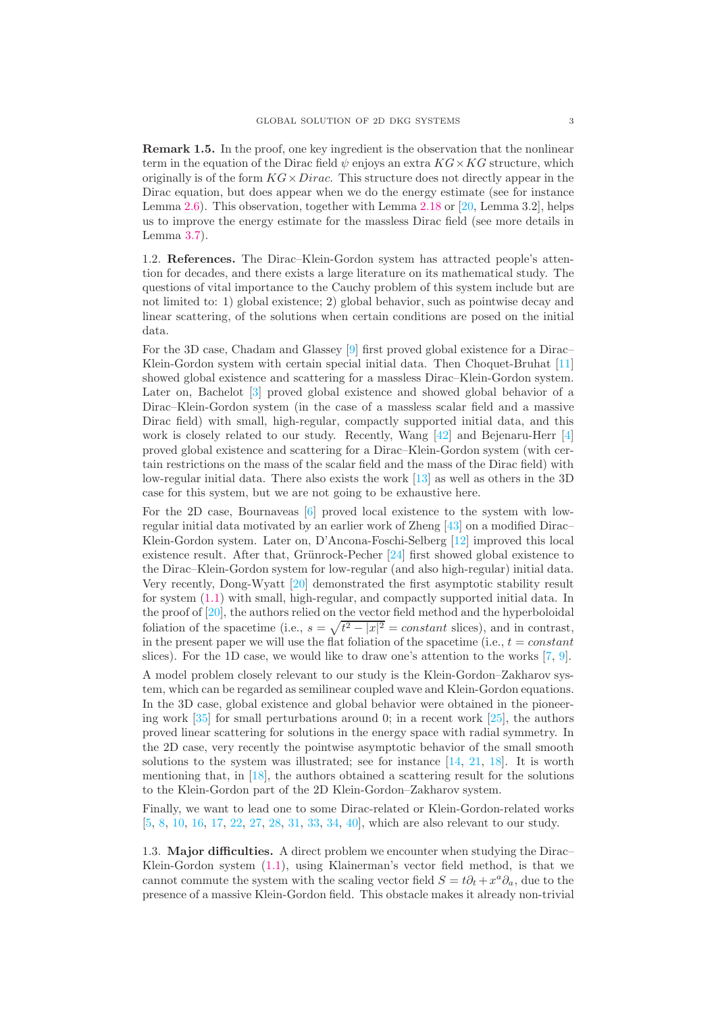Remark 1.5. In the proof, one key ingredient is the observation that the nonlinear term in the equation of the Dirac field  $\psi$  enjoys an extra  $KG \times KG$  structure, which originally is of the form  $KG \times Dirac$ . This structure does not directly appear in the Dirac equation, but does appear when we do the energy estimate (see for instance Lemma [2.6\)](#page-8-0). This observation, together with Lemma [2.18](#page-16-0) or [\[20,](#page-40-1) Lemma 3.2], helps us to improve the energy estimate for the massless Dirac field (see more details in Lemma [3.7\)](#page-31-0).

1.2. References. The Dirac–Klein-Gordon system has attracted people's attention for decades, and there exists a large literature on its mathematical study. The questions of vital importance to the Cauchy problem of this system include but are not limited to: 1) global existence; 2) global behavior, such as pointwise decay and linear scattering, of the solutions when certain conditions are posed on the initial data.

For the 3D case, Chadam and Glassey [\[9\]](#page-40-2) first proved global existence for a Dirac– Klein-Gordon system with certain special initial data. Then Choquet-Bruhat [\[11\]](#page-40-3) showed global existence and scattering for a massless Dirac–Klein-Gordon system. Later on, Bachelot [\[3\]](#page-39-1) proved global existence and showed global behavior of a Dirac–Klein-Gordon system (in the case of a massless scalar field and a massive Dirac field) with small, high-regular, compactly supported initial data, and this work is closely related to our study. Recently, Wang [\[42\]](#page-41-2) and Bejenaru-Herr [\[4\]](#page-39-2) proved global existence and scattering for a Dirac–Klein-Gordon system (with certain restrictions on the mass of the scalar field and the mass of the Dirac field) with low-regular initial data. There also exists the work [\[13\]](#page-40-4) as well as others in the 3D case for this system, but we are not going to be exhaustive here.

For the 2D case, Bournaveas [\[6\]](#page-39-0) proved local existence to the system with lowregular initial data motivated by an earlier work of Zheng [\[43\]](#page-41-3) on a modified Dirac– Klein-Gordon system. Later on, D'Ancona-Foschi-Selberg [\[12\]](#page-40-5) improved this local existence result. After that, Grünrock-Pecher  $[24]$  first showed global existence to the Dirac–Klein-Gordon system for low-regular (and also high-regular) initial data. Very recently, Dong-Wyatt [\[20\]](#page-40-1) demonstrated the first asymptotic stability result for system [\(1.1\)](#page-0-0) with small, high-regular, and compactly supported initial data. In the proof of [\[20\]](#page-40-1), the authors relied on the vector field method and the hyperboloidal foliation of the spacetime (i.e.,  $s = \sqrt{t^2 - |x|^2} = constant$  slices), and in contrast, in the present paper we will use the flat foliation of the spacetime (i.e.,  $t = constant$ ) slices). For the 1D case, we would like to draw one's attention to the works  $[7, 9]$  $[7, 9]$ .

A model problem closely relevant to our study is the Klein-Gordon–Zakharov system, which can be regarded as semilinear coupled wave and Klein-Gordon equations. In the 3D case, global existence and global behavior were obtained in the pioneering work  $[35]$  for small perturbations around 0; in a recent work  $[25]$ , the authors proved linear scattering for solutions in the energy space with radial symmetry. In the 2D case, very recently the pointwise asymptotic behavior of the small smooth solutions to the system was illustrated; see for instance  $[14, 21, 18]$  $[14, 21, 18]$  $[14, 21, 18]$  $[14, 21, 18]$ . It is worth mentioning that, in  $[18]$ , the authors obtained a scattering result for the solutions to the Klein-Gordon part of the 2D Klein-Gordon–Zakharov system.

Finally, we want to lead one to some Dirac-related or Klein-Gordon-related works [\[5,](#page-39-4) [8,](#page-39-5) [10,](#page-40-11) [16,](#page-40-12) [17,](#page-40-13) [22,](#page-40-14) [27,](#page-40-15) [28,](#page-40-16) [31,](#page-40-17) [33,](#page-40-18) [34,](#page-40-19) [40\]](#page-41-4), which are also relevant to our study.

1.3. Major difficulties. A direct problem we encounter when studying the Dirac– Klein-Gordon system [\(1.1\)](#page-0-0), using Klainerman's vector field method, is that we cannot commute the system with the scaling vector field  $S = t\partial_t + x^a \partial_a$ , due to the presence of a massive Klein-Gordon field. This obstacle makes it already non-trivial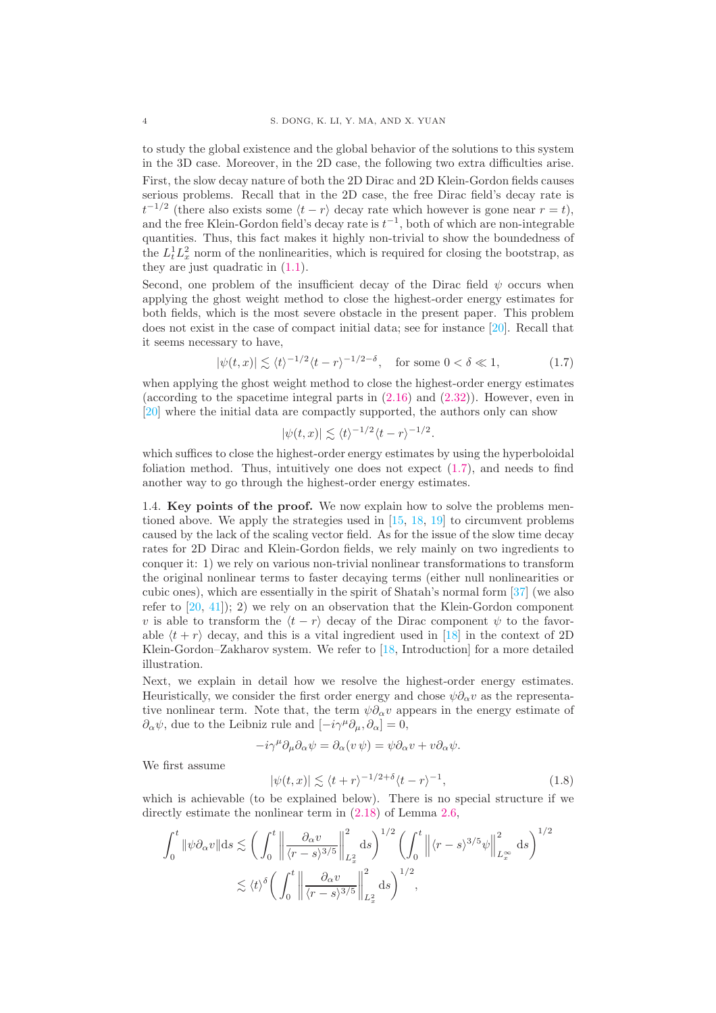to study the global existence and the global behavior of the solutions to this system in the 3D case. Moreover, in the 2D case, the following two extra difficulties arise.

First, the slow decay nature of both the 2D Dirac and 2D Klein-Gordon fields causes serious problems. Recall that in the 2D case, the free Dirac field's decay rate is  $t^{-1/2}$  (there also exists some  $\langle t - r \rangle$  decay rate which however is gone near  $r = t$ ), and the free Klein-Gordon field's decay rate is  $t^{-1}$ , both of which are non-integrable quantities. Thus, this fact makes it highly non-trivial to show the boundedness of the  $L_t^1 L_x^2$  norm of the nonlinearities, which is required for closing the bootstrap, as they are just quadratic in [\(1.1\)](#page-0-0).

Second, one problem of the insufficient decay of the Dirac field  $\psi$  occurs when applying the ghost weight method to close the highest-order energy estimates for both fields, which is the most severe obstacle in the present paper. This problem does not exist in the case of compact initial data; see for instance [\[20\]](#page-40-1). Recall that it seems necessary to have,

<span id="page-3-0"></span>
$$
|\psi(t,x)| \lesssim \langle t \rangle^{-1/2} \langle t-r \rangle^{-1/2-\delta}, \quad \text{for some } 0 < \delta \ll 1,
$$
 (1.7)

when applying the ghost weight method to close the highest-order energy estimates (according to the spacetime integral parts in [\(2.16\)](#page-8-1) and [\(2.32\)](#page-10-0)). However, even in [\[20\]](#page-40-1) where the initial data are compactly supported, the authors only can show

$$
|\psi(t,x)| \lesssim \langle t \rangle^{-1/2} \langle t-r \rangle^{-1/2}.
$$

which suffices to close the highest-order energy estimates by using the hyperboloidal foliation method. Thus, intuitively one does not expect [\(1.7\)](#page-3-0), and needs to find another way to go through the highest-order energy estimates.

<span id="page-3-2"></span>1.4. Key points of the proof. We now explain how to solve the problems mentioned above. We apply the strategies used in [\[15,](#page-40-20) [18,](#page-40-10) [19\]](#page-40-21) to circumvent problems caused by the lack of the scaling vector field. As for the issue of the slow time decay rates for 2D Dirac and Klein-Gordon fields, we rely mainly on two ingredients to conquer it: 1) we rely on various non-trivial nonlinear transformations to transform the original nonlinear terms to faster decaying terms (either null nonlinearities or cubic ones), which are essentially in the spirit of Shatah's normal form [\[37\]](#page-41-5) (we also refer to [\[20,](#page-40-1) [41\]](#page-41-6)); 2) we rely on an observation that the Klein-Gordon component v is able to transform the  $\langle t - r \rangle$  decay of the Dirac component  $\psi$  to the favorable  $\langle t + r \rangle$  decay, and this is a vital ingredient used in [\[18\]](#page-40-10) in the context of 2D Klein-Gordon–Zakharov system. We refer to [\[18,](#page-40-10) Introduction] for a more detailed illustration.

Next, we explain in detail how we resolve the highest-order energy estimates. Heuristically, we consider the first order energy and chose  $\psi \partial_{\alpha} v$  as the representative nonlinear term. Note that, the term  $\psi \partial_\alpha v$  appears in the energy estimate of  $\partial_{\alpha}\psi$ , due to the Leibniz rule and  $[-i\gamma^{\mu}\partial_{\mu}, \partial_{\alpha}]=0$ ,

$$
-i\gamma^{\mu}\partial_{\mu}\partial_{\alpha}\psi = \partial_{\alpha}(v\,\psi) = \psi\partial_{\alpha}v + v\partial_{\alpha}\psi.
$$

We first assume

<span id="page-3-1"></span>
$$
|\psi(t,x)| \lesssim \langle t+r \rangle^{-1/2+\delta} \langle t-r \rangle^{-1},\tag{1.8}
$$

which is achievable (to be explained below). There is no special structure if we directly estimate the nonlinear term in  $(2.18)$  of Lemma [2.6,](#page-8-0)

$$
\int_0^t \|\psi \partial_\alpha v\| ds \lesssim \left(\int_0^t \left\|\frac{\partial_\alpha v}{\langle r-s\rangle^{3/5}}\right\|_{L_x^2}^2 ds\right)^{1/2} \left(\int_0^t \left\|\langle r-s\rangle^{3/5} \psi\right\|_{L_x^\infty}^2 ds\right)^{1/2} \lesssim \langle t\rangle^\delta \left(\int_0^t \left\|\frac{\partial_\alpha v}{\langle r-s\rangle^{3/5}}\right\|_{L_x^2}^2 ds\right)^{1/2},
$$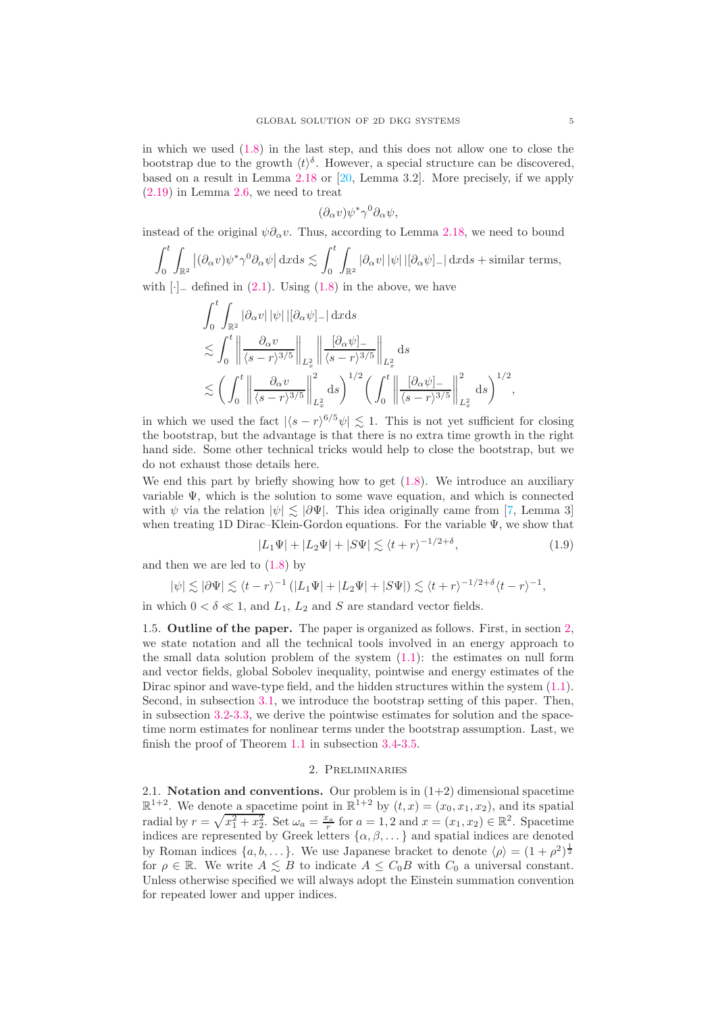in which we used [\(1.8\)](#page-3-1) in the last step, and this does not allow one to close the bootstrap due to the growth  $\langle t \rangle^{\delta}$ . However, a special structure can be discovered, based on a result in Lemma [2.18](#page-16-0) or [\[20,](#page-40-1) Lemma 3.2]. More precisely, if we apply [\(2.19\)](#page-8-3) in Lemma [2.6,](#page-8-0) we need to treat

$$
(\partial_\alpha v)\psi^*\gamma^0\partial_\alpha\psi,
$$

instead of the original  $\psi \partial_{\alpha} v$ . Thus, according to Lemma [2.18,](#page-16-0) we need to bound

$$
\int_0^t \int_{\mathbb{R}^2} |(\partial_\alpha v)\psi^*\gamma^0 \partial_\alpha \psi| \, \mathrm{d}x \mathrm{d}s \lesssim \int_0^t \int_{\mathbb{R}^2} |\partial_\alpha v| \, |\psi| \, |[\partial_\alpha \psi]_-\, \mathrm{d}x \mathrm{d}s + \text{similar terms},
$$

with  $\left| \cdot \right|$  defined in [\(2.1\)](#page-5-0). Using [\(1.8\)](#page-3-1) in the above, we have

$$
\int_0^t \int_{\mathbb{R}^2} |\partial_\alpha v| |\psi| | [\partial_\alpha \psi]_ - | \, dx ds
$$
  
\n
$$
\lesssim \int_0^t \left\| \frac{\partial_\alpha v}{\langle s - r \rangle^{3/5}} \right\|_{L_x^2} \left\| \frac{[\partial_\alpha \psi]_ -}{\langle s - r \rangle^{3/5}} \right\|_{L_x^2} ds
$$
  
\n
$$
\lesssim \left( \int_0^t \left\| \frac{\partial_\alpha v}{\langle s - r \rangle^{3/5}} \right\|_{L_x^2}^2 ds \right)^{1/2} \left( \int_0^t \left\| \frac{[\partial_\alpha \psi]_ -}{\langle s - r \rangle^{3/5}} \right\|_{L_x^2}^2 ds \right)^{1/2},
$$

in which we used the fact  $|\langle s - r \rangle^{6/5} \psi| \lesssim 1$ . This is not yet sufficient for closing the bootstrap, but the advantage is that there is no extra time growth in the right hand side. Some other technical tricks would help to close the bootstrap, but we do not exhaust those details here.

We end this part by briefly showing how to get  $(1.8)$ . We introduce an auxiliary variable  $\Psi$ , which is the solution to some wave equation, and which is connected with  $\psi$  via the relation  $|\psi| \leq |\partial \Psi|$ . This idea originally came from [\[7,](#page-39-3) Lemma 3] when treating 1D Dirac–Klein-Gordon equations. For the variable  $\Psi$ , we show that

$$
|L_1\Psi| + |L_2\Psi| + |S\Psi| \lesssim \langle t+r \rangle^{-1/2+\delta},\tag{1.9}
$$

and then we are led to  $(1.8)$  by

$$
|\psi| \lesssim |\partial \Psi| \lesssim \langle t-r \rangle^{-1} \left( |L_1 \Psi| + |L_2 \Psi| + |S \Psi| \right) \lesssim \langle t+r \rangle^{-1/2+\delta} \langle t-r \rangle^{-1},
$$

in which  $0 < \delta \ll 1$ , and  $L_1$ ,  $L_2$  and S are standard vector fields.

1.5. Outline of the paper. The paper is organized as follows. First, in section [2,](#page-4-0) we state notation and all the technical tools involved in an energy approach to the small data solution problem of the system  $(1.1)$ : the estimates on null form and vector fields, global Sobolev inequality, pointwise and energy estimates of the Dirac spinor and wave-type field, and the hidden structures within the system [\(1.1\)](#page-0-0). Second, in subsection [3.1,](#page-16-1) we introduce the bootstrap setting of this paper. Then, in subsection [3.2-](#page-17-0)[3.3,](#page-19-0) we derive the pointwise estimates for solution and the spacetime norm estimates for nonlinear terms under the bootstrap assumption. Last, we finish the proof of Theorem [1.1](#page-1-2) in subsection [3.4-](#page-34-0)[3.5.](#page-38-0)

## 2. Preliminaries

<span id="page-4-0"></span>2.1. Notation and conventions. Our problem is in  $(1+2)$  dimensional spacetime  $\mathbb{R}^{1+2}$ . We denote a spacetime point in  $\mathbb{R}^{1+2}$  by  $(t, x) = (x_0, x_1, x_2)$ , and its spatial radial by  $r = \sqrt{x_1^2 + x_2^2}$ . Set  $\omega_a = \frac{x_a}{r}$  for  $a = 1, 2$  and  $x = (x_1, x_2) \in \mathbb{R}^2$ . Spacetime indices are represented by Greek letters  $\{\alpha, \beta, \dots\}$  and spatial indices are denoted by Roman indices  $\{a, b, \dots\}$ . We use Japanese bracket to denote  $\langle \rho \rangle = (1 + \rho^2)^{\frac{1}{2}}$ for  $\rho \in \mathbb{R}$ . We write  $A \leq B$  to indicate  $A \leq C_0 B$  with  $C_0$  a universal constant. Unless otherwise specified we will always adopt the Einstein summation convention for repeated lower and upper indices.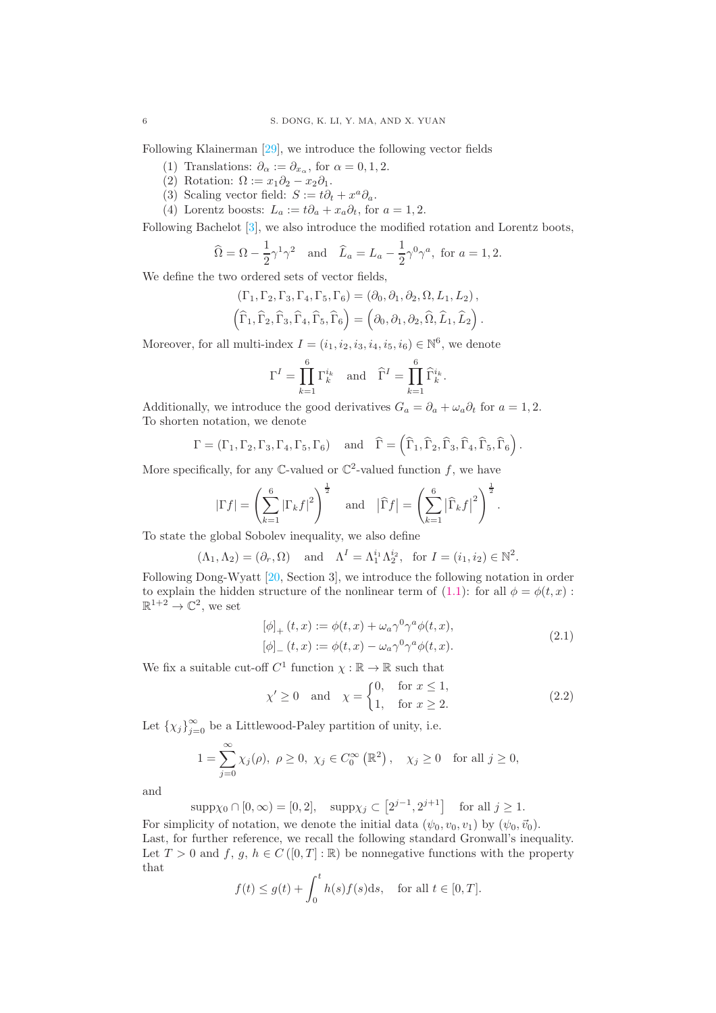Following Klainerman [\[29\]](#page-40-22), we introduce the following vector fields

- (1) Translations:  $\partial_{\alpha} := \partial_{x_{\alpha}}$ , for  $\alpha = 0, 1, 2$ .
- (2) Rotation:  $\Omega := x_1 \partial_2 x_2 \partial_1$ .
- (3) Scaling vector field:  $S := t\partial_t + x^a \partial_a$ .
- (4) Lorentz boosts:  $L_a := t\partial_a + x_a \partial_t$ , for  $a = 1, 2$ .

Following Bachelot [\[3\]](#page-39-1), we also introduce the modified rotation and Lorentz boots,

$$
\widehat{\Omega} = \Omega - \frac{1}{2}\gamma^1\gamma^2 \quad \text{and} \quad \widehat{L}_a = L_a - \frac{1}{2}\gamma^0\gamma^a, \text{ for } a = 1, 2.
$$

We define the two ordered sets of vector fields,

$$
(\Gamma_1, \Gamma_2, \Gamma_3, \Gamma_4, \Gamma_5, \Gamma_6) = (\partial_0, \partial_1, \partial_2, \Omega, L_1, L_2),
$$
  

$$
(\widehat{\Gamma}_1, \widehat{\Gamma}_2, \widehat{\Gamma}_3, \widehat{\Gamma}_4, \widehat{\Gamma}_5, \widehat{\Gamma}_6) = (\partial_0, \partial_1, \partial_2, \widehat{\Omega}, \widehat{L}_1, \widehat{L}_2).
$$

Moreover, for all multi-index  $I = (i_1, i_2, i_3, i_4, i_5, i_6) \in \mathbb{N}^6$ , we denote

$$
\Gamma^I = \prod_{k=1}^6 \Gamma_k^{i_k} \quad \text{and} \quad \widehat{\Gamma}^I = \prod_{k=1}^6 \widehat{\Gamma}_k^{i_k}
$$

Additionally, we introduce the good derivatives  $G_a = \partial_a + \omega_a \partial_t$  for  $a = 1, 2$ . To shorten notation, we denote

$$
\Gamma=(\Gamma_1,\Gamma_2,\Gamma_3,\Gamma_4,\Gamma_5,\Gamma_6)\quad\text{ and}\quad\widehat{\Gamma}=\left(\widehat{\Gamma}_1,\widehat{\Gamma}_2,\widehat{\Gamma}_3,\widehat{\Gamma}_4,\widehat{\Gamma}_5,\widehat{\Gamma}_6\right).
$$

More specifically, for any  $\mathbb{C}$ -valued or  $\mathbb{C}^2$ -valued function f, we have

$$
|\Gamma f| = \left(\sum_{k=1}^{6} |\Gamma_k f|^2\right)^{\frac{1}{2}} \quad \text{and} \quad |\widehat{\Gamma} f| = \left(\sum_{k=1}^{6} |\widehat{\Gamma}_k f|^2\right)^{\frac{1}{2}}.
$$

To state the global Sobolev inequality, we also define

$$
(\Lambda_1, \Lambda_2) = (\partial_r, \Omega)
$$
 and  $\Lambda^I = \Lambda_1^{i_1} \Lambda_2^{i_2}$ , for  $I = (i_1, i_2) \in \mathbb{N}^2$ .

Following Dong-Wyatt [\[20,](#page-40-1) Section 3], we introduce the following notation in order to explain the hidden structure of the nonlinear term of [\(1.1\)](#page-0-0): for all  $\phi = \phi(t, x)$ :  $\mathbb{R}^{1+2} \to \mathbb{C}^2$ , we set

<span id="page-5-0"></span>
$$
[\phi]_+(t,x) := \phi(t,x) + \omega_a \gamma^0 \gamma^a \phi(t,x),
$$
  

$$
[\phi]_-(t,x) := \phi(t,x) - \omega_a \gamma^0 \gamma^a \phi(t,x).
$$
 (2.1)

.

We fix a suitable cut-off  $C^1$  function  $\chi : \mathbb{R} \to \mathbb{R}$  such that

<span id="page-5-1"></span>
$$
\chi' \ge 0 \quad \text{and} \quad \chi = \begin{cases} 0, & \text{for } x \le 1, \\ 1, & \text{for } x \ge 2. \end{cases} \tag{2.2}
$$

Let  $\{\chi_j\}_{j=0}^{\infty}$  be a Littlewood-Paley partition of unity, i.e.

$$
1 = \sum_{j=0}^{\infty} \chi_j(\rho), \ \rho \ge 0, \ \chi_j \in C_0^{\infty}(\mathbb{R}^2), \quad \chi_j \ge 0 \quad \text{for all } j \ge 0,
$$

and

$$
supp\chi_0 \cap [0, \infty) = [0, 2], supp\chi_j \subset [2^{j-1}, 2^{j+1}] \text{ for all } j \ge 1.
$$

For simplicity of notation, we denote the initial data  $(\psi_0, v_0, v_1)$  by  $(\psi_0, \vec{v}_0)$ . Last, for further reference, we recall the following standard Gronwall's inequality. Let  $T > 0$  and  $f, g, h \in C([0, T] : \mathbb{R})$  be nonnegative functions with the property that

$$
f(t) \le g(t) + \int_0^t h(s)f(s)ds, \quad \text{for all } t \in [0, T].
$$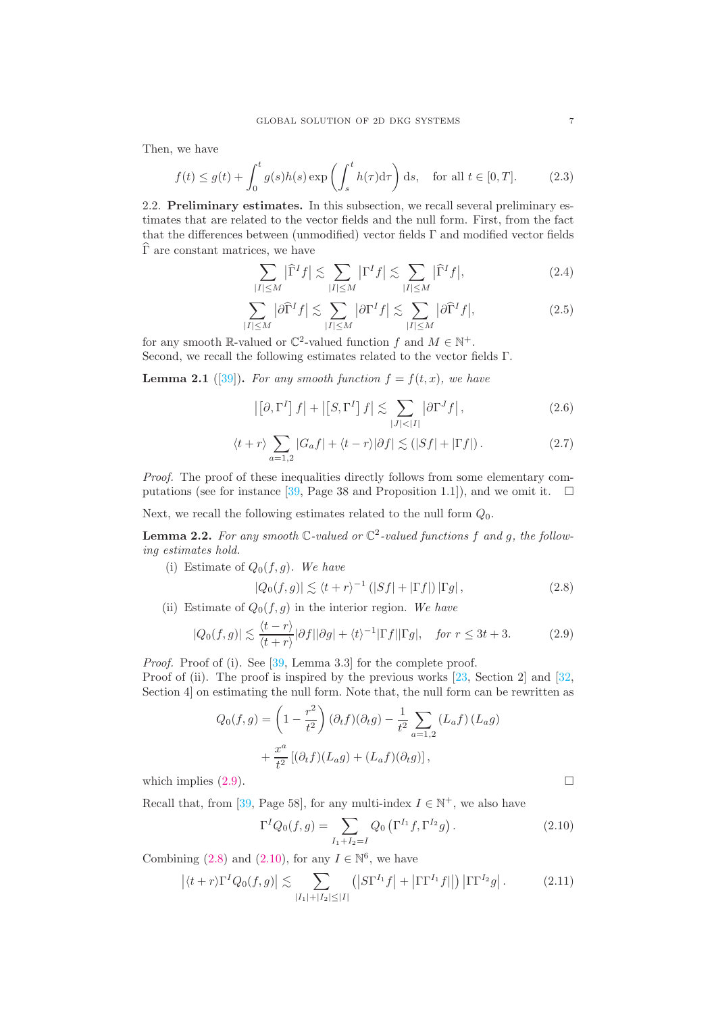Then, we have

<span id="page-6-7"></span>
$$
f(t) \le g(t) + \int_0^t g(s)h(s) \exp\left(\int_s^t h(\tau)d\tau\right) ds, \quad \text{for all } t \in [0, T].
$$
 (2.3)

2.2. Preliminary estimates. In this subsection, we recall several preliminary estimates that are related to the vector fields and the null form. First, from the fact that the differences between (unmodified) vector fields Γ and modified vector fields  $\widehat{\Gamma}$  are constant matrices, we have

<span id="page-6-3"></span>
$$
\sum_{|I| \le M} |\widehat{\Gamma}^I f| \lesssim \sum_{|I| \le M} |\Gamma^I f| \lesssim \sum_{|I| \le M} |\widehat{\Gamma}^I f|,\tag{2.4}
$$

<span id="page-6-4"></span>
$$
\sum_{|I| \le M} |\partial \widehat{\Gamma}^I f| \lesssim \sum_{|I| \le M} |\partial \Gamma^I f| \lesssim \sum_{|I| \le M} |\partial \widehat{\Gamma}^I f|,\tag{2.5}
$$

for any smooth  $\mathbb{R}$ -valued or  $\mathbb{C}^2$ -valued function f and  $M \in \mathbb{N}^+$ . Second, we recall the following estimates related to the vector fields Γ.

**Lemma 2.1** ([\[39\]](#page-41-7)). For any smooth function  $f = f(t, x)$ , we have

<span id="page-6-5"></span>
$$
\left| \left[ \partial, \Gamma^{I} \right] f \right| + \left| \left[ S, \Gamma^{I} \right] f \right| \lesssim \sum_{|J| < |I|} \left| \partial \Gamma^{J} f \right|, \tag{2.6}
$$

<span id="page-6-6"></span>
$$
\langle t+r \rangle \sum_{a=1,2} |G_a f| + \langle t-r \rangle |\partial f| \lesssim (|Sf| + |\Gamma f|).
$$
 (2.7)

Proof. The proof of these inequalities directly follows from some elementary com-putations (see for instance [\[39,](#page-41-7) Page 38 and Proposition 1.1]), and we omit it.  $\square$ 

Next, we recall the following estimates related to the null form  $Q_0$ .

**Lemma 2.2.** For any smooth  $\mathbb{C}$ -valued or  $\mathbb{C}^2$ -valued functions f and g, the following estimates hold.

(i) Estimate of  $Q_0(f, g)$ . We have

<span id="page-6-1"></span>
$$
|Q_0(f,g)| \lesssim \langle t+r \rangle^{-1} \left( |Sf| + |\Gamma f| \right) |\Gamma g|, \tag{2.8}
$$

(ii) Estimate of  $Q_0(f, g)$  in the interior region. We have

<span id="page-6-0"></span>
$$
|Q_0(f,g)| \lesssim \frac{\langle t-r \rangle}{\langle t+r \rangle} |\partial f||\partial g| + \langle t \rangle^{-1} |\Gamma f||\Gamma g|, \quad \text{for } r \le 3t+3. \tag{2.9}
$$

Proof. Proof of (i). See [\[39,](#page-41-7) Lemma 3.3] for the complete proof.

Proof of (ii). The proof is inspired by the previous works [\[23,](#page-40-23) Section 2] and [\[32,](#page-40-24) Section 4] on estimating the null form. Note that, the null form can be rewritten as

$$
Q_0(f,g) = \left(1 - \frac{r^2}{t^2}\right)(\partial_t f)(\partial_t g) - \frac{1}{t^2} \sum_{a=1,2} (L_a f)(L_a g)
$$

$$
+ \frac{x^a}{t^2} [(\partial_t f)(L_a g) + (L_a f)(\partial_t g)],
$$

which implies  $(2.9)$ .

Recall that, from [\[39,](#page-41-7) Page 58], for any multi-index  $I \in \mathbb{N}^+$ , we also have

<span id="page-6-2"></span>
$$
\Gamma^{I}Q_{0}(f,g) = \sum_{I_{1}+I_{2}=I} Q_{0} \left( \Gamma^{I_{1}}f, \Gamma^{I_{2}}g \right).
$$
 (2.10)

Combining [\(2.8\)](#page-6-1) and [\(2.10\)](#page-6-2), for any  $I \in \mathbb{N}^6$ , we have

<span id="page-6-8"></span>
$$
\left| \langle t+r \rangle \Gamma^I Q_0(f,g) \right| \lesssim \sum_{|I_1|+|I_2| \leq |I|} \left( \left| S \Gamma^{I_1} f \right| + \left| \Gamma \Gamma^{I_1} f \right| \right) \left| \Gamma \Gamma^{I_2} g \right|.
$$
 (2.11)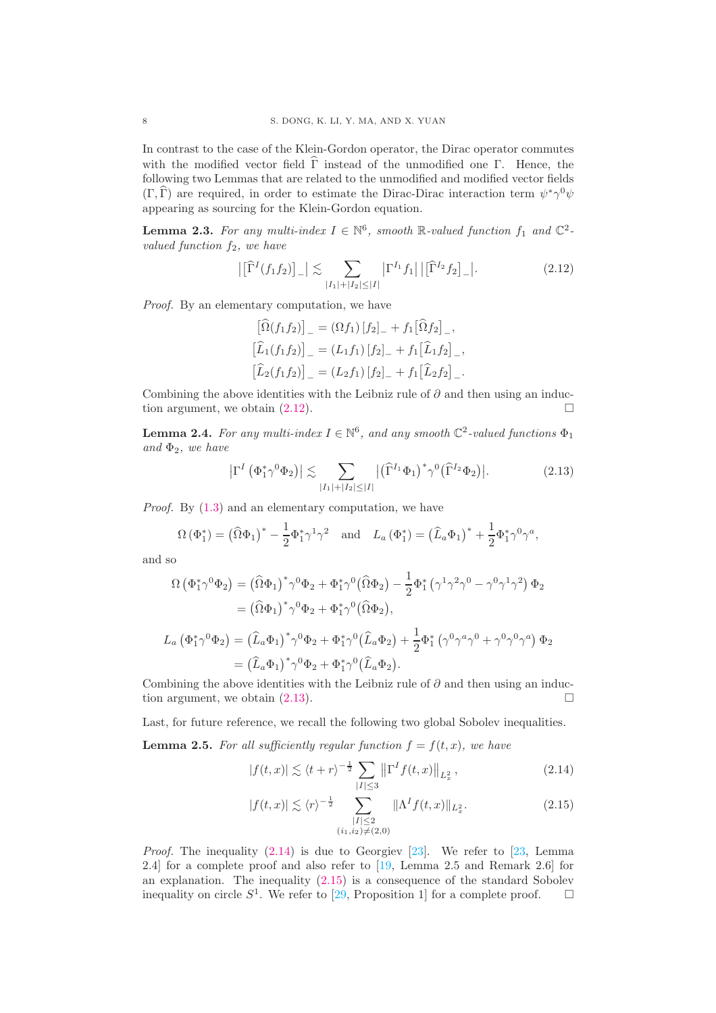In contrast to the case of the Klein-Gordon operator, the Dirac operator commutes with the modified vector field  $\widehat{\Gamma}$  instead of the unmodified one  $\Gamma$ . Hence, the following two Lemmas that are related to the unmodified and modified vector fields  $(\Gamma, \hat{\Gamma})$  are required, in order to estimate the Dirac-Dirac interaction term  $\psi^* \gamma^0 \psi$ appearing as sourcing for the Klein-Gordon equation.

**Lemma 2.3.** For any multi-index  $I \in \mathbb{N}^6$ , smooth R-valued function  $f_1$  and  $\mathbb{C}^2$ valued function  $f_2$ , we have

<span id="page-7-0"></span>
$$
\left| \left[ \widehat{\Gamma}^{I}(f_{1}f_{2}) \right]_{-} \right| \lesssim \sum_{|I_{1}| + |I_{2}| \leq |I|} \left| \Gamma^{I_{1}} f_{1} \right| \left| \left[ \widehat{\Gamma}^{I_{2}} f_{2} \right]_{-} \right|.
$$
 (2.12)

Proof. By an elementary computation, we have

$$
\[\widehat{\Omega}(f_1 f_2)\]_- = (\Omega f_1) [f_2]_- + f_1 [\widehat{\Omega} f_2]_- ,\n[\widehat{L}_1(f_1 f_2)]_- = (L_1 f_1) [f_2]_- + f_1 [\widehat{L}_1 f_2]_- ,\n[\widehat{L}_2(f_1 f_2)]_- = (L_2 f_1) [f_2]_- + f_1 [\widehat{L}_2 f_2]_-.
$$

Combining the above identities with the Leibniz rule of  $\partial$  and then using an induction argument, we obtain  $(2.12)$ .

**Lemma 2.4.** For any multi-index  $I \in \mathbb{N}^6$ , and any smooth  $\mathbb{C}^2$ -valued functions  $\Phi_1$ and  $\Phi_2$ , we have

<span id="page-7-1"></span>
$$
\left|\Gamma^{I}\left(\Phi_{1}^{*}\gamma^{0}\Phi_{2}\right)\right| \lesssim \sum_{|I_{1}|+|I_{2}| \leq |I|} \left|\left(\widehat{\Gamma}^{I_{1}}\Phi_{1}\right)^{*}\gamma^{0}\left(\widehat{\Gamma}^{I_{2}}\Phi_{2}\right)\right|.
$$
 (2.13)

Proof. By  $(1.3)$  and an elementary computation, we have

$$
\Omega\left(\Phi_1^*\right) = \left(\widehat{\Omega}\Phi_1\right)^* - \frac{1}{2}\Phi_1^*\gamma^1\gamma^2 \quad \text{and} \quad L_a\left(\Phi_1^*\right) = \left(\widehat{L}_a\Phi_1\right)^* + \frac{1}{2}\Phi_1^*\gamma^0\gamma^a,
$$

and so

$$
\Omega\left(\Phi_1^*\gamma^0\Phi_2\right) = \left(\widehat{\Omega}\Phi_1\right)^*\gamma^0\Phi_2 + \Phi_1^*\gamma^0\left(\widehat{\Omega}\Phi_2\right) - \frac{1}{2}\Phi_1^*\left(\gamma^1\gamma^2\gamma^0 - \gamma^0\gamma^1\gamma^2\right)\Phi_2
$$
  
\n
$$
= \left(\widehat{\Omega}\Phi_1\right)^*\gamma^0\Phi_2 + \Phi_1^*\gamma^0\left(\widehat{\Omega}\Phi_2\right),
$$
  
\n
$$
L_a\left(\Phi_1^*\gamma^0\Phi_2\right) = \left(\widehat{L}_a\Phi_1\right)^*\gamma^0\Phi_2 + \Phi_1^*\gamma^0\left(\widehat{L}_a\Phi_2\right) + \frac{1}{2}\Phi_1^*\left(\gamma^0\gamma^a\gamma^0 + \gamma^0\gamma^0\gamma^a\right)\Phi_2
$$
  
\n
$$
= \left(\widehat{L}_a\Phi_1\right)^*\gamma^0\Phi_2 + \Phi_1^*\gamma^0\left(\widehat{L}_a\Phi_2\right).
$$

Combining the above identities with the Leibniz rule of  $\partial$  and then using an induction argument, we obtain  $(2.13)$ .

Last, for future reference, we recall the following two global Sobolev inequalities.

<span id="page-7-4"></span>**Lemma 2.5.** For all sufficiently regular function  $f = f(t, x)$ , we have

<span id="page-7-2"></span>
$$
|f(t,x)| \lesssim \langle t+r \rangle^{-\frac{1}{2}} \sum_{|I| \le 3} \left\| \Gamma^I f(t,x) \right\|_{L^2_x}, \tag{2.14}
$$

<span id="page-7-3"></span>
$$
|f(t,x)| \lesssim \langle r \rangle^{-\frac{1}{2}} \sum_{\substack{|I| \le 2 \\ (i_1, i_2) \neq (2,0)}} \|\Lambda^I f(t,x)\|_{L_x^2}.
$$
 (2.15)

*Proof.* The inequality  $(2.14)$  is due to Georgiev  $[23]$ . We refer to  $[23]$ , Lemma 2.4] for a complete proof and also refer to [\[19,](#page-40-21) Lemma 2.5 and Remark 2.6] for an explanation. The inequality [\(2.15\)](#page-7-3) is a consequence of the standard Sobolev inequality on circle  $S^1$ . We refer to [\[29,](#page-40-22) Proposition 1] for a complete proof.  $\square$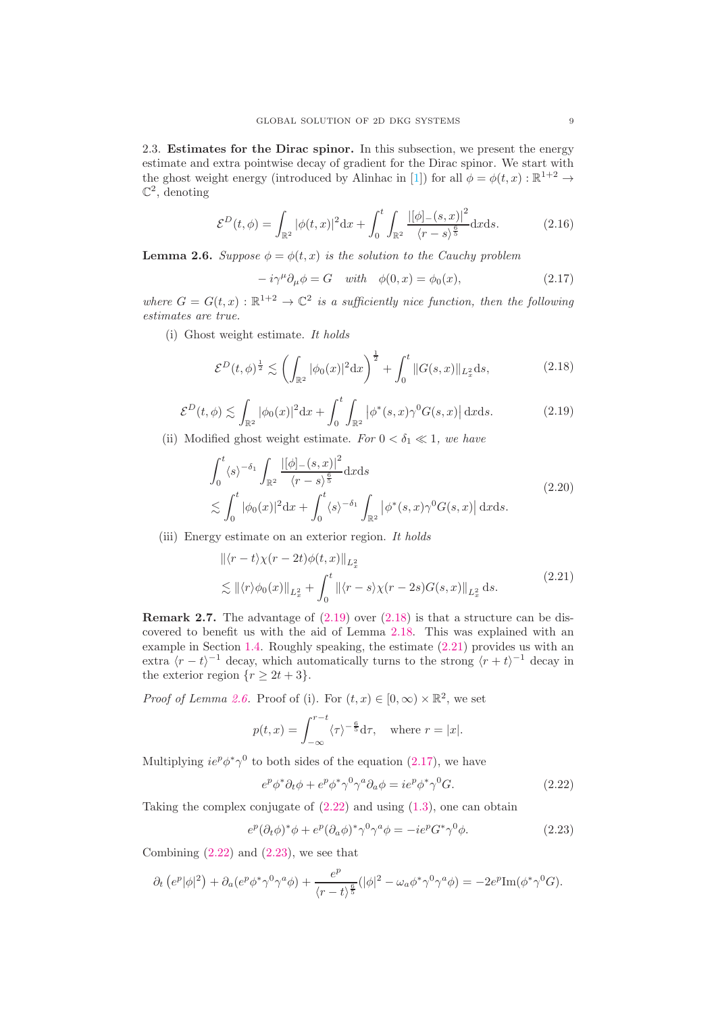<span id="page-8-9"></span>2.3. Estimates for the Dirac spinor. In this subsection, we present the energy estimate and extra pointwise decay of gradient for the Dirac spinor. We start with the ghost weight energy (introduced by Alinhac in [\[1\]](#page-39-6)) for all  $\phi = \phi(t, x) : \mathbb{R}^{1+2} \to$  $\mathbb{C}^2$ , denoting

<span id="page-8-1"></span>
$$
\mathcal{E}^{D}(t,\phi) = \int_{\mathbb{R}^{2}} |\phi(t,x)|^{2} dx + \int_{0}^{t} \int_{\mathbb{R}^{2}} \frac{|\phi|_{-}(s,x)|^{2}}{\langle r-s \rangle^{\frac{6}{5}}} dx ds.
$$
 (2.16)

<span id="page-8-0"></span>**Lemma 2.6.** Suppose  $\phi = \phi(t, x)$  is the solution to the Cauchy problem

<span id="page-8-5"></span>
$$
-i\gamma^{\mu}\partial_{\mu}\phi = G \quad with \quad \phi(0, x) = \phi_0(x), \tag{2.17}
$$

where  $G = G(t, x) : \mathbb{R}^{1+2} \to \mathbb{C}^2$  is a sufficiently nice function, then the following estimates are true.

(i) Ghost weight estimate. It holds

<span id="page-8-2"></span>
$$
\mathcal{E}^{D}(t,\phi)^{\frac{1}{2}} \lesssim \left(\int_{\mathbb{R}^{2}} |\phi_{0}(x)|^{2} dx\right)^{\frac{1}{2}} + \int_{0}^{t} \|G(s,x)\|_{L_{x}^{2}} ds, \tag{2.18}
$$

<span id="page-8-3"></span>
$$
\mathcal{E}^{D}(t,\phi) \lesssim \int_{\mathbb{R}^2} |\phi_0(x)|^2 dx + \int_0^t \int_{\mathbb{R}^2} |\phi^*(s,x)\gamma^0 G(s,x)| \, \mathrm{d}x \mathrm{d}s. \tag{2.19}
$$

(ii) Modified ghost weight estimate. For  $0 < \delta_1 \ll 1$ , we have

<span id="page-8-8"></span>
$$
\int_0^t \langle s \rangle^{-\delta_1} \int_{\mathbb{R}^2} \frac{\left| [\phi]_-(s,x) \right|^2}{\langle r-s \rangle^{\frac{6}{5}}} dx ds
$$
\n
$$
\lesssim \int_0^t |\phi_0(x)|^2 dx + \int_0^t \langle s \rangle^{-\delta_1} \int_{\mathbb{R}^2} |\phi^*(s,x)\gamma^0 G(s,x)| dx ds.
$$
\n(2.20)

(iii) Energy estimate on an exterior region. It holds

<span id="page-8-4"></span>
$$
\begin{aligned} \|\langle r-t\rangle \chi(r-2t)\phi(t,x)\|_{L_x^2} \\ \lesssim \|\langle r\rangle \phi_0(x)\|_{L_x^2} + \int_0^t \|\langle r-s\rangle \chi(r-2s)G(s,x)\|_{L_x^2} \,ds. \end{aligned} \tag{2.21}
$$

**Remark 2.7.** The advantage of  $(2.19)$  over  $(2.18)$  is that a structure can be discovered to benefit us with the aid of Lemma [2.18.](#page-16-0) This was explained with an example in Section [1.4.](#page-3-2) Roughly speaking, the estimate [\(2.21\)](#page-8-4) provides us with an extra  $\langle r - t \rangle$ <sup>-1</sup> decay, which automatically turns to the strong  $\langle r + t \rangle$ <sup>-1</sup> decay in the exterior region  $\{r \geq 2t + 3\}.$ 

*Proof of Lemma [2.6.](#page-8-0)* Proof of (i). For  $(t, x) \in [0, \infty) \times \mathbb{R}^2$ , we set

$$
p(t,x) = \int_{-\infty}^{r-t} \langle \tau \rangle^{-\frac{6}{5}} d\tau, \text{ where } r = |x|.
$$

Multiplying  $ie^p \phi^* \gamma^0$  to both sides of the equation [\(2.17\)](#page-8-5), we have

<span id="page-8-6"></span>
$$
e^p \phi^* \partial_t \phi + e^p \phi^* \gamma^0 \gamma^a \partial_a \phi = i e^p \phi^* \gamma^0 G. \tag{2.22}
$$

Taking the complex conjugate of [\(2.22\)](#page-8-6) and using [\(1.3\)](#page-0-2), one can obtain

<span id="page-8-7"></span>
$$
e^p(\partial_t \phi)^* \phi + e^p(\partial_a \phi)^* \gamma^0 \gamma^a \phi = -ie^p G^* \gamma^0 \phi.
$$
 (2.23)

Combining  $(2.22)$  and  $(2.23)$ , we see that

$$
\partial_t \left( e^p |\phi|^2 \right) + \partial_a (e^p \phi^* \gamma^0 \gamma^a \phi) + \frac{e^p}{\langle r - t \rangle^{\frac{6}{5}}} (|\phi|^2 - \omega_a \phi^* \gamma^0 \gamma^a \phi) = -2e^p \text{Im}(\phi^* \gamma^0 G).
$$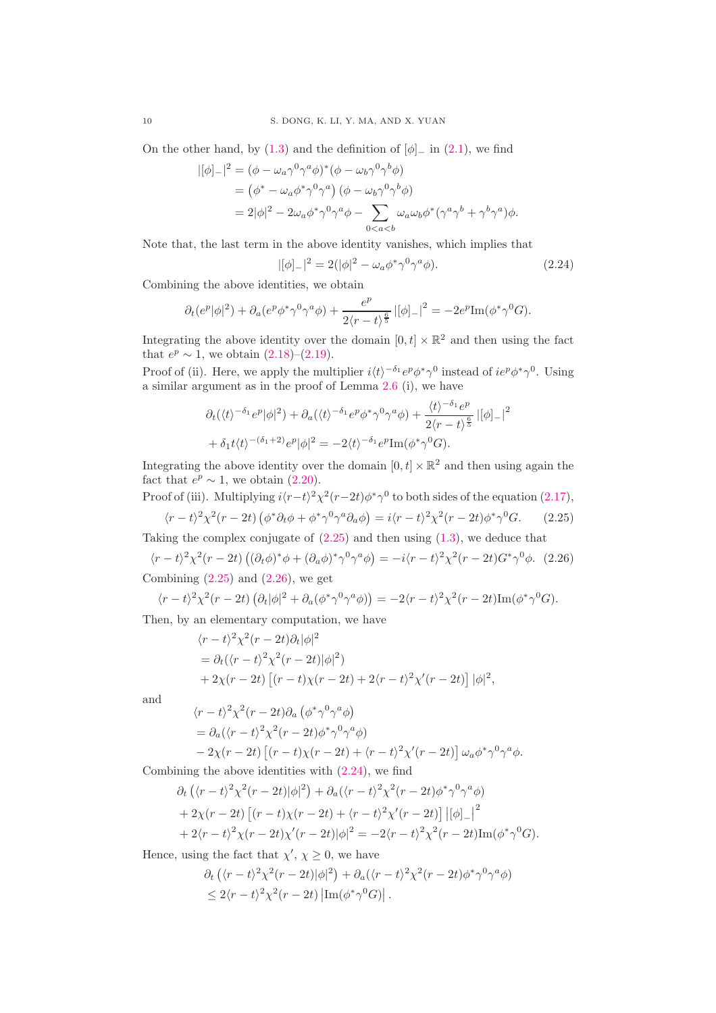On the other hand, by [\(1.3\)](#page-0-2) and the definition of  $[\phi]_$  in [\(2.1\)](#page-5-0), we find

$$
\begin{split} |[\phi]_{-}|^{2} &= (\phi - \omega_{a}\gamma^{0}\gamma^{a}\phi)^{*}(\phi - \omega_{b}\gamma^{0}\gamma^{b}\phi) \\ &= (\phi^{*} - \omega_{a}\phi^{*}\gamma^{0}\gamma^{a}) \left(\phi - \omega_{b}\gamma^{0}\gamma^{b}\phi\right) \\ &= 2|\phi|^{2} - 2\omega_{a}\phi^{*}\gamma^{0}\gamma^{a}\phi - \sum_{0 < a < b} \omega_{a}\omega_{b}\phi^{*}(\gamma^{a}\gamma^{b} + \gamma^{b}\gamma^{a})\phi. \end{split}
$$

Note that, the last term in the above identity vanishes, which implies that

<span id="page-9-2"></span>
$$
|[\phi]_-|^2 = 2(|\phi|^2 - \omega_a \phi^* \gamma^0 \gamma^a \phi).
$$
 (2.24)

Combining the above identities, we obtain

$$
\partial_t(e^p|\phi|^2) + \partial_a(e^p\phi^*\gamma^0\gamma^a\phi) + \frac{e^p}{2\langle r-t\rangle^{\frac{6}{5}}} |[\phi]_-|^2 = -2e^p {\rm Im}(\phi^*\gamma^0G).
$$

Integrating the above identity over the domain  $[0, t] \times \mathbb{R}^2$  and then using the fact that  $e^p \sim 1$ , we obtain  $(2.18)$ – $(2.19)$ .

Proof of (ii). Here, we apply the multiplier  $i\langle t \rangle^{-\delta_1} e^p \phi^* \gamma^0$  instead of  $i e^p \phi^* \gamma^0$ . Using a similar argument as in the proof of Lemma [2.6](#page-8-0) (i), we have

$$
\partial_t(\langle t \rangle^{-\delta_1} e^p |\phi|^2) + \partial_a(\langle t \rangle^{-\delta_1} e^p \phi^* \gamma^0 \gamma^a \phi) + \frac{\langle t \rangle^{-\delta_1} e^p}{2\langle r - t \rangle^{\frac{6}{5}}} |[\phi]_-|^2
$$
  
+ 
$$
\delta_1 t \langle t \rangle^{-(\delta_1 + 2)} e^p |\phi|^2 = -2\langle t \rangle^{-\delta_1} e^p \text{Im}(\phi^* \gamma^0 G).
$$

Integrating the above identity over the domain  $[0, t] \times \mathbb{R}^2$  and then using again the fact that  $e^p \sim 1$ , we obtain [\(2.20\)](#page-8-8).

<span id="page-9-0"></span>Proof of (iii). Multiplying  $i\langle r-t\rangle^2 \chi^2(r-2t)\phi^* \gamma^0$  to both sides of the equation [\(2.17\)](#page-8-5),  $\langle r-t\rangle^2 \chi^2(r-2t) \left(\phi^* \partial_t \phi + \phi^* \gamma^0 \gamma^a \partial_a \phi\right) = i \langle r-t\rangle^2 \chi^2(r-2t) \phi^* \gamma$  $(2.25)$ 

Taking the complex conjugate of  $(2.25)$  and then using  $(1.3)$ , we deduce that

<span id="page-9-1"></span>
$$
\langle r-t\rangle^2 \chi^2(r-2t) \left( (\partial_t \phi)^* \phi + (\partial_a \phi)^* \gamma^0 \gamma^a \phi \right) = -i \langle r-t\rangle^2 \chi^2(r-2t) G^* \gamma^0 \phi. \tag{2.26}
$$

Combining  $(2.25)$  and  $(2.26)$ , we get

$$
\langle r-t\rangle^2 \chi^2(r-2t) \left(\partial_t |\phi|^2 + \partial_a (\phi^* \gamma^0 \gamma^a \phi)\right) = -2\langle r-t\rangle^2 \chi^2(r-2t) \text{Im}(\phi^* \gamma^0 G).
$$

Then, by an elementary computation, we have

$$
\langle r-t\rangle^2 \chi^2(r-2t)\partial_t |\phi|^2
$$
  
=  $\partial_t (\langle r-t\rangle^2 \chi^2(r-2t)|\phi|^2)$   
+  $2\chi(r-2t) [(r-t)\chi(r-2t)+2\langle r-t\rangle^2 \chi'(r-2t)] |\phi|^2$ ,

and

$$
\langle r - t \rangle^2 \chi^2 (r - 2t) \partial_a \left( \phi^* \gamma^0 \gamma^a \phi \right)
$$
  
=  $\partial_a (\langle r - t \rangle^2 \chi^2 (r - 2t) \phi^* \gamma^0 \gamma^a \phi)$   
-  $2\chi (r - 2t) \left[ (r - t) \chi (r - 2t) + \langle r - t \rangle^2 \chi' (r - 2t) \right] \omega_a \phi^* \gamma^0 \gamma^a \phi.$ 

Combining the above identities with [\(2.24\)](#page-9-2), we find

$$
\partial_t \left( \langle r - t \rangle^2 \chi^2 (r - 2t) |\phi|^2 \right) + \partial_a (\langle r - t \rangle^2 \chi^2 (r - 2t) \phi^* \gamma^0 \gamma^a \phi) \n+ 2\chi(r - 2t) \left[ (r - t) \chi(r - 2t) + \langle r - t \rangle^2 \chi'(r - 2t) \right] |[\phi]_-|^2 \n+ 2\langle r - t \rangle^2 \chi(r - 2t) \chi'(r - 2t) |\phi|^2 = -2\langle r - t \rangle^2 \chi^2(r - 2t) \text{Im}(\phi^* \gamma^0 G).
$$

Hence, using the fact that  $\chi'$ ,  $\chi \geq 0$ , we have

$$
\partial_t \left( \langle r-t \rangle^2 \chi^2(r-2t) |\phi|^2 \right) + \partial_a (\langle r-t \rangle^2 \chi^2(r-2t) \phi^* \gamma^0 \gamma^a \phi)
$$
  
\$\leq 2\langle r-t \rangle^2 \chi^2(r-2t) \left| \text{Im}(\phi^\* \gamma^0 G) \right|.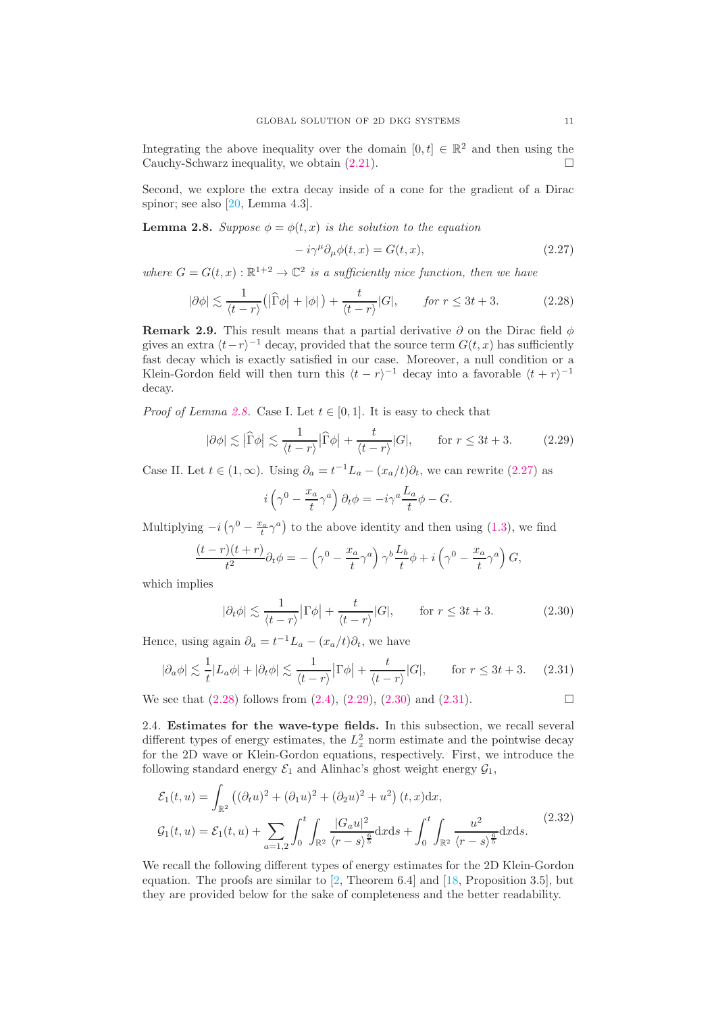Integrating the above inequality over the domain  $[0, t] \in \mathbb{R}^2$  and then using the Cauchy-Schwarz inequality, we obtain  $(2.21)$ .

Second, we explore the extra decay inside of a cone for the gradient of a Dirac spinor; see also [\[20,](#page-40-1) Lemma 4.3].

<span id="page-10-1"></span>**Lemma 2.8.** Suppose  $\phi = \phi(t, x)$  is the solution to the equation

<span id="page-10-2"></span>
$$
-i\gamma^{\mu}\partial_{\mu}\phi(t,x) = G(t,x),\tag{2.27}
$$

where  $G = G(t, x) : \mathbb{R}^{1+2} \to \mathbb{C}^2$  is a sufficiently nice function, then we have

<span id="page-10-3"></span>
$$
|\partial \phi| \lesssim \frac{1}{\langle t - r \rangle} \left( |\widehat{\Gamma} \phi| + |\phi| \right) + \frac{t}{\langle t - r \rangle} |G|, \qquad \text{for } r \leq 3t + 3. \tag{2.28}
$$

**Remark 2.9.** This result means that a partial derivative  $\partial$  on the Dirac field  $\phi$ gives an extra  $\langle t-r \rangle^{-1}$  decay, provided that the source term  $G(t, x)$  has sufficiently fast decay which is exactly satisfied in our case. Moreover, a null condition or a Klein-Gordon field will then turn this  $\langle t - r \rangle^{-1}$  decay into a favorable  $\langle t + r \rangle^{-1}$ decay.

*Proof of Lemma [2.8.](#page-10-1)* Case I. Let  $t \in [0,1]$ . It is easy to check that

<span id="page-10-4"></span>
$$
|\partial \phi| \lesssim |\widehat{\Gamma}\phi| \lesssim \frac{1}{\langle t - r \rangle} |\widehat{\Gamma}\phi| + \frac{t}{\langle t - r \rangle} |G|, \qquad \text{for } r \leq 3t + 3. \tag{2.29}
$$

Case II. Let  $t \in (1, \infty)$ . Using  $\partial_a = t^{-1}L_a - (x_a/t)\partial_t$ , we can rewrite  $(2.27)$  as

$$
i\left(\gamma^0 - \frac{x_a}{t}\gamma^a\right)\partial_t\phi = -i\gamma^a \frac{L_a}{t}\phi - G.
$$

Multiplying  $-i\left(\gamma^0 - \frac{x_a}{t}\gamma^a\right)$  to the above identity and then using [\(1.3\)](#page-0-2), we find

$$
\frac{(t-r)(t+r)}{t^2}\partial_t\phi = -\left(\gamma^0 - \frac{x_a}{t}\gamma^a\right)\gamma^b\frac{L_b}{t}\phi + i\left(\gamma^0 - \frac{x_a}{t}\gamma^a\right)G,
$$

which implies

<span id="page-10-5"></span>
$$
|\partial_t \phi| \lesssim \frac{1}{\langle t - r \rangle} |\Gamma \phi| + \frac{t}{\langle t - r \rangle} |G|, \qquad \text{for } r \le 3t + 3. \tag{2.30}
$$

Hence, using again  $\partial_a = t^{-1}L_a - (x_a/t)\partial_t$ , we have

<span id="page-10-6"></span>
$$
|\partial_a \phi| \lesssim \frac{1}{t} |L_a \phi| + |\partial_t \phi| \lesssim \frac{1}{\langle t - r \rangle} |\Gamma \phi| + \frac{t}{\langle t - r \rangle} |G|, \qquad \text{for } r \leq 3t + 3. \tag{2.31}
$$

We see that  $(2.28)$  follows from  $(2.4)$ ,  $(2.29)$ ,  $(2.30)$  and  $(2.31)$ .

<span id="page-10-7"></span>2.4. Estimates for the wave-type fields. In this subsection, we recall several different types of energy estimates, the  $L_x^2$  norm estimate and the pointwise decay for the 2D wave or Klein-Gordon equations, respectively. First, we introduce the following standard energy  $\mathcal{E}_1$  and Alinhac's ghost weight energy  $\mathcal{G}_1$ ,

<span id="page-10-0"></span>
$$
\mathcal{E}_1(t, u) = \int_{\mathbb{R}^2} \left( (\partial_t u)^2 + (\partial_1 u)^2 + (\partial_2 u)^2 + u^2 \right) (t, x) dx,
$$
  

$$
\mathcal{G}_1(t, u) = \mathcal{E}_1(t, u) + \sum_{a=1,2} \int_0^t \int_{\mathbb{R}^2} \frac{|G_a u|^2}{\langle r - s \rangle^{\frac{6}{5}}} dx ds + \int_0^t \int_{\mathbb{R}^2} \frac{u^2}{\langle r - s \rangle^{\frac{6}{5}}} dx ds.
$$
 (2.32)

We recall the following different types of energy estimates for the 2D Klein-Gordon equation. The proofs are similar to  $[2,$  Theorem 6.4] and  $[18,$  Proposition 3.5], but they are provided below for the sake of completeness and the better readability.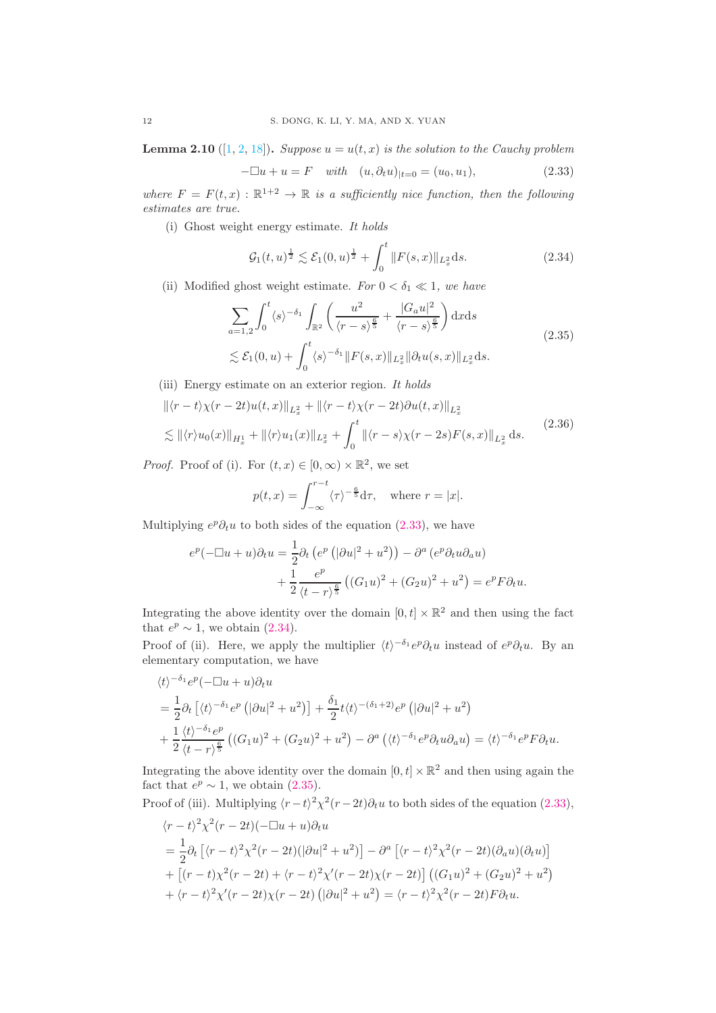**Lemma 2.10** ([\[1,](#page-39-6) [2,](#page-39-7) [18\]](#page-40-10)). Suppose  $u = u(t, x)$  is the solution to the Cauchy problem

<span id="page-11-0"></span>
$$
-\Box u + u = F \quad with \quad (u, \partial_t u)_{|t=0} = (u_0, u_1), \tag{2.33}
$$

where  $F = F(t, x) : \mathbb{R}^{1+2} \to \mathbb{R}$  is a sufficiently nice function, then the following estimates are true.

(i) Ghost weight energy estimate. It holds

<span id="page-11-1"></span>
$$
\mathcal{G}_1(t,u)^{\frac{1}{2}} \lesssim \mathcal{E}_1(0,u)^{\frac{1}{2}} + \int_0^t \|F(s,x)\|_{L_x^2} ds. \tag{2.34}
$$

(ii) Modified ghost weight estimate. For  $0 < \delta_1 \ll 1$ , we have

<span id="page-11-2"></span>
$$
\sum_{a=1,2} \int_0^t \langle s \rangle^{-\delta_1} \int_{\mathbb{R}^2} \left( \frac{u^2}{\langle r-s \rangle^{\frac{6}{5}}} + \frac{|G_a u|^2}{\langle r-s \rangle^{\frac{6}{5}}} \right) dx ds
$$
\n
$$
\lesssim \mathcal{E}_1(0, u) + \int_0^t \langle s \rangle^{-\delta_1} ||F(s, x)||_{L_x^2} ||\partial_t u(s, x)||_{L_x^2} ds.
$$
\n(2.35)

(iii) Energy estimate on an exterior region. It holds

<span id="page-11-3"></span>
$$
\|\langle r-t\rangle \chi(r-2t)u(t,x)\|_{L_x^2} + \|\langle r-t\rangle \chi(r-2t)\partial u(t,x)\|_{L_x^2}
$$
  

$$
\lesssim \|\langle r\rangle u_0(x)\|_{H_x^1} + \|\langle r\rangle u_1(x)\|_{L_x^2} + \int_0^t \|\langle r-s\rangle \chi(r-2s)F(s,x)\|_{L_x^2} ds.
$$
 (2.36)

*Proof.* Proof of (i). For  $(t, x) \in [0, \infty) \times \mathbb{R}^2$ , we set

$$
p(t,x) = \int_{-\infty}^{r-t} \langle \tau \rangle^{-\frac{6}{5}} d\tau, \quad \text{where } r = |x|.
$$

Multiplying  $e^p \partial_t u$  to both sides of the equation [\(2.33\)](#page-11-0), we have

$$
e^{p}(-\Box u+u)\partial_{t}u = \frac{1}{2}\partial_{t}\left(e^{p}\left(|\partial u|^{2}+u^{2}\right)\right) - \partial^{a}\left(e^{p}\partial_{t}u\partial_{a}u\right)
$$

$$
+\frac{1}{2}\frac{e^{p}}{\left\langle t-r\right\rangle^{\frac{e}{5}}}\left((G_{1}u)^{2}+(G_{2}u)^{2}+u^{2}\right) = e^{p}F\partial_{t}u.
$$

Integrating the above identity over the domain  $[0, t] \times \mathbb{R}^2$  and then using the fact that  $e^p \sim 1$ , we obtain [\(2.34\)](#page-11-1).

Proof of (ii). Here, we apply the multiplier  $\langle t \rangle^{-\delta_1} e^p \partial_t u$  instead of  $e^p \partial_t u$ . By an elementary computation, we have

$$
\langle t \rangle^{-\delta_1} e^p (-\Box u + u) \partial_t u
$$
  
=  $\frac{1}{2} \partial_t \left[ \langle t \rangle^{-\delta_1} e^p \left( |\partial u|^2 + u^2 \right) \right] + \frac{\delta_1}{2} t \langle t \rangle^{-(\delta_1 + 2)} e^p \left( |\partial u|^2 + u^2 \right)$   
+  $\frac{1}{2} \frac{\langle t \rangle^{-\delta_1} e^p}{\langle t - r \rangle^{\frac{6}{5}}} \left( (G_1 u)^2 + (G_2 u)^2 + u^2 \right) - \partial^a \left( \langle t \rangle^{-\delta_1} e^p \partial_t u \partial_a u \right) = \langle t \rangle^{-\delta_1} e^p F \partial_t u.$ 

Integrating the above identity over the domain  $[0, t] \times \mathbb{R}^2$  and then using again the fact that  $e^p \sim 1$ , we obtain [\(2.35\)](#page-11-2).

Proof of (iii). Multiplying  $\langle r-t \rangle^2 \chi^2(r-2t) \partial_t u$  to both sides of the equation [\(2.33\)](#page-11-0),

$$
\langle r-t\rangle^2 \chi^2(r-2t)(-\Box u+u)\partial_t u
$$
  
=  $\frac{1}{2}\partial_t \left[ \langle r-t\rangle^2 \chi^2(r-2t)(|\partial u|^2+u^2) \right] - \partial^a \left[ \langle r-t\rangle^2 \chi^2(r-2t)(\partial_a u)(\partial_t u) \right]$   
+  $\left[ (r-t)\chi^2(r-2t) + \langle r-t\rangle^2 \chi'(r-2t)\chi(r-2t) \right] \left( (G_1 u)^2 + (G_2 u)^2 + u^2 \right)$   
+  $\langle r-t\rangle^2 \chi'(r-2t)\chi(r-2t) \left( |\partial u|^2 + u^2 \right) = \langle r-t\rangle^2 \chi^2(r-2t)F\partial_t u.$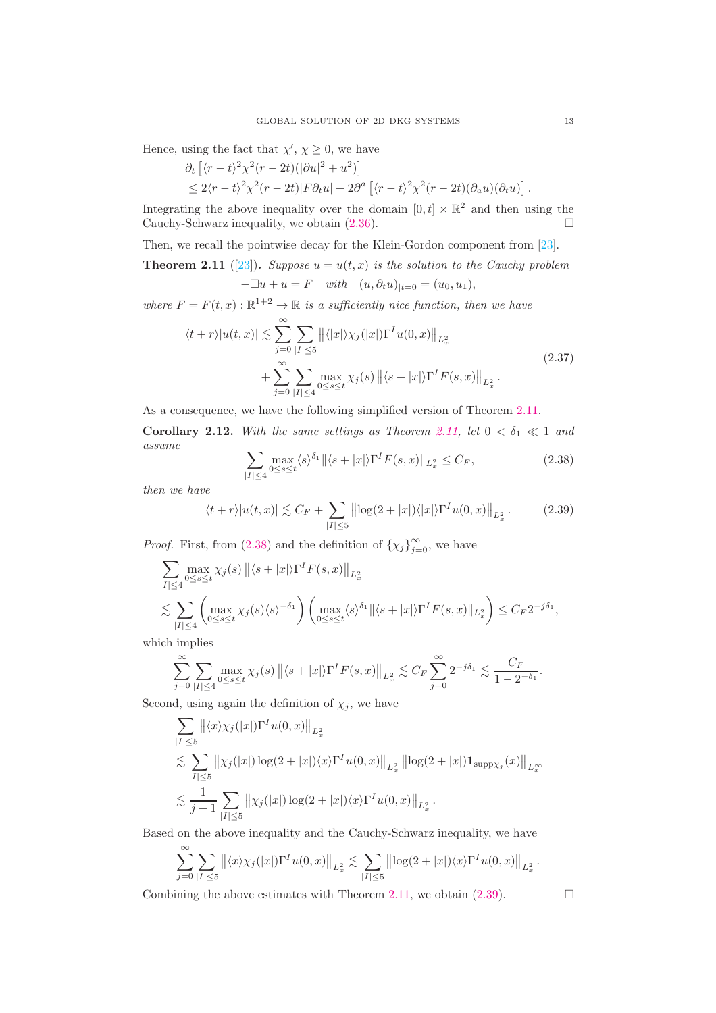Hence, using the fact that  $\chi'$ ,  $\chi \geq 0$ , we have

$$
\partial_t \left[ \langle r - t \rangle^2 \chi^2 (r - 2t) (|\partial u|^2 + u^2) \right]
$$
  
\n
$$
\leq 2 \langle r - t \rangle^2 \chi^2 (r - 2t) |F \partial_t u| + 2 \partial^a \left[ \langle r - t \rangle^2 \chi^2 (r - 2t) (\partial_a u) (\partial_t u) \right].
$$

Integrating the above inequality over the domain  $[0, t] \times \mathbb{R}^2$  and then using the Cauchy-Schwarz inequality, we obtain  $(2.36)$ .

Then, we recall the pointwise decay for the Klein-Gordon component from [\[23\]](#page-40-23).

<span id="page-12-0"></span>**Theorem 2.11** ([\[23\]](#page-40-23)). Suppose  $u = u(t, x)$  is the solution to the Cauchy problem  $-\Box u + u = F$  with  $(u, \partial_t u)_{|t=0} = (u_0, u_1),$ 

where  $F = F(t, x) : \mathbb{R}^{1+2} \to \mathbb{R}$  is a sufficiently nice function, then we have

$$
\langle t+r \rangle |u(t,x)| \lesssim \sum_{j=0}^{\infty} \sum_{|I| \le 5} ||\langle |x| \rangle \chi_j(|x|) \Gamma^I u(0,x) ||_{L_x^2} + \sum_{j=0}^{\infty} \sum_{|I| \le 4} \max_{0 \le s \le t} \chi_j(s) ||\langle s+|x| \rangle \Gamma^I F(s,x) ||_{L_x^2}.
$$
\n(2.37)

As a consequence, we have the following simplified version of Theorem [2.11.](#page-12-0)

Corollary 2.12. With the same settings as Theorem [2.11,](#page-12-0) let  $0 < \delta_1 \ll 1$  and assume

<span id="page-12-1"></span>
$$
\sum_{|I| \le 4} \max_{0 \le s \le t} \langle s \rangle^{\delta_1} \| \langle s + |x| \rangle \Gamma^I F(s, x) \|_{L^2_x} \le C_F,
$$
\n(2.38)

then we have

<span id="page-12-2"></span>
$$
\langle t+r \rangle |u(t,x)| \lesssim C_F + \sum_{|I| \le 5} \left\| \log(2+|x|) \langle |x| \rangle \Gamma^I u(0,x) \right\|_{L_x^2}.
$$
 (2.39)

*Proof.* First, from [\(2.38\)](#page-12-1) and the definition of  $\{\chi_j\}_{j=0}^{\infty}$ , we have

$$
\sum_{|I| \le 4} \max_{0 \le s \le t} \chi_j(s) \left\| \langle s + |x| \rangle \Gamma^I F(s, x) \right\|_{L_x^2}
$$
\n
$$
\lesssim \sum_{|I| \le 4} \left( \max_{0 \le s \le t} \chi_j(s) \langle s \rangle^{-\delta_1} \right) \left( \max_{0 \le s \le t} \langle s \rangle^{\delta_1} \|\langle s + |x| \rangle \Gamma^I F(s, x) \|_{L_x^2} \right) \le C_F 2^{-j\delta_1},
$$

which implies

$$
\sum_{j=0}^{\infty} \sum_{|I| \le 4} \max_{0 \le s \le t} \chi_j(s) \left\| \langle s + |x| \rangle \Gamma^I F(s, x) \right\|_{L_x^2} \lesssim C_F \sum_{j=0}^{\infty} 2^{-j\delta_1} \lesssim \frac{C_F}{1 - 2^{-\delta_1}}.
$$

Second, using again the definition of  $\chi_i$ , we have

$$
\sum_{|I| \leq 5} ||\langle x \rangle \chi_j(|x|) \Gamma^I u(0, x)||_{L_x^2}
$$
\n
$$
\lesssim \sum_{|I| \leq 5} ||\chi_j(|x|) \log(2 + |x|) \langle x \rangle \Gamma^I u(0, x)||_{L_x^2} ||\log(2 + |x|) \mathbf{1}_{\text{supp}\chi_j}(x)||_{L_x^{\infty}}
$$
\n
$$
\lesssim \frac{1}{j+1} \sum_{|I| \leq 5} ||\chi_j(|x|) \log(2 + |x|) \langle x \rangle \Gamma^I u(0, x)||_{L_x^2}.
$$

Based on the above inequality and the Cauchy-Schwarz inequality, we have

$$
\sum_{j=0}^{\infty} \sum_{|I| \leq 5} ||\langle x \rangle \chi_j(|x|) \Gamma^I u(0,x)||_{L_x^2} \lesssim \sum_{|I| \leq 5} ||\log(2+|x|) \langle x \rangle \Gamma^I u(0,x)||_{L_x^2}.
$$

Combining the above estimates with Theorem [2.11,](#page-12-0) we obtain  $(2.39)$ .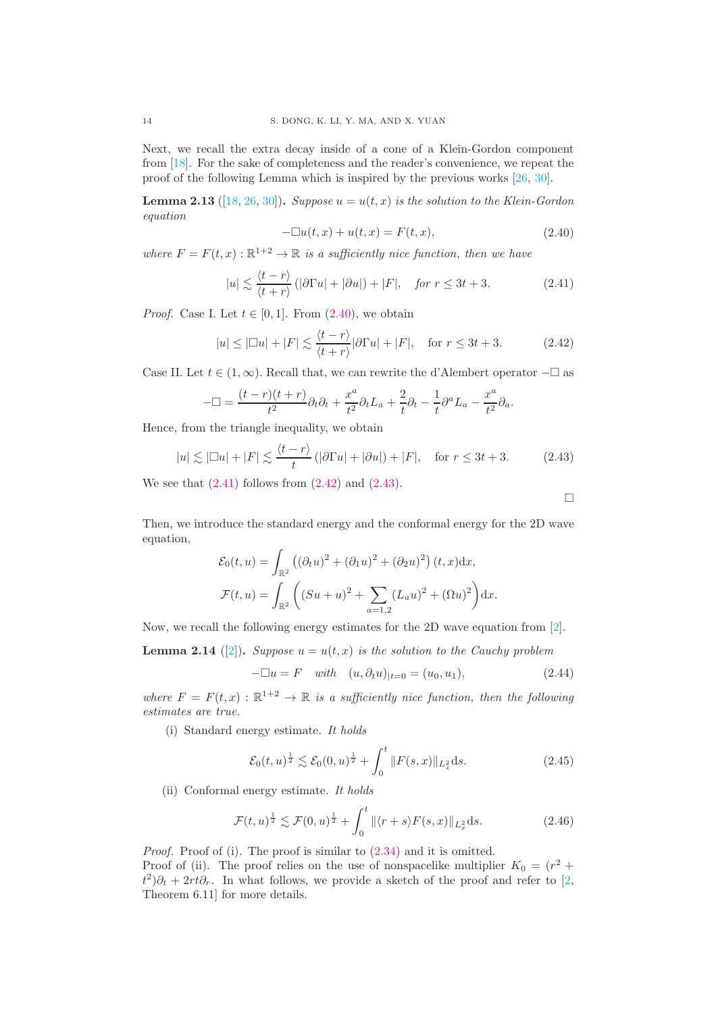Next, we recall the extra decay inside of a cone of a Klein-Gordon component from [\[18\]](#page-40-10). For the sake of completeness and the reader's convenience, we repeat the proof of the following Lemma which is inspired by the previous works [\[26,](#page-40-25) [30\]](#page-40-26).

**Lemma 2.13** ([\[18,](#page-40-10) [26,](#page-40-25) [30\]](#page-40-26)). Suppose  $u = u(t, x)$  is the solution to the Klein-Gordon equation

<span id="page-13-0"></span>
$$
-\Box u(t,x) + u(t,x) = F(t,x),
$$
\n(2.40)

where  $F = F(t, x) : \mathbb{R}^{1+2} \to \mathbb{R}$  is a sufficiently nice function, then we have

<span id="page-13-1"></span>
$$
|u| \lesssim \frac{\langle t - r \rangle}{\langle t + r \rangle} \left( |\partial \Gamma u| + |\partial u| \right) + |F|, \quad \text{for } r \le 3t + 3. \tag{2.41}
$$

*Proof.* Case I. Let  $t \in [0, 1]$ . From  $(2.40)$ , we obtain

<span id="page-13-2"></span>
$$
|u| \le |\Box u| + |F| \lesssim \frac{\langle t - r \rangle}{\langle t + r \rangle} |\partial \Gamma u| + |F|, \quad \text{for } r \le 3t + 3. \tag{2.42}
$$

Case II. Let  $t \in (1,\infty)$ . Recall that, we can rewrite the d'Alembert operator  $-\Box$  as

$$
-\Box = \frac{(t-r)(t+r)}{t^2}\partial_t\partial_t + \frac{x^a}{t^2}\partial_tL_a + \frac{2}{t}\partial_t - \frac{1}{t}\partial^aL_a - \frac{x^a}{t^2}\partial_a.
$$

Hence, from the triangle inequality, we obtain

<span id="page-13-3"></span>
$$
|u| \lesssim |\Box u| + |F| \lesssim \frac{\langle t - r \rangle}{t} \left( |\partial \Gamma u| + |\partial u| \right) + |F|, \quad \text{for } r \leq 3t + 3. \tag{2.43}
$$

We see that  $(2.41)$  follows from  $(2.42)$  and  $(2.43)$ .

 $\Box$ 

Then, we introduce the standard energy and the conformal energy for the 2D wave equation,

$$
\mathcal{E}_0(t, u) = \int_{\mathbb{R}^2} \left( (\partial_t u)^2 + (\partial_1 u)^2 + (\partial_2 u)^2 \right) (t, x) dx,
$$
  

$$
\mathcal{F}(t, u) = \int_{\mathbb{R}^2} \left( (Su + u)^2 + \sum_{a=1,2} (L_a u)^2 + (\Omega u)^2 \right) dx.
$$

Now, we recall the following energy estimates for the 2D wave equation from [\[2\]](#page-39-7).

<span id="page-13-6"></span>**Lemma 2.14** ([\[2\]](#page-39-7)). Suppose  $u = u(t, x)$  is the solution to the Cauchy problem

$$
-\Box u = F \quad with \quad (u, \partial_t u)_{|t=0} = (u_0, u_1), \tag{2.44}
$$

where  $F = F(t, x) : \mathbb{R}^{1+2} \to \mathbb{R}$  is a sufficiently nice function, then the following estimates are true.

(i) Standard energy estimate. It holds

<span id="page-13-5"></span>
$$
\mathcal{E}_0(t, u)^{\frac{1}{2}} \lesssim \mathcal{E}_0(0, u)^{\frac{1}{2}} + \int_0^t \|F(s, x)\|_{L_x^2} ds.
$$
 (2.45)

(ii) Conformal energy estimate. It holds

<span id="page-13-4"></span>
$$
\mathcal{F}(t,u)^{\frac{1}{2}} \lesssim \mathcal{F}(0,u)^{\frac{1}{2}} + \int_0^t \|\langle r+s \rangle F(s,x) \|_{L_x^2} ds. \tag{2.46}
$$

Proof. Proof of (i). The proof is similar to  $(2.34)$  and it is omitted. Proof of (ii). The proof relies on the use of nonspacelike multiplier  $K_0 = (r^2 +$  $\partial_t^2\partial_t + 2rt\partial_r$ . In what follows, we provide a sketch of the proof and refer to [\[2,](#page-39-7) Theorem 6.11] for more details.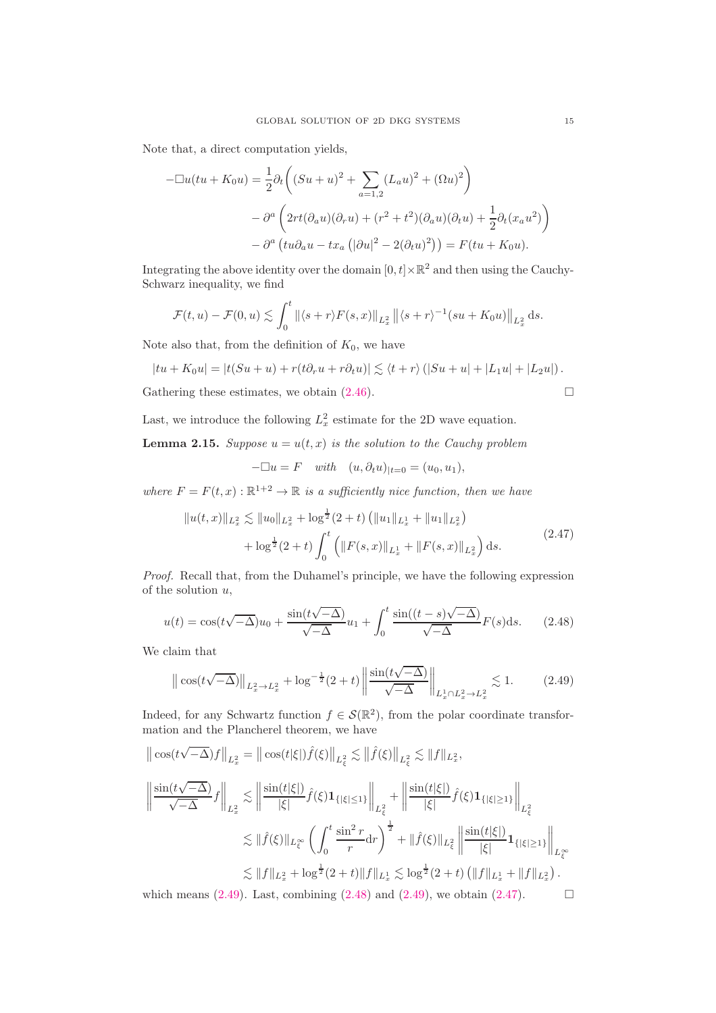Note that, a direct computation yields,

$$
-\Box u(tu + K_0 u) = \frac{1}{2}\partial_t \left( (Su + u)^2 + \sum_{a=1,2} (L_a u)^2 + (\Omega u)^2 \right)
$$

$$
- \partial^a \left( 2rt(\partial_a u)(\partial_r u) + (r^2 + t^2)(\partial_a u)(\partial_t u) + \frac{1}{2}\partial_t (x_a u^2) \right)
$$

$$
- \partial^a \left( tu\partial_a u - tx_a \left( |\partial u|^2 - 2(\partial_t u)^2 \right) \right) = F(tu + K_0 u).
$$

Integrating the above identity over the domain  $[0, t] \times \mathbb{R}^2$  and then using the Cauchy-Schwarz inequality, we find

$$
\mathcal{F}(t,u)-\mathcal{F}(0,u)\lesssim \int_0^t \left\|\langle s+r\rangle F(s,x)\right\|_{L^2_x}\left\|\langle s+r\rangle^{-1}(su+K_0u)\right\|_{L^2_x}\mathrm{d}s.
$$

Note also that, from the definition of  $K_0$ , we have

$$
|tu + K_0u| = |t(Su + u) + r(t\partial_r u + r\partial_t u)| \lesssim \langle t + r \rangle (|Su + u| + |L_1u| + |L_2u|).
$$

Gathering these estimates, we obtain  $(2.46)$ .

Last, we introduce the following  $L_x^2$  estimate for the 2D wave equation.

**Lemma 2.15.** Suppose  $u = u(t, x)$  is the solution to the Cauchy problem

$$
-\Box u = F \quad with \quad (u, \partial_t u)_{|t=0} = (u_0, u_1),
$$

where  $F = F(t, x) : \mathbb{R}^{1+2} \to \mathbb{R}$  is a sufficiently nice function, then we have

<span id="page-14-2"></span>
$$
||u(t,x)||_{L_x^2} \lesssim ||u_0||_{L_x^2} + \log^{\frac{1}{2}}(2+t) (||u_1||_{L_x^1} + ||u_1||_{L_x^2})
$$
  
+ 
$$
\log^{\frac{1}{2}}(2+t) \int_0^t (||F(s,x)||_{L_x^1} + ||F(s,x)||_{L_x^2}) ds.
$$
 (2.47)

Proof. Recall that, from the Duhamel's principle, we have the following expression of the solution  $u$ ,

<span id="page-14-1"></span>
$$
u(t) = \cos(t\sqrt{-\Delta})u_0 + \frac{\sin(t\sqrt{-\Delta})}{\sqrt{-\Delta}}u_1 + \int_0^t \frac{\sin((t-s)\sqrt{-\Delta})}{\sqrt{-\Delta}}F(s)ds.
$$
 (2.48)

We claim that

<span id="page-14-0"></span>
$$
\left\| \cos(t\sqrt{-\Delta}) \right\|_{L_x^2 \to L_x^2} + \log^{-\frac{1}{2}}(2+t) \left\| \frac{\sin(t\sqrt{-\Delta})}{\sqrt{-\Delta}} \right\|_{L_x^1 \cap L_x^2 \to L_x^2} \lesssim 1. \tag{2.49}
$$

Indeed, for any Schwartz function  $f \in \mathcal{S}(\mathbb{R}^2)$ , from the polar coordinate transformation and the Plancherel theorem, we have

$$
\begin{split} \left\| \cos(t\sqrt{-\Delta})f \right\|_{L_{x}^{2}} & = \left\| \cos(t|\xi|)\hat{f}(\xi) \right\|_{L_{\xi}^{2}} \lesssim \left\| \hat{f}(\xi) \right\|_{L_{\xi}^{2}} \lesssim \|f\|_{L_{x}^{2}}, \\ \left\| \frac{\sin(t\sqrt{-\Delta})}{\sqrt{-\Delta}}f \right\|_{L_{x}^{2}} & \lesssim \left\| \frac{\sin(t|\xi|)}{|\xi|}\hat{f}(\xi)\mathbf{1}_{\{|\xi|\leq 1\}} \right\|_{L_{\xi}^{2}} + \left\| \frac{\sin(t|\xi|)}{|\xi|}\hat{f}(\xi)\mathbf{1}_{\{|\xi|\geq 1\}} \right\|_{L_{\xi}^{2}} \\ & \lesssim \|\hat{f}(\xi)\|_{L_{\xi}^{\infty}} \left( \int_{0}^{t} \frac{\sin^{2} r}{r} dr \right)^{\frac{1}{2}} + \|\hat{f}(\xi)\|_{L_{\xi}^{2}} \left\| \frac{\sin(t|\xi|)}{|\xi|}\mathbf{1}_{\{|\xi|\geq 1\}} \right\|_{L_{\xi}^{\infty}} \\ & \lesssim \|f\|_{L_{x}^{2}} + \log^{\frac{1}{2}}(2+t) \|f\|_{L_{x}^{1}} \lesssim \log^{\frac{1}{2}}(2+t) \left( \|f\|_{L_{x}^{1}} + \|f\|_{L_{x}^{2}} \right). \end{split}
$$

which means [\(2.49\)](#page-14-0). Last, combining [\(2.48\)](#page-14-1) and (2.49), we obtain [\(2.47\)](#page-14-2).  $\Box$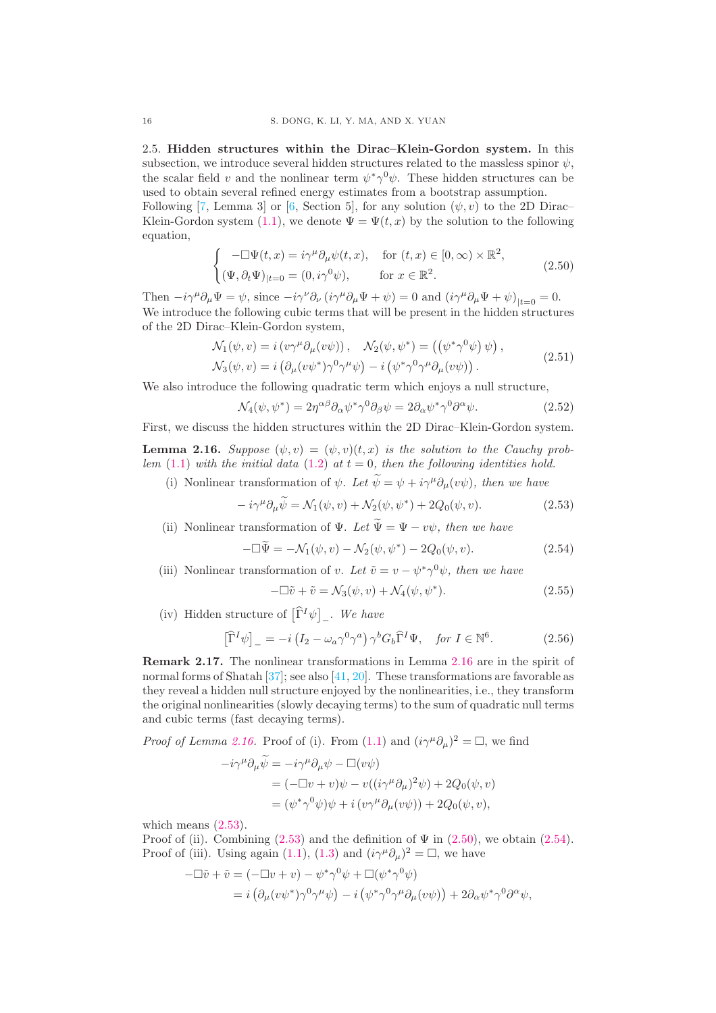<span id="page-15-7"></span>2.5. Hidden structures within the Dirac–Klein-Gordon system. In this subsection, we introduce several hidden structures related to the massless spinor  $\psi$ , the scalar field v and the nonlinear term  $\psi^* \gamma^0 \psi$ . These hidden structures can be used to obtain several refined energy estimates from a bootstrap assumption.

Following [\[7,](#page-39-3) Lemma 3] or [\[6,](#page-39-0) Section 5], for any solution  $(\psi, v)$  to the 2D Dirac– Klein-Gordon system [\(1.1\)](#page-0-0), we denote  $\Psi = \Psi(t, x)$  by the solution to the following equation,

<span id="page-15-2"></span>
$$
\begin{cases}\n-\Box \Psi(t,x) = i\gamma^{\mu} \partial_{\mu} \psi(t,x), & \text{for } (t,x) \in [0,\infty) \times \mathbb{R}^2, \\
(\Psi, \partial_t \Psi)_{|t=0} = (0, i\gamma^0 \psi), & \text{for } x \in \mathbb{R}^2.\n\end{cases}
$$
\n(2.50)

Then  $-i\gamma^{\mu}\partial_{\mu}\Psi = \psi$ , since  $-i\gamma^{\nu}\partial_{\nu} (i\gamma^{\mu}\partial_{\mu}\Psi + \psi) = 0$  and  $(i\gamma^{\mu}\partial_{\mu}\Psi + \psi)_{|t=0} = 0$ . We introduce the following cubic terms that will be present in the hidden structures of the 2D Dirac–Klein-Gordon system,

<span id="page-15-6"></span>
$$
\mathcal{N}_1(\psi, v) = i (v\gamma^\mu \partial_\mu(v\psi)), \quad \mathcal{N}_2(\psi, \psi^*) = ((\psi^* \gamma^0 \psi) \psi), \n\mathcal{N}_3(\psi, v) = i (\partial_\mu(v\psi^*) \gamma^0 \gamma^\mu \psi) - i (\psi^* \gamma^0 \gamma^\mu \partial_\mu(v\psi)).
$$
\n(2.51)

We also introduce the following quadratic term which enjoys a null structure,

<span id="page-15-8"></span>
$$
\mathcal{N}_4(\psi, \psi^*) = 2\eta^{\alpha\beta}\partial_\alpha\psi^*\gamma^0\partial_\beta\psi = 2\partial_\alpha\psi^*\gamma^0\partial^\alpha\psi.
$$
 (2.52)

First, we discuss the hidden structures within the 2D Dirac–Klein-Gordon system.

<span id="page-15-0"></span>**Lemma 2.16.** Suppose  $(\psi, v) = (\psi, v)(t, x)$  is the solution to the Cauchy prob-lem [\(1.1\)](#page-0-0) with the initial data [\(1.2\)](#page-0-1) at  $t = 0$ , then the following identities hold.

(i) Nonlinear transformation of  $\psi$ . Let  $\widetilde{\psi} = \psi + i\gamma^{\mu}\partial_{\mu}(v\psi)$ , then we have

<span id="page-15-1"></span>
$$
-i\gamma^{\mu}\partial_{\mu}\tilde{\psi} = \mathcal{N}_1(\psi, v) + \mathcal{N}_2(\psi, \psi^*) + 2Q_0(\psi, v). \tag{2.53}
$$

(ii) Nonlinear transformation of  $\Psi$ . Let  $\widetilde{\Psi} = \Psi - v\psi$ , then we have

$$
-\Box \widetilde{\Psi} = -\mathcal{N}_1(\psi, v) - \mathcal{N}_2(\psi, \psi^*) - 2Q_0(\psi, v). \tag{2.54}
$$

(iii) Nonlinear transformation of v. Let  $\tilde{v} = v - \psi^* \gamma^0 \psi$ , then we have

<span id="page-15-4"></span><span id="page-15-3"></span>
$$
-\Box \tilde{v} + \tilde{v} = \mathcal{N}_3(\psi, v) + \mathcal{N}_4(\psi, \psi^*).
$$
 (2.55)

(iv) Hidden structure of  $\left[\widehat{\Gamma}^I \psi\right]_+$ . We have

<span id="page-15-5"></span>
$$
\left[\widehat{\Gamma}^{I}\psi\right]_{-} = -i\left(I_{2} - \omega_{a}\gamma^{0}\gamma^{a}\right)\gamma^{b}G_{b}\widehat{\Gamma}^{I}\Psi, \quad \text{for } I \in \mathbb{N}^{6}.
$$
 (2.56)

Remark 2.17. The nonlinear transformations in Lemma [2.16](#page-15-0) are in the spirit of normal forms of Shatah [\[37\]](#page-41-5); see also [\[41,](#page-41-6) [20\]](#page-40-1). These transformations are favorable as they reveal a hidden null structure enjoyed by the nonlinearities, i.e., they transform the original nonlinearities (slowly decaying terms) to the sum of quadratic null terms and cubic terms (fast decaying terms).

*Proof of Lemma [2.16.](#page-15-0)* Proof of (i). From [\(1.1\)](#page-0-0) and  $(i\gamma^{\mu}\partial_{\mu})^2 = \Box$ , we find

$$
-i\gamma^{\mu}\partial_{\mu}\widetilde{\psi} = -i\gamma^{\mu}\partial_{\mu}\psi - \Box(v\psi)
$$
  
=  $(-\Box v + v)\psi - v((i\gamma^{\mu}\partial_{\mu})^{2}\psi) + 2Q_{0}(\psi, v)$   
=  $(\psi^{*}\gamma^{0}\psi)\psi + i(v\gamma^{\mu}\partial_{\mu}(v\psi)) + 2Q_{0}(\psi, v),$ 

which means  $(2.53)$ .

Proof of (ii). Combining  $(2.53)$  and the definition of  $\Psi$  in  $(2.50)$ , we obtain  $(2.54)$ . Proof of (iii). Using again [\(1.1\)](#page-0-0), [\(1.3\)](#page-0-2) and  $(i\gamma^{\mu}\partial_{\mu})^2 = \Box$ , we have

$$
-\Box \tilde{v} + \tilde{v} = (-\Box v + v) - \psi^* \gamma^0 \psi + \Box(\psi^* \gamma^0 \psi)
$$
  
=  $i \left( \partial_\mu (v \psi^*) \gamma^0 \gamma^\mu \psi \right) - i \left( \psi^* \gamma^0 \gamma^\mu \partial_\mu (v \psi) \right) + 2 \partial_\alpha \psi^* \gamma^0 \partial^\alpha \psi,$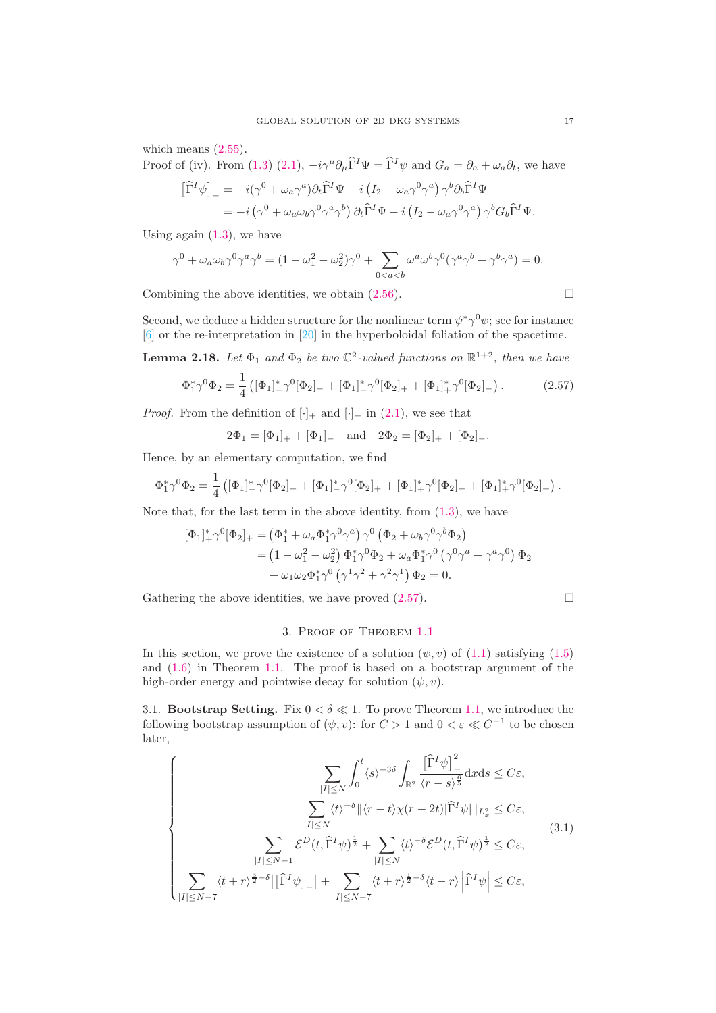which means  $(2.55)$ .

Proof of (iv). From [\(1.3\)](#page-0-2) [\(2.1\)](#page-5-0),  $-i\gamma^{\mu}\partial_{\mu}\hat{\Gamma}^{I}\Psi = \hat{\Gamma}^{I}\psi$  and  $G_{a} = \partial_{a} + \omega_{a}\partial_{t}$ , we have  $\sim$   $\sim$ 

$$
\begin{split} \left[\widehat{\Gamma}^I \psi\right]_- &= -i(\gamma^0 + \omega_a \gamma^a) \partial_t \widehat{\Gamma}^I \Psi - i \left(I_2 - \omega_a \gamma^0 \gamma^a\right) \gamma^b \partial_b \widehat{\Gamma}^I \Psi \\ &= -i \left(\gamma^0 + \omega_a \omega_b \gamma^0 \gamma^a \gamma^b\right) \partial_t \widehat{\Gamma}^I \Psi - i \left(I_2 - \omega_a \gamma^0 \gamma^a\right) \gamma^b G_b \widehat{\Gamma}^I \Psi. \end{split}
$$

Using again  $(1.3)$ , we have

$$
\gamma^0 + \omega_a \omega_b \gamma^0 \gamma^a \gamma^b = (1 - \omega_1^2 - \omega_2^2) \gamma^0 + \sum_{0 < a < b} \omega^a \omega^b \gamma^0 (\gamma^a \gamma^b + \gamma^b \gamma^a) = 0.
$$

Combining the above identities, we obtain  $(2.56)$ .  $\Box$ 

Second, we deduce a hidden structure for the nonlinear term  $\psi^* \gamma^0 \psi$ ; see for instance [\[6\]](#page-39-0) or the re-interpretation in [\[20\]](#page-40-1) in the hyperboloidal foliation of the spacetime.

<span id="page-16-0"></span>**Lemma 2.18.** Let  $\Phi_1$  and  $\Phi_2$  be two  $\mathbb{C}^2$ -valued functions on  $\mathbb{R}^{1+2}$ , then we have

<span id="page-16-2"></span>
$$
\Phi_1^* \gamma^0 \Phi_2 = \frac{1}{4} \left( [\Phi_1]_-^* \gamma^0 [\Phi_2]_- + [\Phi_1]_-^* \gamma^0 [\Phi_2]_+ + [\Phi_1]_+^* \gamma^0 [\Phi_2]_- \right). \tag{2.57}
$$

*Proof.* From the definition of  $[\cdot]_+$  and  $[\cdot]_-\$  in [\(2.1\)](#page-5-0), we see that

 $2\Phi_1 = [\Phi_1]_+ + [\Phi_1]_-\quad \text{and}\quad 2\Phi_2 = [\Phi_2]_+ + [\Phi_2]_-\,.$ 

Hence, by an elementary computation, we find

$$
\Phi_1^* \gamma^0 \Phi_2 = \frac{1}{4} \left( [\Phi_1]_{-}^* \gamma^0 [\Phi_2]_{-} + [\Phi_1]_{-}^* \gamma^0 [\Phi_2]_{+} + [\Phi_1]_{+}^* \gamma^0 [\Phi_2]_{-} + [\Phi_1]_{+}^* \gamma^0 [\Phi_2]_{+} \right).
$$

Note that, for the last term in the above identity, from [\(1.3\)](#page-0-2), we have

$$
\begin{split} [\Phi_1]_+^* \gamma^0 [\Phi_2]_+ &= \left(\Phi_1^* + \omega_a \Phi_1^* \gamma^0 \gamma^a\right) \gamma^0 \left(\Phi_2 + \omega_b \gamma^0 \gamma^b \Phi_2\right) \\ &= \left(1 - \omega_1^2 - \omega_2^2\right) \Phi_1^* \gamma^0 \Phi_2 + \omega_a \Phi_1^* \gamma^0 \left(\gamma^0 \gamma^a + \gamma^a \gamma^0\right) \Phi_2 \\ &+ \omega_1 \omega_2 \Phi_1^* \gamma^0 \left(\gamma^1 \gamma^2 + \gamma^2 \gamma^1\right) \Phi_2 = 0. \end{split}
$$

Gathering the above identities, we have proved [\(2.57\)](#page-16-2).

$$
\Box
$$

## 3. Proof of Theorem [1.1](#page-1-2)

In this section, we prove the existence of a solution  $(\psi, v)$  of  $(1.1)$  satisfying  $(1.5)$ and [\(1.6\)](#page-1-1) in Theorem [1.1.](#page-1-2) The proof is based on a bootstrap argument of the high-order energy and pointwise decay for solution  $(\psi, v)$ .

<span id="page-16-1"></span>3.1. **Bootstrap Setting.** Fix  $0 < \delta \ll 1$ . To prove Theorem [1.1,](#page-1-2) we introduce the following bootstrap assumption of  $(\psi, v)$ : for  $C > 1$  and  $0 < \varepsilon \ll C^{-1}$  to be chosen later,

<span id="page-16-3"></span>
$$
\left\{\sum_{|I|\leq N} \int_0^t \langle s \rangle^{-3\delta} \int_{\mathbb{R}^2} \frac{\left[\widehat{\Gamma}^I \psi\right]_ -^2}{\langle r - s \rangle^{\frac{6}{5}}} dx ds \leq C\varepsilon, \sum_{|I|\leq N} \langle t \rangle^{-\delta} \|\langle r - t \rangle \chi(r - 2t)\widehat{\Gamma}^I \psi\|\|_{L_x^2} \leq C\varepsilon, \sum_{|I|\leq N-1} \mathcal{E}^D(t, \widehat{\Gamma}^I \psi)^{\frac{1}{2}} + \sum_{|I|\leq N} \langle t \rangle^{-\delta} \mathcal{E}^D(t, \widehat{\Gamma}^I \psi)^{\frac{1}{2}} \leq C\varepsilon, \sum_{|I|\leq N-7} \langle t + r \rangle^{\frac{3}{2}-\delta} \|\widehat{\Gamma}^I \psi\|_{-} + \sum_{|I|\leq N-7} \langle t + r \rangle^{\frac{1}{2}-\delta} \langle t - r \rangle \|\widehat{\Gamma}^I \psi\| \leq C\varepsilon,
$$
\n(3.1)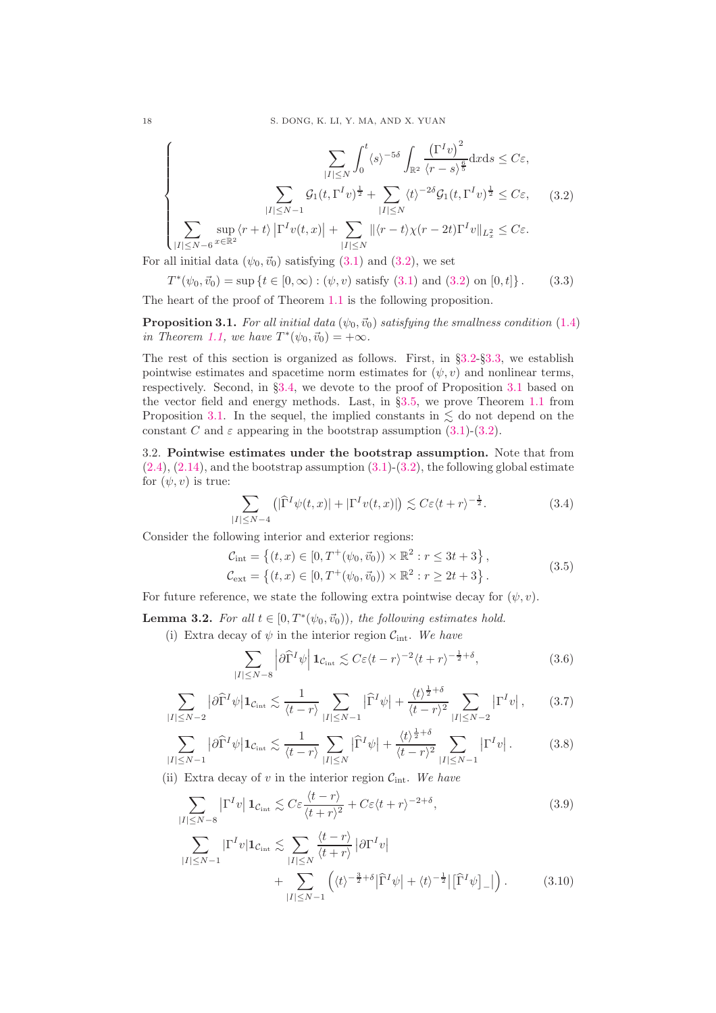<span id="page-17-1"></span>
$$
\left\{\sum_{|I|\leq N}\int_{0}^{t}\langle s\rangle^{-5\delta}\int_{\mathbb{R}^{2}}\frac{\left(\Gamma^{I}v\right)^{2}}{\langle r-s\rangle^{\frac{6}{5}}}\mathrm{d}x\mathrm{d}s\leq C\varepsilon,\right\}
$$
\n
$$
\sum_{|I|\leq N-1}\mathcal{G}_{1}(t,\Gamma^{I}v)^{\frac{1}{2}}+\sum_{|I|\leq N}\langle t\rangle^{-2\delta}\mathcal{G}_{1}(t,\Gamma^{I}v)^{\frac{1}{2}}\leq C\varepsilon,\quad(3.2)
$$
\n
$$
\sum_{|I|\leq N-6}\sup_{x\in\mathbb{R}^{2}}\langle r+t\rangle\left|\Gamma^{I}v(t,x)\right|+\sum_{|I|\leq N}\|\langle r-t\rangle\chi(r-2t)\Gamma^{I}v\|_{L_{x}^{2}}\leq C\varepsilon.
$$

For all initial data  $(\psi_0, \vec{v}_0)$  satisfying  $(3.1)$  and  $(3.2)$ , we set

$$
T^*(\psi_0, \vec{v}_0) = \sup \{ t \in [0, \infty) : (\psi, v) \text{ satisfy (3.1) and (3.2) on } [0, t] \}. \tag{3.3}
$$

The heart of the proof of Theorem [1.1](#page-1-2) is the following proposition.

<span id="page-17-2"></span>**Proposition 3.1.** For all initial data  $(\psi_0, \vec{v}_0)$  satisfying the smallness condition [\(1.4\)](#page-1-3) in Theorem [1.1,](#page-1-2) we have  $T^*(\psi_0, \vec{v}_0) = +\infty$ .

The rest of this section is organized as follows. First, in §[3.2-](#page-17-0)§[3.3,](#page-19-0) we establish pointwise estimates and spacetime norm estimates for  $(\psi, v)$  and nonlinear terms, respectively. Second, in §[3.4,](#page-34-0) we devote to the proof of Proposition [3.1](#page-17-2) based on the vector field and energy methods. Last, in §[3.5,](#page-38-0) we prove Theorem [1.1](#page-1-2) from Proposition [3.1.](#page-17-2) In the sequel, the implied constants in  $\leq$  do not depend on the constant C and  $\varepsilon$  appearing in the bootstrap assumption [\(3.1\)](#page-16-3)-[\(3.2\)](#page-17-1).

<span id="page-17-0"></span>3.2. Pointwise estimates under the bootstrap assumption. Note that from  $(2.4), (2.14),$  $(2.4), (2.14),$  $(2.4), (2.14),$  $(2.4), (2.14),$  and the bootstrap assumption  $(3.1)-(3.2)$  $(3.1)-(3.2)$ , the following global estimate for  $(\psi, v)$  is true:

<span id="page-17-6"></span>
$$
\sum_{|I| \le N-4} \left( |\widehat{\Gamma}^I \psi(t, x)| + |\Gamma^I v(t, x)| \right) \lesssim C \varepsilon \langle t + r \rangle^{-\frac{1}{2}}.
$$
 (3.4)

Consider the following interior and exterior regions:

$$
\mathcal{C}_{\text{int}} = \left\{ (t, x) \in [0, T^+(\psi_0, \vec{v}_0)) \times \mathbb{R}^2 : r \le 3t + 3 \right\}, \n\mathcal{C}_{\text{ext}} = \left\{ (t, x) \in [0, T^+(\psi_0, \vec{v}_0)) \times \mathbb{R}^2 : r \ge 2t + 3 \right\}.
$$
\n(3.5)

For future reference, we state the following extra pointwise decay for  $(\psi, v)$ .

**Lemma 3.2.** For all  $t \in [0, T^*(\psi_0, \vec{v}_0))$ , the following estimates hold.

(i) Extra decay of  $\psi$  in the interior region  $C_{int}$ . We have

<span id="page-17-7"></span><span id="page-17-5"></span><span id="page-17-4"></span><span id="page-17-3"></span>
$$
\sum_{|I| \le N-8} \left| \partial \widehat{\Gamma}^I \psi \right| \mathbf{1}_{\mathcal{C}_{\text{int}}} \lesssim C \varepsilon \langle t-r \rangle^{-2} \langle t+r \rangle^{-\frac{1}{2}+\delta},\tag{3.6}
$$

$$
\sum_{|I| \le N-2} |\partial \widehat{\Gamma}^I \psi| \mathbf{1}_{\mathcal{C}_{\rm int}} \lesssim \frac{1}{\langle t - r \rangle} \sum_{|I| \le N-1} |\widehat{\Gamma}^I \psi| + \frac{\langle t \rangle^{\frac{1}{2}+\delta}}{\langle t - r \rangle^2} \sum_{|I| \le N-2} |\Gamma^I v|, \qquad (3.7)
$$

$$
\sum_{|I| \le N-1} |\partial \widehat{\Gamma}^I \psi| \mathbf{1}_{\mathcal{C}_{\text{int}}} \lesssim \frac{1}{\langle t - r \rangle} \sum_{|I| \le N} |\widehat{\Gamma}^I \psi| + \frac{\langle t \rangle^{\frac{1}{2}+\delta}}{\langle t - r \rangle^2} \sum_{|I| \le N-1} |\Gamma^I v|.
$$
 (3.8)

(ii) Extra decay of v in the interior region  $C_{\text{int}}$ . We have

$$
\sum_{|I| \le N-8} |\Gamma^I v| \mathbf{1}_{\mathcal{C}_{\text{int}}} \lesssim C \varepsilon \frac{\langle t - r \rangle}{\langle t + r \rangle^2} + C \varepsilon \langle t + r \rangle^{-2+\delta},\tag{3.9}
$$

<span id="page-17-8"></span>
$$
\sum_{|I| \le N-1} |\Gamma^I v| \mathbf{1}_{\mathcal{C}_{int}} \lesssim \sum_{|I| \le N} \frac{\langle t - r \rangle}{\langle t + r \rangle} |\partial \Gamma^I v| + \sum_{|I| \le N-1} \left( \langle t \rangle^{-\frac{3}{2} + \delta} |\widehat{\Gamma}^I \psi| + \langle t \rangle^{-\frac{1}{2}} |[\widehat{\Gamma}^I \psi]_{-}|\right).
$$
 (3.10)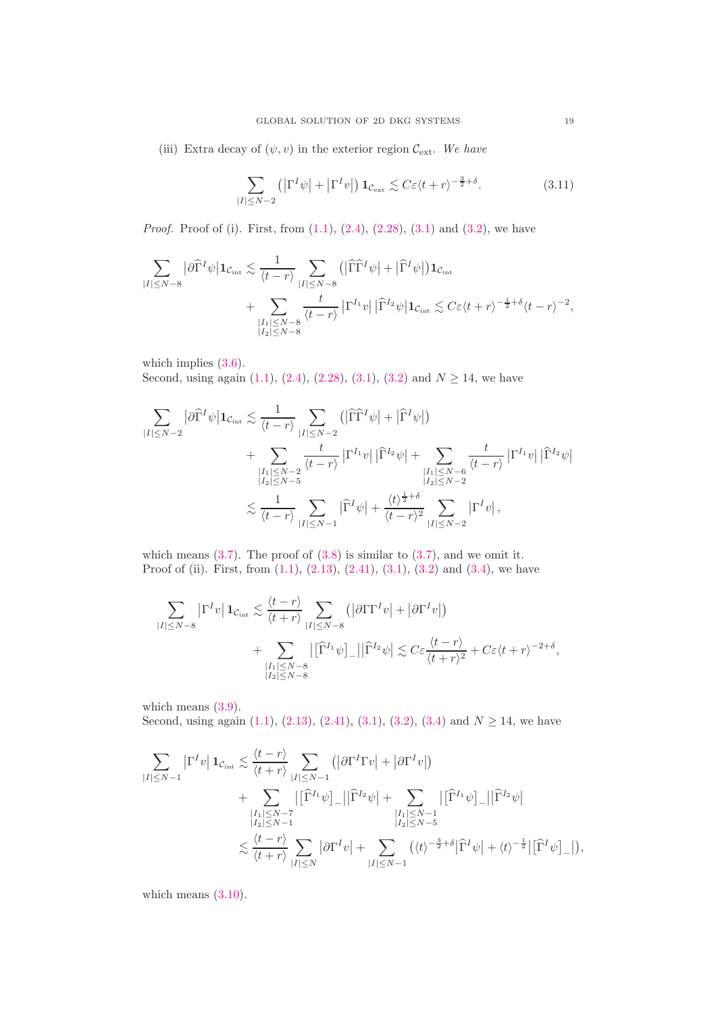(iii) Extra decay of  $(\psi, v)$  in the exterior region  $\mathcal{C}_{ext}$ . We have

<span id="page-18-0"></span>
$$
\sum_{|I| \le N-2} \left( \left| \Gamma^I \psi \right| + \left| \Gamma^I v \right| \right) \mathbf{1}_{\mathcal{C}_{\text{ext}}} \lesssim C \varepsilon \langle t + r \rangle^{-\frac{3}{2} + \delta}.
$$
 (3.11)

*Proof.* Proof of (i). First, from  $(1.1)$ ,  $(2.4)$ ,  $(2.28)$ ,  $(3.1)$  and  $(3.2)$ , we have

$$
\begin{split} \sum_{|I|\leq N-8}\big|\partial \widehat\Gamma^I\psi\big|{\bf 1}_{\mathcal{C}_{\rm int}}&\lesssim \frac{1}{\langle t-r\rangle}\sum_{|I|\leq N-8}\big(\big|\widehat\Gamma\widehat\Gamma^I\psi\big|+\big|\widehat\Gamma^I\psi\big|\big){\bf 1}_{\mathcal{C}_{\rm int}}\\ &+\sum_{\substack{|I_1|\leq N-8\\|I_2|\leq N-8}}\frac{t}{\langle t-r\rangle}\,\big|\Gamma^{I_1}v\big|\,\big|\widehat\Gamma^{I_2}\psi\big|{\bf 1}_{\mathcal{C}_{\rm int}}&\lesssim C\varepsilon\langle t+r\rangle^{-\frac{1}{2}+\delta}\langle t-r\rangle^{-2}, \end{split}
$$

which implies  $(3.6)$ .

Second, using again [\(1.1\)](#page-0-0), [\(2.4\)](#page-6-3), [\(2.28\)](#page-10-3), [\(3.1\)](#page-16-3), [\(3.2\)](#page-17-1) and  $N \ge 14$ , we have

$$
\sum_{|I| \leq N-2} |\partial \widehat{\Gamma}^I \psi| \mathbf{1}_{\mathcal{C}_{\rm int}} \lesssim \frac{1}{\langle t - r \rangle} \sum_{|I| \leq N-2} (|\widehat{\Gamma}\widehat{\Gamma}^I \psi| + |\widehat{\Gamma}^I \psi|)
$$
  
+ 
$$
\sum_{\substack{|I_1| \leq N-2 \\ |I_2| \leq N-5}} \frac{t}{\langle t - r \rangle} |\Gamma^{I_1} v| |\widehat{\Gamma}^{I_2} \psi| + \sum_{\substack{|I_1| \leq N-6 \\ |I_2| \leq N-2}} \frac{t}{\langle t - r \rangle} |\Gamma^{I_1} v| |\widehat{\Gamma}^{I_2} \psi|
$$
  

$$
\lesssim \frac{1}{\langle t - r \rangle} \sum_{|I| \leq N-1} |\widehat{\Gamma}^I \psi| + \frac{\langle t \rangle^{\frac{1}{2}+\delta}}{\langle t - r \rangle^2} \sum_{|I| \leq N-2} |\Gamma^I v|,
$$

which means  $(3.7)$ . The proof of  $(3.8)$  is similar to  $(3.7)$ , and we omit it. Proof of (ii). First, from [\(1.1\)](#page-0-0), [\(2.13\)](#page-7-1), [\(2.41\)](#page-13-1), [\(3.1\)](#page-16-3), [\(3.2\)](#page-17-1) and [\(3.4\)](#page-17-6), we have

$$
\sum_{|I| \leq N-8} |\Gamma^I v| \mathbf{1}_{\mathcal{C}_{int}} \lesssim \frac{\langle t - r \rangle}{\langle t + r \rangle} \sum_{|I| \leq N-8} (|\partial \Gamma \Gamma^I v| + |\partial \Gamma^I v|)
$$
  
+ 
$$
\sum_{\substack{|I_1| \leq N-8 \\ |I_2| \leq N-8}} |[\widehat{\Gamma}^{I_1} \psi]_-||\widehat{\Gamma}^{I_2} \psi| \lesssim C \varepsilon \frac{\langle t - r \rangle}{\langle t + r \rangle^2} + C \varepsilon \langle t + r \rangle^{-2+\delta},
$$

which means  $(3.9)$ . Second, using again [\(1.1\)](#page-0-0), [\(2.13\)](#page-7-1), [\(2.41\)](#page-13-1), [\(3.1\)](#page-16-3), [\(3.2\)](#page-17-1), [\(3.4\)](#page-17-6) and  $N \ge 14$ , we have

$$
\sum_{|I| \leq N-1} |\Gamma^I v| \mathbf{1}_{\mathcal{C}_{\text{int}}} \lesssim \frac{\langle t - r \rangle}{\langle t + r \rangle} \sum_{|I| \leq N-1} (|\partial \Gamma^I \Gamma v| + |\partial \Gamma^I v|)
$$
\n
$$
+ \sum_{\substack{|I_1| \leq N-7 \\ |I_2| \leq N-1}} |[\widehat{\Gamma}^{I_1} \psi]_{-}||\widehat{\Gamma}^{I_2} \psi| + \sum_{\substack{|I_1| \leq N-1 \\ |I_2| \leq N-5}} |[\widehat{\Gamma}^{I_1} \psi]_{-}||\widehat{\Gamma}^{I_2} \psi|
$$
\n
$$
\lesssim \frac{\langle t - r \rangle}{\langle t + r \rangle} \sum_{|I| \leq N} |\partial \Gamma^I v| + \sum_{|I| \leq N-1} (\langle t \rangle^{-\frac{3}{2} + \delta} |\widehat{\Gamma}^I \psi| + \langle t \rangle^{-\frac{1}{2}} |[\widehat{\Gamma}^I \psi]_{-}|),
$$

which means  $(3.10)$ .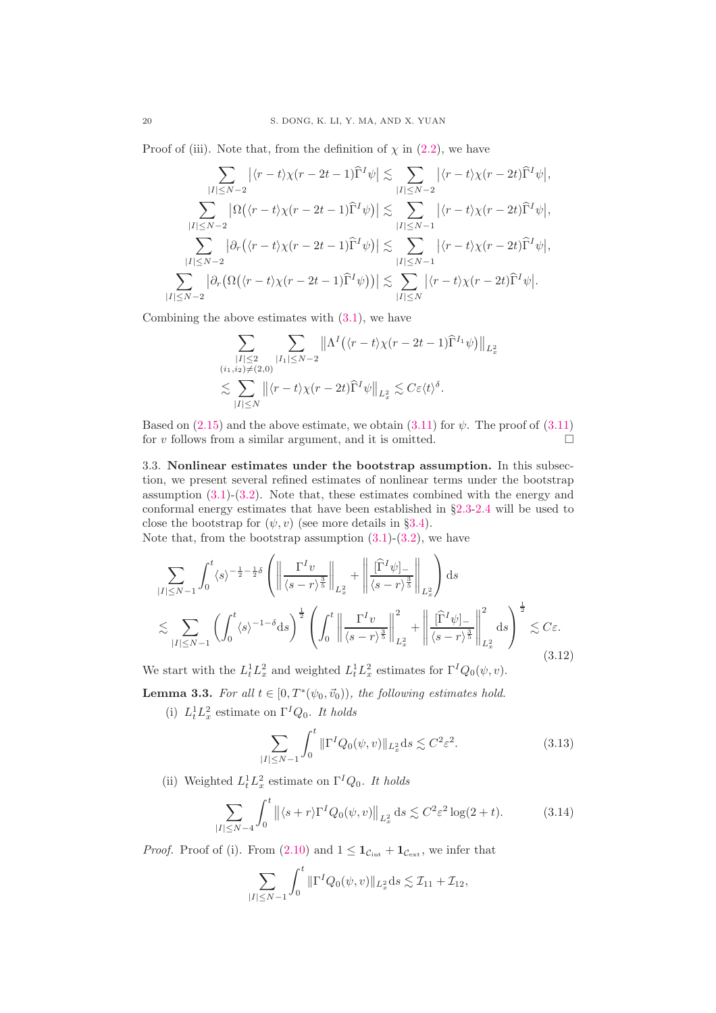Proof of (iii). Note that, from the definition of  $\chi$  in [\(2.2\)](#page-5-1), we have

$$
\sum_{|I| \leq N-2} |\langle r-t \rangle \chi(r-2t-1) \widehat{\Gamma}^I \psi| \lesssim \sum_{|I| \leq N-2} |\langle r-t \rangle \chi(r-2t) \widehat{\Gamma}^I \psi|,
$$
\n
$$
\sum_{|I| \leq N-2} |\Omega((r-t)\chi(r-2t-1) \widehat{\Gamma}^I \psi)| \lesssim \sum_{|I| \leq N-1} |\langle r-t \rangle \chi(r-2t) \widehat{\Gamma}^I \psi|,
$$
\n
$$
\sum_{|I| \leq N-2} |\partial_r (\langle r-t \rangle \chi(r-2t-1) \widehat{\Gamma}^I \psi)| \lesssim \sum_{|I| \leq N-1} |\langle r-t \rangle \chi(r-2t) \widehat{\Gamma}^I \psi|,
$$
\n
$$
\sum_{|I| \leq N-2} |\partial_r (\Omega(\langle r-t \rangle \chi(r-2t-1) \widehat{\Gamma}^I \psi))| \lesssim \sum_{|I| \leq N} |\langle r-t \rangle \chi(r-2t) \widehat{\Gamma}^I \psi|.
$$

Combining the above estimates with  $(3.1)$ , we have

$$
\sum_{\substack{|I| \leq 2 \\ (i_1, i_2) \neq (2, 0)}} \sum_{\substack{|I_1| \leq N-2 \\ |I| \leq N}} \left\| \Lambda^I \left( \langle r-t \rangle \chi (r - 2t - 1) \widehat{\Gamma}^{I_1} \psi \right) \right\|_{L_x^2} \n\lesssim \sum_{|I| \leq N} \left\| \langle r-t \rangle \chi (r - 2t) \widehat{\Gamma}^I \psi \right\|_{L_x^2} \lesssim C \varepsilon \langle t \rangle^{\delta}.
$$

Based on  $(2.15)$  and the above estimate, we obtain  $(3.11)$  for  $\psi$ . The proof of  $(3.11)$ for v follows from a similar argument, and it is omitted.  $\square$ 

<span id="page-19-0"></span>3.3. Nonlinear estimates under the bootstrap assumption. In this subsection, we present several refined estimates of nonlinear terms under the bootstrap assumption  $(3.1)-(3.2)$  $(3.1)-(3.2)$ . Note that, these estimates combined with the energy and conformal energy estimates that have been established in §[2.3-](#page-8-9)[2.4](#page-10-7) will be used to close the bootstrap for  $(\psi, v)$  (see more details in §[3.4\)](#page-34-0).

Note that, from the bootstrap assumption  $(3.1)-(3.2)$  $(3.1)-(3.2)$ , we have

<span id="page-19-2"></span>
$$
\sum_{|I| \le N-1} \int_0^t \langle s \rangle^{-\frac{1}{2} - \frac{1}{2}\delta} \left( \left\| \frac{\Gamma^I v}{\langle s - r \rangle^{\frac{3}{5}}} \right\|_{L_x^2} + \left\| \frac{[\widehat{\Gamma}^I \psi]_{-}}{\langle s - r \rangle^{\frac{3}{5}}} \right\|_{L_x^2} \right) ds
$$
  

$$
\lesssim \sum_{|I| \le N-1} \left( \int_0^t \langle s \rangle^{-1-\delta} ds \right)^{\frac{1}{2}} \left( \int_0^t \left\| \frac{\Gamma^I v}{\langle s - r \rangle^{\frac{3}{5}}} \right\|_{L_x^2}^2 + \left\| \frac{[\widehat{\Gamma}^I \psi]_{-}}{\langle s - r \rangle^{\frac{3}{5}}} \right\|_{L_x^2}^2 ds \right)^{\frac{1}{2}} \lesssim C\varepsilon.
$$
(3.12)

We start with the  $L_t^1 L_x^2$  and weighted  $L_t^1 L_x^2$  estimates for  $\Gamma^I Q_0(\psi, v)$ .

<span id="page-19-4"></span>**Lemma 3.3.** For all  $t \in [0, T^*(\psi_0, \vec{v}_0))$ , the following estimates hold.

(i)  $L_t^1 L_x^2$  estimate on  $\Gamma^I Q_0$ . It holds

<span id="page-19-1"></span>
$$
\sum_{|I| \le N-1} \int_0^t \|\Gamma^I Q_0(\psi, v)\|_{L_x^2} ds \lesssim C^2 \varepsilon^2. \tag{3.13}
$$

(ii) Weighted  $L_t^1 L_x^2$  estimate on  $\Gamma^I Q_0$ . It holds

<span id="page-19-3"></span>
$$
\sum_{|I| \le N-4} \int_0^t \left\| \langle s+r \rangle \Gamma^I Q_0(\psi, v) \right\|_{L^2_x} ds \lesssim C^2 \varepsilon^2 \log(2+t). \tag{3.14}
$$

*Proof.* Proof of (i). From [\(2.10\)](#page-6-2) and  $1 \leq \mathbf{1}_{\mathcal{C}_{int}} + \mathbf{1}_{\mathcal{C}_{ext}}$ , we infer that

$$
\sum_{|I| \le N-1} \int_0^t \|\Gamma^I Q_0(\psi, v)\|_{L_x^2} ds \lesssim \mathcal{I}_{11} + \mathcal{I}_{12},
$$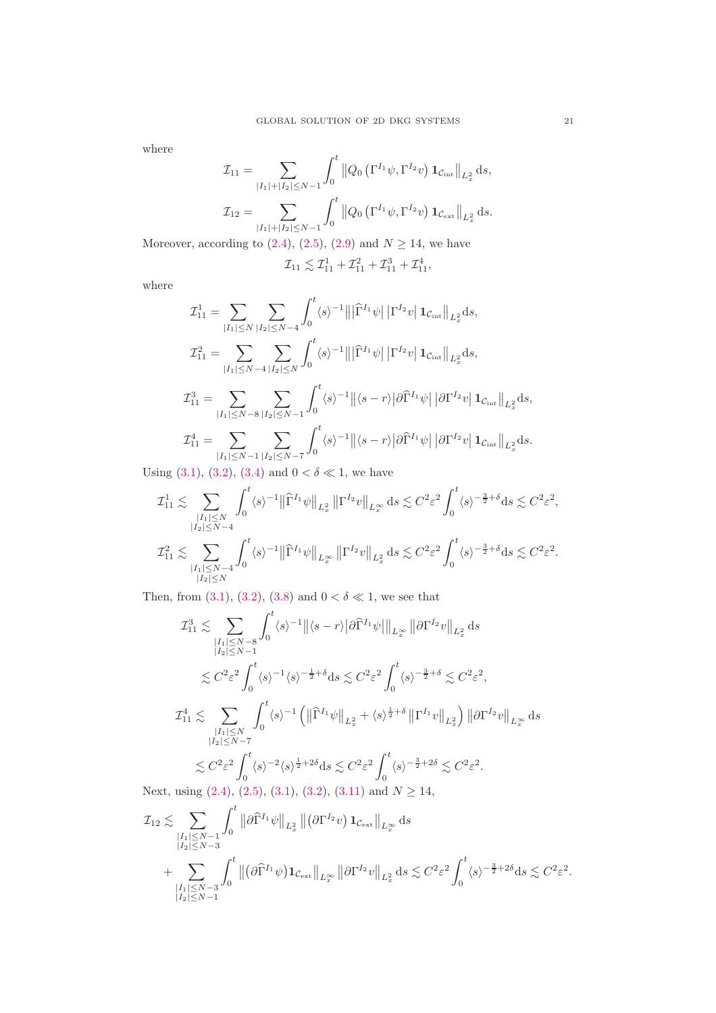where

$$
\mathcal{I}_{11} = \sum_{|I_{1}|+|I_{2}| \leq N-1} \int_{0}^{t} ||Q_{0} ( \Gamma^{I_{1}} \psi, \Gamma^{I_{2}} v) \mathbf{1}_{\mathcal{C}_{int}} ||_{L_{x}^{2}} ds,
$$
  

$$
\mathcal{I}_{12} = \sum_{|I_{1}|+|I_{2}| \leq N-1} \int_{0}^{t} ||Q_{0} ( \Gamma^{I_{1}} \psi, \Gamma^{I_{2}} v) \mathbf{1}_{\mathcal{C}_{ext}} ||_{L_{x}^{2}} ds.
$$

Moreover, according to  $(2.4)$ ,  $(2.5)$ ,  $(2.9)$  and  $N \ge 14$ , we have

$$
\mathcal{I}_{11} \lesssim \mathcal{I}_{11}^1 + \mathcal{I}_{11}^2 + \mathcal{I}_{11}^3 + \mathcal{I}_{11}^4,
$$

where

$$
\mathcal{I}_{11}^{1} = \sum_{|I_{1}| \leq N} \sum_{|I_{2}| \leq N-4} \int_{0}^{t} \langle s \rangle^{-1} |||\hat{\Gamma}^{I_{1}} \psi|| \Gamma^{I_{2}} v| \mathbf{1}_{\mathcal{C}_{int}} ||_{L_{x}^{2}} ds,
$$
\n
$$
\mathcal{I}_{11}^{2} = \sum_{|I_{1}| \leq N-4} \sum_{|I_{2}| \leq N} \int_{0}^{t} \langle s \rangle^{-1} |||\hat{\Gamma}^{I_{1}} \psi|| \Gamma^{I_{2}} v| \mathbf{1}_{\mathcal{C}_{int}} ||_{L_{x}^{2}} ds,
$$
\n
$$
\mathcal{I}_{11}^{3} = \sum_{|I_{1}| \leq N-8} \sum_{|I_{2}| \leq N-1} \int_{0}^{t} \langle s \rangle^{-1} ||\langle s-r \rangle | \partial \hat{\Gamma}^{I_{1}} \psi| |\partial \Gamma^{I_{2}} v| \mathbf{1}_{\mathcal{C}_{int}} ||_{L_{x}^{2}} ds,
$$
\n
$$
\mathcal{I}_{11}^{4} = \sum_{|I_{1}| \leq N-1} \sum_{|I_{2}| \leq N-7} \int_{0}^{t} \langle s \rangle^{-1} ||\langle s-r \rangle | \partial \hat{\Gamma}^{I_{1}} \psi| |\partial \Gamma^{I_{2}} v| \mathbf{1}_{\mathcal{C}_{int}} ||_{L_{x}^{2}} ds.
$$
\n
$$
(8.1)_{1} (8.2)_{1} (9.1)_{2} (9.1)_{3} (9.1)_{4} (10.1)_{5} (11.1)_{5} (11.1)_{6} (11.1)_{7} (11.1)_{7} (11.1)_{8} (11.1)_{9} (11.1)_{10} (11.1)_{11} (11.1)_{12} (11.1)_{13} (11.1)_{14} (11.1)_{15} (11.1)_{16} (11.1)_{17} (11.1)_{18} (11.1)_{19} (11.1)_{19} (11.1)_{10} (11.1)_{10} (11.1)_{11} (11.1)_{12} (11.1)_{13} (11.1)_{14} (11.1)_{15
$$

Using [\(3.1\)](#page-16-3), [\(3.2\)](#page-17-1), [\(3.4\)](#page-17-6) and  $0 < \delta \ll 1$ , we have

$$
\mathcal{I}_{11}^1 \lesssim \sum_{\substack{|I_1| \leq N \\ |I_2| \leq N-4}} \int_0^t \langle s \rangle^{-1} \|\widehat{\Gamma}^{I_1} \psi\|_{L_x^2} \left\| \Gamma^{I_2} v \right\|_{L_x^\infty} ds \lesssim C^2 \varepsilon^2 \int_0^t \langle s \rangle^{-\frac{3}{2}+\delta} ds \lesssim C^2 \varepsilon^2,
$$
  

$$
\mathcal{I}_{11}^2 \lesssim \sum_{\substack{|I_1| \leq N-4 \\ |I_2| \leq N}} \int_0^t \langle s \rangle^{-1} \|\widehat{\Gamma}^{I_1} \psi\|_{L_x^\infty} \left\| \Gamma^{I_2} v \right\|_{L_x^2} ds \lesssim C^2 \varepsilon^2 \int_0^t \langle s \rangle^{-\frac{3}{2}+\delta} ds \lesssim C^2 \varepsilon^2.
$$

Then, from  $(3.1)$ ,  $(3.2)$ ,  $(3.8)$  and  $0 < \delta \ll 1$ , we see that

$$
\mathcal{I}_{11}^{3} \lesssim \sum_{\substack{|I_{1}| \leq N-8 \\ |I_{2}| \leq N-1}} \int_{0}^{t} \langle s \rangle^{-1} \|\langle s-r \rangle \|\partial \widehat{\Gamma}^{I_{1}} \psi\|_{L_{x}^{\infty}} \|\partial \Gamma^{I_{2}} v\|_{L_{x}^{2}} ds
$$
\n
$$
\lesssim C^{2} \varepsilon^{2} \int_{0}^{t} \langle s \rangle^{-1} \langle s \rangle^{-\frac{1}{2}+\delta} ds \lesssim C^{2} \varepsilon^{2} \int_{0}^{t} \langle s \rangle^{-\frac{3}{2}+\delta} \lesssim C^{2} \varepsilon^{2},
$$
\n
$$
\mathcal{I}_{11}^{4} \lesssim \sum_{\substack{|I_{1}| \leq N \\ |I_{2}| \leq N-7}} \int_{0}^{t} \langle s \rangle^{-1} \left( \|\widehat{\Gamma}^{I_{1}} \psi\|_{L_{x}^{2}} + \langle s \rangle^{\frac{1}{2}+\delta} \|\Gamma^{I_{1}} v\|_{L_{x}^{2}} \right) \|\partial \Gamma^{I_{2}} v\|_{L_{x}^{\infty}} ds
$$
\n
$$
\lesssim C^{2} \varepsilon^{2} \int_{0}^{t} \langle s \rangle^{-2} \langle s \rangle^{\frac{1}{2}+2\delta} ds \lesssim C^{2} \varepsilon^{2} \int_{0}^{t} \langle s \rangle^{-\frac{3}{2}+2\delta} \lesssim C^{2} \varepsilon^{2}.
$$
\nusing (2.4), (2.5), (3.1), (3.2), (3.11), and  $N > 14$ 

Next, using  $(2.4)$ ,  $(2.5)$ ,  $(3.1)$ ,  $(3.2)$ ,  $(3.11)$  and  $N \ge 14$ ,

$$
\mathcal{I}_{12} \lesssim \sum_{\substack{|I_1| \leq N-1 \\ |I_2| \leq N-3}} \int_0^t \left\| \partial \widehat{\Gamma}^{I_1} \psi \right\|_{L_x^2} \left\| \left( \partial \Gamma^{I_2} v \right) \mathbf{1}_{\mathcal{C}_{\text{ext}}} \right\|_{L_x^{\infty}} ds \n+ \sum_{\substack{|I_1| \leq N-3 \\ |I_2| \leq N-1}} \int_0^t \left\| \left( \partial \widehat{\Gamma}^{I_1} \psi \right) \mathbf{1}_{\mathcal{C}_{\text{ext}}} \right\|_{L_x^{\infty}} \left\| \partial \Gamma^{I_2} v \right\|_{L_x^2} ds \lesssim C^2 \varepsilon^2 \int_0^t \langle s \rangle^{-\frac{3}{2} + 2\delta} ds \lesssim C^2 \varepsilon^2.
$$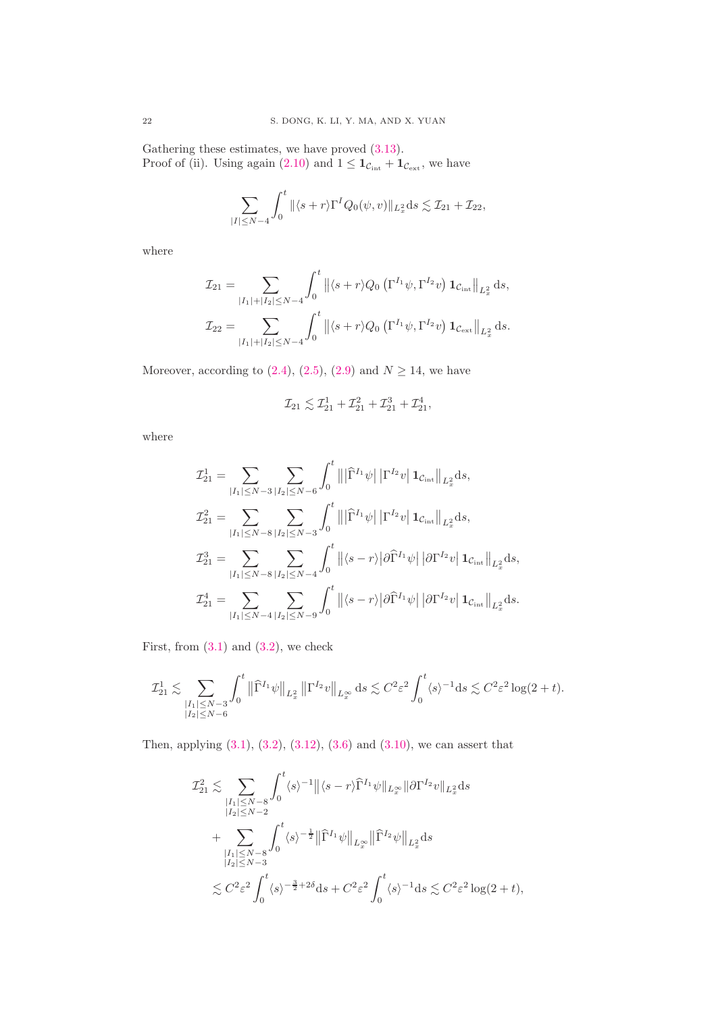Gathering these estimates, we have proved [\(3.13\)](#page-19-1). Proof of (ii). Using again [\(2.10\)](#page-6-2) and  $1 \leq \mathbf{1}_{\mathcal{C}_{int}} + \mathbf{1}_{\mathcal{C}_{ext}}$ , we have

$$
\sum_{|I| \le N-4} \int_0^t \|\langle s+r \rangle \Gamma^I Q_0(\psi, v) \|_{L_x^2} ds \lesssim \mathcal{I}_{21} + \mathcal{I}_{22},
$$

where

$$
\mathcal{I}_{21} = \sum_{|I_{1}|+|I_{2}| \leq N-4} \int_{0}^{t} \left\| \langle s+r \rangle Q_{0} \left( \Gamma^{I_{1}} \psi, \Gamma^{I_{2}} v \right) \mathbf{1}_{\mathcal{C}_{int}} \right\|_{L_{x}^{2}} ds,
$$
  

$$
\mathcal{I}_{22} = \sum_{|I_{1}|+|I_{2}| \leq N-4} \int_{0}^{t} \left\| \langle s+r \rangle Q_{0} \left( \Gamma^{I_{1}} \psi, \Gamma^{I_{2}} v \right) \mathbf{1}_{\mathcal{C}_{ext}} \right\|_{L_{x}^{2}} ds.
$$

Moreover, according to  $(2.4)$ ,  $(2.5)$ ,  $(2.9)$  and  $N \ge 14$ , we have

$$
\mathcal{I}_{21} \lesssim \mathcal{I}_{21}^1 + \mathcal{I}_{21}^2 + \mathcal{I}_{21}^3 + \mathcal{I}_{21}^4,
$$

where

$$
\begin{aligned} \mathcal{I}^{1}_{21} &= \sum_{|I_{1}| \leq N-3}\sum_{|I_{2}| \leq N-6}\int_{0}^{t}\left\|\left|\widehat{\Gamma}^{I_{1}} \psi\right|\left|\Gamma^{I_{2}} v\right|{\bf 1}_{\mathcal{C}_{\rm int}}\right\|_{L_{x}^{2}}{\rm d} s, \\ \mathcal{I}^{2}_{21} &= \sum_{|I_{1}| \leq N-8}\sum_{|I_{2}| \leq N-3}\int_{0}^{t}\left\|\left|\widehat{\Gamma}^{I_{1}} \psi\right|\left|\Gamma^{I_{2}} v\right|{\bf 1}_{\mathcal{C}_{\rm int}}\right\|_{L_{x}^{2}}{\rm d} s, \\ \mathcal{I}^{3}_{21} &= \sum_{|I_{1}| \leq N-8}\sum_{|I_{2}| \leq N-4}\int_{0}^{t}\left\|\left\langle s-r\right\rangle\left|\partial\widehat{\Gamma}^{I_{1}} \psi\right|\left|\partial\Gamma^{I_{2}} v\right|{\bf 1}_{\mathcal{C}_{\rm int}}\right\|_{L_{x}^{2}}{\rm d} s, \\ \mathcal{I}^{4}_{21} &= \sum_{|I_{1}| \leq N-4}\sum_{|I_{2}| \leq N-9}\int_{0}^{t}\left\|\left\langle s-r\right\rangle\left|\partial\widehat{\Gamma}^{I_{1}} \psi\right|\left|\partial\Gamma^{I_{2}} v\right|{\bf 1}_{\mathcal{C}_{\rm int}}\right\|_{L_{x}^{2}}{\rm d} s. \end{aligned}
$$

First, from  $(3.1)$  and  $(3.2)$ , we check

$$
\mathcal{I}^1_{21} \lesssim \sum_{\substack{|I_1| \leq N-3 \\ |I_2| \leq N-6}} \int_0^t \left\|\widehat \Gamma^{I_1}\psi \right\|_{L_x^2} \left\|\Gamma^{I_2}v\right\|_{L_x^\infty} \mathrm{d} s \lesssim C^2 \varepsilon^2 \int_0^t \langle s \rangle^{-1} \mathrm{d} s \lesssim C^2 \varepsilon^2 \log(2+t).
$$

Then, applying [\(3.1\)](#page-16-3), [\(3.2\)](#page-17-1), [\(3.12\)](#page-19-2), [\(3.6\)](#page-17-3) and [\(3.10\)](#page-17-8), we can assert that

$$
\mathcal{I}_{21}^2 \lesssim \sum_{\substack{|I_1| \leq N-8 \\ |I_2| \leq N-2}} \int_0^t \langle s \rangle^{-1} \|\langle s-r \rangle \widehat{\Gamma}^{I_1} \psi \|_{L_x^{\infty}} \|\partial \Gamma^{I_2} v \|_{L_x^2} ds \n+ \sum_{\substack{|I_1| \leq N-8 \\ |I_2| \leq N-3}} \int_0^t \langle s \rangle^{-\frac{1}{2}} \|\widehat{\Gamma}^{I_1} \psi \|_{L_x^{\infty}} \|\widehat{\Gamma}^{I_2} \psi \|_{L_x^2} ds \n\lesssim C^2 \varepsilon^2 \int_0^t \langle s \rangle^{-\frac{3}{2}+2\delta} ds + C^2 \varepsilon^2 \int_0^t \langle s \rangle^{-1} ds \lesssim C^2 \varepsilon^2 \log(2+t),
$$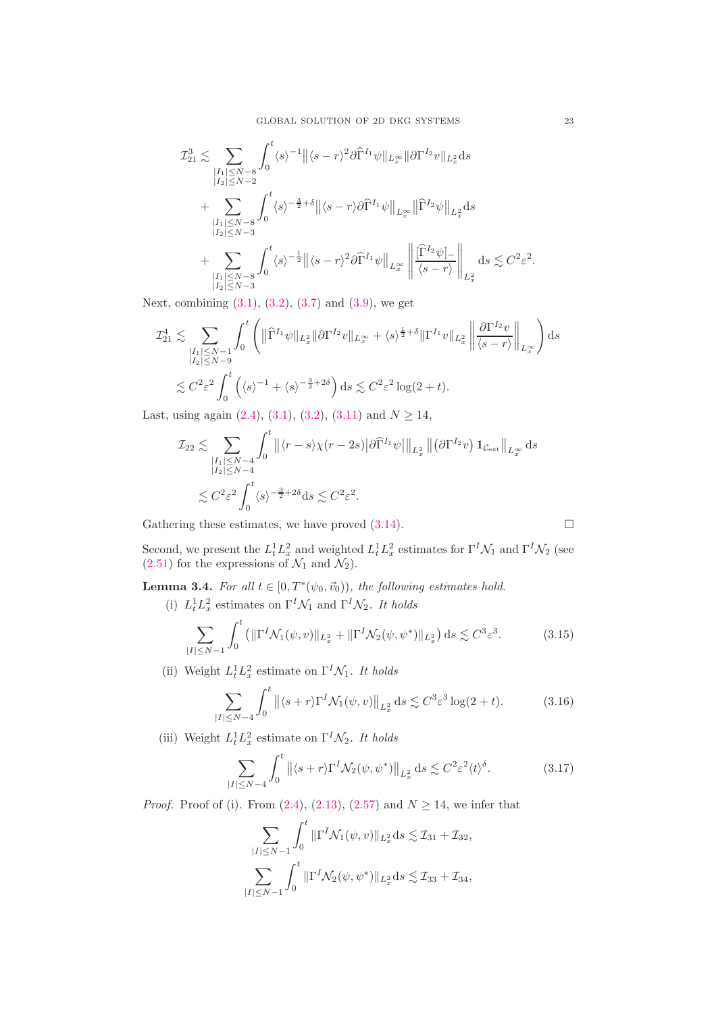$$
\mathcal{I}_{21}^{3} \lesssim \sum_{\substack{|I_{1}| \leq N-8 \\ |I_{2}| \leq N-2}} \int_{0}^{t} \langle s \rangle^{-1} \|\langle s-r \rangle^{2} \partial \widehat{\Gamma}^{I_{1}} \psi \|_{L_{x}^{\infty}} \|\partial \Gamma^{I_{2}} v\|_{L_{x}^{2}} ds \n+ \sum_{\substack{|I_{1}| \leq N-8 \\ |I_{2}| \leq N-3}} \int_{0}^{t} \langle s \rangle^{-\frac{3}{2}+\delta} \|\langle s-r \rangle \partial \widehat{\Gamma}^{I_{1}} \psi \|_{L_{x}^{\infty}} \|\widehat{\Gamma}^{I_{2}} \psi \|_{L_{x}^{2}} ds \n+ \sum_{\substack{|I_{1}| \leq N-8 \\ |I_{2}| \leq N-3}} \int_{0}^{t} \langle s \rangle^{-\frac{1}{2}} \|\langle s-r \rangle^{2} \partial \widehat{\Gamma}^{I_{1}} \psi \|_{L_{x}^{\infty}} \left\|\frac{\widehat{\Gamma}^{I_{2}} \psi|_{-}}{\langle s-r \rangle} \right\|_{L_{x}^{2}} ds \lesssim C^{2} \varepsilon^{2}.
$$

Next, combining [\(3.1\)](#page-16-3), [\(3.2\)](#page-17-1), [\(3.7\)](#page-17-4) and [\(3.9\)](#page-17-7), we get

$$
\mathcal{I}_{21}^{4} \lesssim \sum_{\substack{|I_{1}| \leq N-1 \\ |I_{2}| \leq N-9}} \int_{0}^{t} \left( \|\widehat{\Gamma}^{I_{1}} \psi\|_{L_{x}^{2}} \|\partial \Gamma^{I_{2}} v\|_{L_{x}^{\infty}} + \langle s \rangle^{\frac{1}{2}+\delta} \|\Gamma^{I_{1}} v\|_{L_{x}^{2}} \left\| \frac{\partial \Gamma^{I_{2}} v}{\langle s-r \rangle} \right\|_{L_{x}^{\infty}} \right) ds
$$
  

$$
\lesssim C^{2} \varepsilon^{2} \int_{0}^{t} \left( \langle s \rangle^{-1} + \langle s \rangle^{-\frac{3}{2}+2\delta} \right) ds \lesssim C^{2} \varepsilon^{2} \log(2+t).
$$

Last, using again  $(2.4)$ ,  $(3.1)$ ,  $(3.2)$ ,  $(3.11)$  and  $N > 14$ ,

$$
\mathcal{I}_{22} \lesssim \sum_{\substack{|I_1| \le N-4 \\ |I_2| \le N-4}} \int_0^t \left\| \langle r-s \rangle \chi(r-2s) \right| \partial \widehat{\Gamma}^{I_1} \psi \left| \left\|_{L_x^2} \right. \left\| \left( \partial \Gamma^{I_2} v \right) \mathbf{1}_{\mathcal{C}_{\text{ext}}} \right\|_{L_x^{\infty}} ds
$$
  

$$
\lesssim C^2 \varepsilon^2 \int_0^t \langle s \rangle^{-\frac{3}{2} + 2\delta} ds \lesssim C^2 \varepsilon^2.
$$

Gathering these estimates, we have proved [\(3.14\)](#page-19-3).

$$
\Box
$$

Second, we present the  $L_t^1 L_x^2$  and weighted  $L_t^1 L_x^2$  estimates for  $\Gamma^I \mathcal{N}_1$  and  $\Gamma^I \mathcal{N}_2$  (see  $(2.51)$  for the expressions of  $\mathcal{N}_1$  and  $\mathcal{N}_2$ ).

# <span id="page-22-3"></span>**Lemma 3.4.** For all  $t \in [0, T^*(\psi_0, \vec{v}_0))$ , the following estimates hold.

(i)  $L_t^1 L_x^2$  estimates on  $\Gamma^I \mathcal{N}_1$  and  $\Gamma^I \mathcal{N}_2$ . It holds

<span id="page-22-0"></span>
$$
\sum_{|I| \le N-1} \int_0^t \left( \|\Gamma^I \mathcal{N}_1(\psi, v)\|_{L_x^2} + \|\Gamma^I \mathcal{N}_2(\psi, \psi^*)\|_{L_x^2} \right) ds \lesssim C^3 \varepsilon^3. \tag{3.15}
$$

(ii) Weight  $L_t^1 L_x^2$  estimate on  $\Gamma^I \mathcal{N}_1$ . It holds

<span id="page-22-1"></span>
$$
\sum_{|I| \le N-4} \int_0^t \left\| \langle s+r \rangle \Gamma^I \mathcal{N}_1(\psi, v) \right\|_{L_x^2} ds \lesssim C^3 \varepsilon^3 \log(2+t). \tag{3.16}
$$

(iii) Weight  $L_t^1 L_x^2$  estimate on  $\Gamma^I \mathcal{N}_2$ . It holds

<span id="page-22-2"></span>
$$
\sum_{|I| \le N-4} \int_0^t \left\| \langle s+r \rangle \Gamma^I \mathcal{N}_2(\psi, \psi^*) \right\|_{L^2_x} ds \lesssim C^2 \varepsilon^2 \langle t \rangle^\delta. \tag{3.17}
$$

*Proof.* Proof of (i). From [\(2.4\)](#page-6-3), [\(2.13\)](#page-7-1), [\(2.57\)](#page-16-2) and  $N \ge 14$ , we infer that

$$
\sum_{|I| \le N-1} \int_0^t \|\Gamma^I \mathcal{N}_1(\psi, v)\|_{L_x^2} ds \lesssim \mathcal{I}_{31} + \mathcal{I}_{32},
$$
  

$$
\sum_{|I| \le N-1} \int_0^t \|\Gamma^I \mathcal{N}_2(\psi, \psi^*)\|_{L_x^2} ds \lesssim \mathcal{I}_{33} + \mathcal{I}_{34},
$$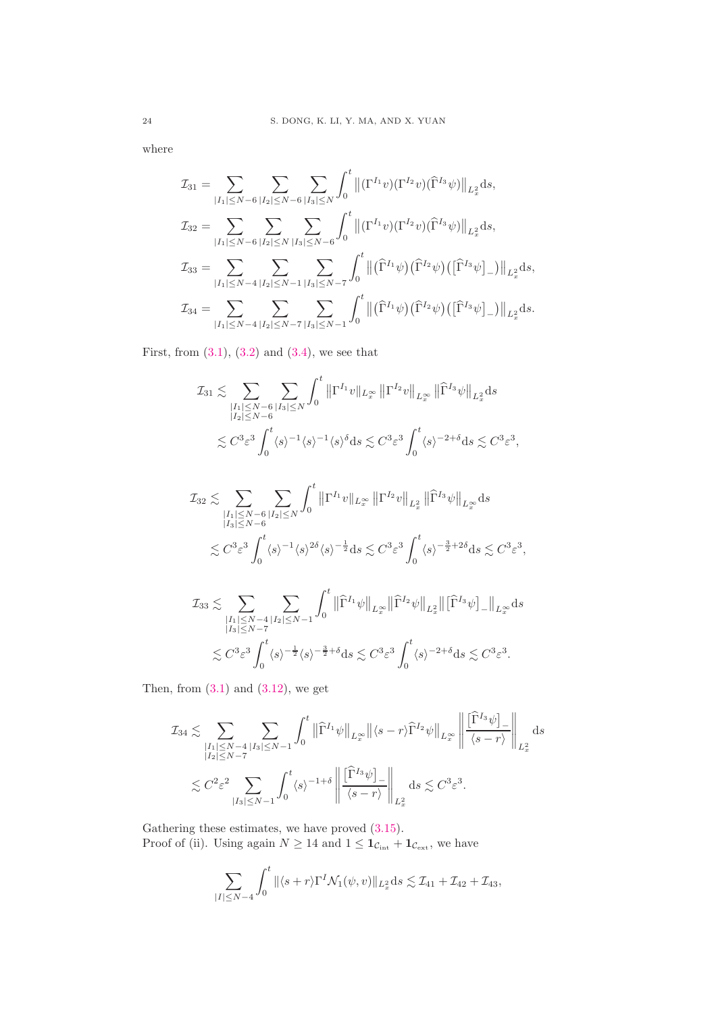where

$$
\mathcal{I}_{31} = \sum_{|I_{1}| \leq N-6} \sum_{|I_{2}| \leq N-6} \sum_{|I_{3}| \leq N} \int_{0}^{t} \left\| (\Gamma^{I_{1}} v)(\Gamma^{I_{2}} v)(\widehat{\Gamma}^{I_{3}} \psi) \right\|_{L_{x}^{2}} ds,
$$
\n
$$
\mathcal{I}_{32} = \sum_{|I_{1}| \leq N-6} \sum_{|I_{2}| \leq N} \sum_{|I_{3}| \leq N-6} \int_{0}^{t} \left\| (\Gamma^{I_{1}} v)(\Gamma^{I_{2}} v)(\widehat{\Gamma}^{I_{3}} \psi) \right\|_{L_{x}^{2}} ds,
$$
\n
$$
\mathcal{I}_{33} = \sum_{|I_{1}| \leq N-4} \sum_{|I_{2}| \leq N-1} \sum_{|I_{3}| \leq N-7} \int_{0}^{t} \left\| (\widehat{\Gamma}^{I_{1}} \psi)(\widehat{\Gamma}^{I_{2}} \psi)(\widehat{\Gamma}^{I_{3}} \psi) \right\|_{L_{x}^{2}} ds,
$$
\n
$$
\mathcal{I}_{34} = \sum_{|I_{1}| \leq N-4} \sum_{|I_{2}| \leq N-7} \sum_{|I_{3}| \leq N-1} \int_{0}^{t} \left\| (\widehat{\Gamma}^{I_{1}} \psi)(\widehat{\Gamma}^{I_{2}} \psi)(\widehat{\Gamma}^{I_{3}} \psi) \right\|_{L_{x}^{2}} ds.
$$

First, from  $(3.1)$ ,  $(3.2)$  and  $(3.4)$ , we see that

$$
\mathcal{I}_{31} \lesssim \sum_{\substack{|I_1| \le N-6 \\ |I_2| \le N-6}} \sum_{|I_3| \le N} \int_0^t \left\| \Gamma^{I_1} v \right\|_{L_x^{\infty}} \left\| \Gamma^{I_2} v \right\|_{L_x^{\infty}} \left\| \widehat{\Gamma}^{I_3} \psi \right\|_{L_x^2} ds
$$
  

$$
\lesssim C^3 \varepsilon^3 \int_0^t \langle s \rangle^{-1} \langle s \rangle^4 ds \lesssim C^3 \varepsilon^3 \int_0^t \langle s \rangle^{-2+\delta} ds \lesssim C^3 \varepsilon^3,
$$

$$
\mathcal{I}_{32} \lesssim \sum_{\substack{|I_1| \le N - 6 \\ |I_3| \le N - 6}} \sum_{|I_2| \le N} \int_0^t \left\| \Gamma^{I_1} v \right\|_{L_x^{\infty}} \left\| \Gamma^{I_2} v \right\|_{L_x^2} \left\| \widehat{\Gamma}^{I_3} \psi \right\|_{L_x^{\infty}} ds
$$
  

$$
\lesssim C^3 \varepsilon^3 \int_0^t \langle s \rangle^{-1} \langle s \rangle^{2\delta} \langle s \rangle^{-\frac{1}{2}} ds \lesssim C^3 \varepsilon^3 \int_0^t \langle s \rangle^{-\frac{3}{2} + 2\delta} ds \lesssim C^3 \varepsilon^3,
$$

$$
\mathcal{I}_{33} \lesssim \sum_{\substack{|I_1| \leq N-4 \\ |I_3| \leq N-7}} \sum_{|I_2| \leq N-1} \int_0^t \|\widehat{\Gamma}^{I_1}\psi\|_{L_x^\infty} \|\widehat{\Gamma}^{I_2}\psi\|_{L_x^2} \|\widehat{\Gamma}^{I_3}\psi\|_{L_x^\infty} \mathrm{d} s
$$
  

$$
\lesssim C^3 \varepsilon^3 \int_0^t \langle s \rangle^{-\frac{1}{2}} \langle s \rangle^{-\frac{3}{2}+\delta} \mathrm{d} s \lesssim C^3 \varepsilon^3 \int_0^t \langle s \rangle^{-2+\delta} \mathrm{d} s \lesssim C^3 \varepsilon^3.
$$

Then, from  $(3.1)$  and  $(3.12)$ , we get

$$
\mathcal{I}_{34} \lesssim \sum_{\substack{|I_1| \leq N-4 \\ |I_2| \leq N-7}} \sum_{|I_3| \leq N-1} \int_0^t \left\| \widehat{\Gamma}^{I_1} \psi \right\|_{L^\infty_x} \left\| \langle s-r \rangle \widehat{\Gamma}^{I_2} \psi \right\|_{L^\infty_x} \left\| \frac{\left[ \widehat{\Gamma}^{I_3} \psi \right]_-}{\langle s-r \rangle} \right\|_{L^2_x} ds
$$
  

$$
\lesssim C^2 \varepsilon^2 \sum_{|I_3| \leq N-1} \int_0^t \langle s \rangle^{-1+\delta} \left\| \frac{\left[ \widehat{\Gamma}^{I_3} \psi \right]_-}{\langle s-r \rangle} \right\|_{L^2_x} ds \lesssim C^3 \varepsilon^3.
$$

Gathering these estimates, we have proved  $(3.15)$ . Proof of (ii). Using again  $N \ge 14$  and  $1 \le \mathbf{1}_{\mathcal{C}_{int}} + \mathbf{1}_{\mathcal{C}_{ext}}$ , we have

$$
\sum_{|I| \le N-4} \int_0^t \|\langle s+r \rangle \Gamma^I \mathcal{N}_1(\psi, v) \|_{L_x^2} ds \lesssim \mathcal{I}_{41} + \mathcal{I}_{42} + \mathcal{I}_{43},
$$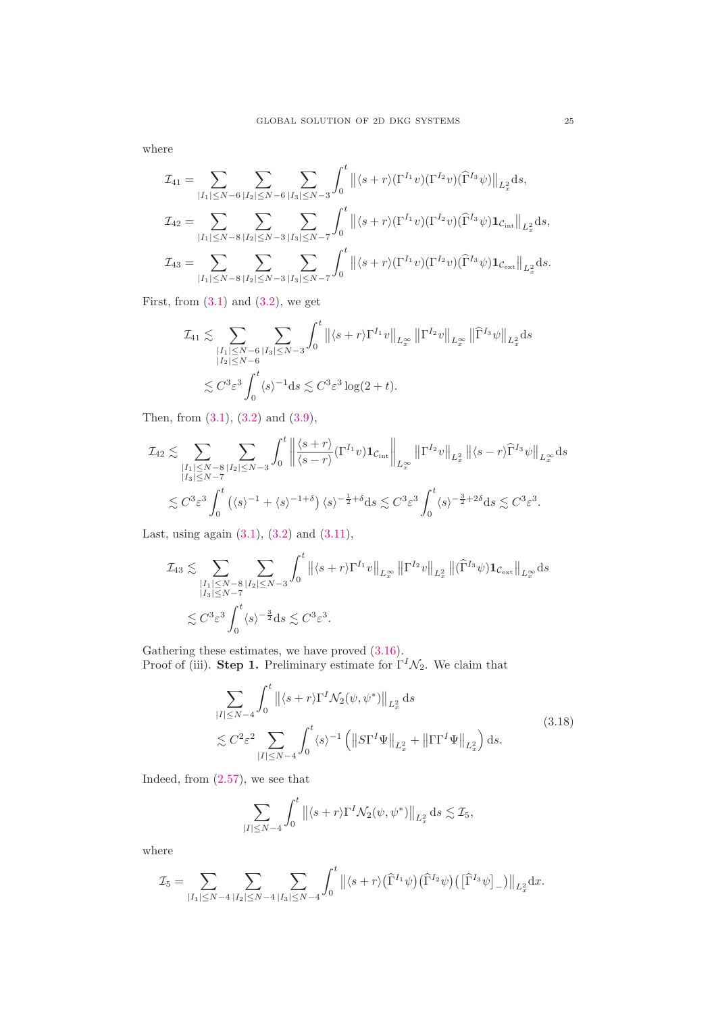where

$$
\mathcal{I}_{41} = \sum_{|I_{1}| \leq N-6} \sum_{|I_{2}| \leq N-6} \sum_{|I_{3}| \leq N-3} \int_{0}^{t} \left\| \langle s+r \rangle (\Gamma^{I_{1}} v)(\Gamma^{I_{2}} v)(\widehat{\Gamma}^{I_{3}} \psi) \right\|_{L_{x}^{2}} ds,
$$
  

$$
\mathcal{I}_{42} = \sum_{|I_{1}| \leq N-8} \sum_{|I_{2}| \leq N-3} \sum_{|I_{3}| \leq N-7} \int_{0}^{t} \left\| \langle s+r \rangle (\Gamma^{I_{1}} v)(\Gamma^{I_{2}} v)(\widehat{\Gamma}^{I_{3}} \psi) \mathbf{1}_{\mathcal{C}_{int}} \right\|_{L_{x}^{2}} ds,
$$
  

$$
\mathcal{I}_{43} = \sum_{|I_{1}| \leq N-8} \sum_{|I_{2}| \leq N-3} \sum_{|I_{3}| \leq N-7} \int_{0}^{t} \left\| \langle s+r \rangle (\Gamma^{I_{1}} v)(\Gamma^{I_{2}} v)(\widehat{\Gamma}^{I_{3}} \psi) \mathbf{1}_{\mathcal{C}_{ext}} \right\|_{L_{x}^{2}} ds.
$$

First, from  $(3.1)$  and  $(3.2)$ , we get

$$
\mathcal{I}_{41} \lesssim \sum_{\substack{|I_1| \leq N-6 \\ |I_2| \leq N-6}} \sum_{|I_3| \leq N-3} \int_0^t \left\| \langle s+r \rangle \Gamma^{I_1} v \right\|_{L^\infty_x} \left\| \Gamma^{I_2} v \right\|_{L^\infty_x} \left\| \widehat{\Gamma}^{I_3} \psi \right\|_{L^2_x} ds
$$
  

$$
\lesssim C^3 \varepsilon^3 \int_0^t \langle s \rangle^{-1} ds \lesssim C^3 \varepsilon^3 \log(2+t).
$$

Then, from [\(3.1\)](#page-16-3), [\(3.2\)](#page-17-1) and [\(3.9\)](#page-17-7),

$$
\mathcal{I}_{42} \lesssim \sum_{\substack{|I_{1}| \leq N-8 \\ |I_{3}| \leq N-7}} \sum_{|I_{2}| \leq N-3} \int_{0}^{t} \left\| \frac{\langle s+r \rangle}{\langle s-r \rangle} (\Gamma^{I_{1}} v) \mathbf{1}_{\mathcal{C}_{int}} \right\|_{L^{\infty}_{x}} \left\| \Gamma^{I_{2}} v \right\|_{L^{2}_{x}} \left\| \langle s-r \rangle \widehat{\Gamma}^{I_{3}} \psi \right\|_{L^{\infty}_{x}} ds
$$
  

$$
\lesssim C^{3} \varepsilon^{3} \int_{0}^{t} \left( \langle s \rangle^{-1} + \langle s \rangle^{-1+\delta} \right) \langle s \rangle^{-\frac{1}{2}+\delta} ds \lesssim C^{3} \varepsilon^{3} \int_{0}^{t} \langle s \rangle^{-\frac{3}{2}+2\delta} ds \lesssim C^{3} \varepsilon^{3}.
$$

Last, using again  $(3.1)$ ,  $(3.2)$  and  $(3.11)$ ,

$$
\mathcal{I}_{43} \lesssim \sum_{\substack{|I_1| \leq N-8 \\ |I_3| \leq N-7}} \sum_{|I_2| \leq N-3} \int_0^t \left\| \langle s+r \rangle \Gamma^{I_1} v \right\|_{L^\infty_x} \left\| \Gamma^{I_2} v \right\|_{L^2_x} \left\| (\widehat{\Gamma}^{I_3} \psi) \mathbf{1}_{\mathcal{C}_{\text{ext}}} \right\|_{L^\infty_x} ds
$$
  

$$
\lesssim C^3 \varepsilon^3 \int_0^t \langle s \rangle^{-\frac{3}{2}} ds \lesssim C^3 \varepsilon^3.
$$

Gathering these estimates, we have proved [\(3.16\)](#page-22-1).

Proof of (iii). Step 1. Preliminary estimate for  $\Gamma^I \mathcal{N}_2$ . We claim that

<span id="page-24-0"></span>
$$
\sum_{|I| \le N-4} \int_0^t \left\| \langle s+r \rangle \Gamma^I \mathcal{N}_2(\psi, \psi^*) \right\|_{L_x^2} ds
$$
\n
$$
\lesssim C^2 \varepsilon^2 \sum_{|I| \le N-4} \int_0^t \langle s \rangle^{-1} \left( \left\| S \Gamma^I \Psi \right\|_{L_x^2} + \left\| \Gamma \Gamma^I \Psi \right\|_{L_x^2} \right) ds.
$$
\n(3.18)

Indeed, from [\(2.57\)](#page-16-2), we see that

$$
\sum_{|I|\leq N-4}\int_0^t \left\|\langle s+r\rangle \Gamma^I \mathcal{N}_2(\psi,\psi^*)\right\|_{L^2_x} ds \lesssim \mathcal{I}_5,
$$

where

$$
\mathcal{I}_5 = \sum_{|I_1| \leq N-4} \sum_{|I_2| \leq N-4} \sum_{|I_3| \leq N-4} \int_0^t \left\| \langle s+r \rangle (\widehat{\Gamma}^{I_1} \psi) (\widehat{\Gamma}^{I_2} \psi) (\left[ \widehat{\Gamma}^{I_3} \psi \right]_-) \right\|_{L_x^2} dx.
$$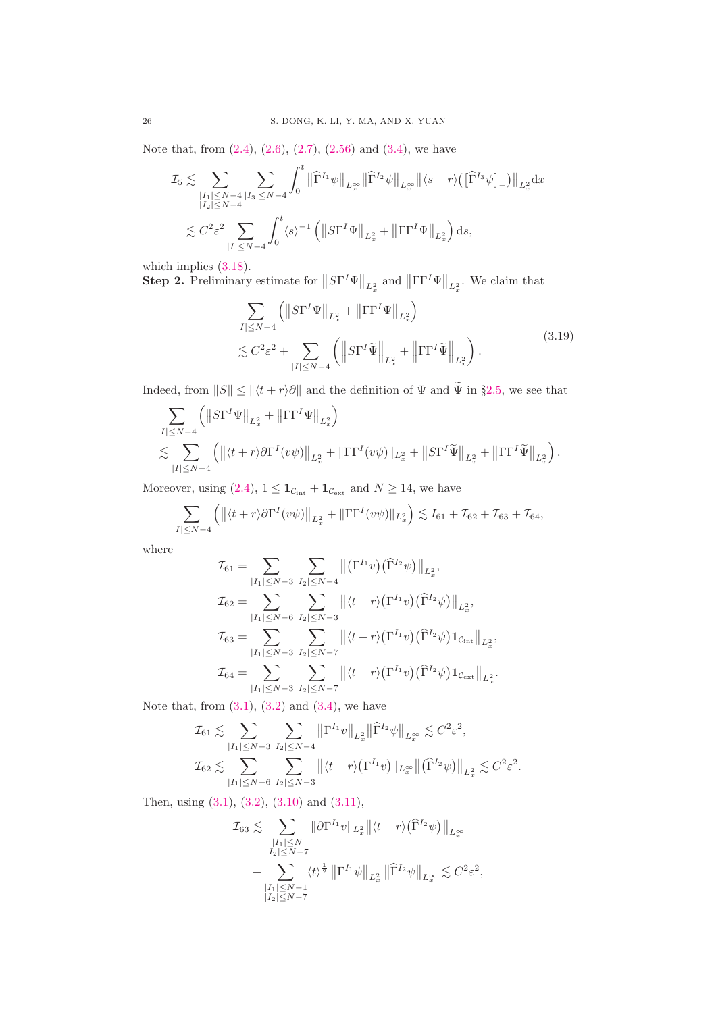Note that, from [\(2.4\)](#page-6-3), [\(2.6\)](#page-6-5), [\(2.7\)](#page-6-6), [\(2.56\)](#page-15-5) and [\(3.4\)](#page-17-6), we have

$$
\mathcal{I}_{5} \lesssim \sum_{\substack{|I_{1}| \leq N-4 \\ |I_{2}| \leq N-4}} \sum_{|I_{3}| \leq N-4} \int_{0}^{t} \left\| \widehat{\Gamma}^{I_{1}} \psi \right\|_{L_{x}^{\infty}} \left\| \widehat{\Gamma}^{I_{2}} \psi \right\|_{L_{x}^{\infty}} \left\| \langle s+r \rangle \left( [\widehat{\Gamma}^{I_{3}} \psi]_{-} \right) \right\|_{L_{x}^{2}} \mathrm{d}x
$$
  

$$
\lesssim C^{2} \varepsilon^{2} \sum_{|I| \leq N-4} \int_{0}^{t} \langle s \rangle^{-1} \left( \left\| S\Gamma^{I} \Psi \right\|_{L_{x}^{2}} + \left\| \Gamma \Gamma^{I} \Psi \right\|_{L_{x}^{2}} \right) \mathrm{d}s,
$$

which implies  $(3.18)$ .

**Step 2.** Preliminary estimate for  $||S\Gamma^I\Psi||_{L_x^2}$  and  $||\Gamma\Gamma^I\Psi||_{L_x^2}$ . We claim that

<span id="page-25-0"></span>
$$
\sum_{|I| \le N-4} \left( \left\| S\Gamma^I \Psi \right\|_{L_x^2} + \left\| \Gamma \Gamma^I \Psi \right\|_{L_x^2} \right)
$$
\n
$$
\lesssim C^2 \varepsilon^2 + \sum_{|I| \le N-4} \left( \left\| S\Gamma^I \widetilde{\Psi} \right\|_{L_x^2} + \left\| \Gamma \Gamma^I \widetilde{\Psi} \right\|_{L_x^2} \right). \tag{3.19}
$$

Indeed, from  $||S|| \le ||\langle t + r \rangle \partial||$  and the definition of  $\Psi$  and  $\tilde{\Psi}$  in §[2.5,](#page-15-7) we see that

$$
\sum_{|I| \le N-4} (||S\Gamma^I \Psi||_{L_x^2} + ||\Gamma \Gamma^I \Psi||_{L_x^2})
$$
\n
$$
\lesssim \sum_{|I| \le N-4} (||\langle t+r \rangle \partial \Gamma^I (v\psi)||_{L_x^2} + ||\Gamma \Gamma^I (v\psi)||_{L_x^2} + ||S\Gamma^I \widetilde{\Psi}||_{L_x^2} + ||\Gamma \Gamma^I \widetilde{\Psi}||_{L_x^2}).
$$

Moreover, using [\(2.4\)](#page-6-3),  $1 \leq \mathbf{1}_{\mathcal{C}_{int}} + \mathbf{1}_{\mathcal{C}_{ext}}$  and  $N \geq 14$ , we have

$$
\sum_{|I| \le N-4} \left( \left\| \langle t+r \rangle \partial \Gamma^I (v\psi) \right\|_{L_x^2} + \left\| \Gamma \Gamma^I (v\psi) \right\|_{L_x^2} \right) \lesssim I_{61} + \mathcal{I}_{62} + \mathcal{I}_{63} + \mathcal{I}_{64},
$$

where

$$
\mathcal{I}_{61} = \sum_{|I_{1}| \leq N-3} \sum_{|I_{2}| \leq N-4} \| (\Gamma^{I_{1}} v) (\widehat{\Gamma}^{I_{2}} \psi) \|_{L_{x}^{2}},
$$
\n
$$
\mathcal{I}_{62} = \sum_{|I_{1}| \leq N-6} \sum_{|I_{2}| \leq N-3} \| \langle t + r \rangle (\Gamma^{I_{1}} v) (\widehat{\Gamma}^{I_{2}} \psi) \|_{L_{x}^{2}},
$$
\n
$$
\mathcal{I}_{63} = \sum_{|I_{1}| \leq N-3} \sum_{|I_{2}| \leq N-7} \| \langle t + r \rangle (\Gamma^{I_{1}} v) (\widehat{\Gamma}^{I_{2}} \psi) \mathbf{1}_{\mathcal{C}_{int}} \|_{L_{x}^{2}},
$$
\n
$$
\mathcal{I}_{64} = \sum_{|I_{1}| \leq N-3} \sum_{|I_{2}| \leq N-7} \| \langle t + r \rangle (\Gamma^{I_{1}} v) (\widehat{\Gamma}^{I_{2}} \psi) \mathbf{1}_{\mathcal{C}_{ext}} \|_{L_{x}^{2}}.
$$

Note that, from  $(3.1)$ ,  $(3.2)$  and  $(3.4)$ , we have

$$
\mathcal{I}_{61} \lesssim \sum_{|I_{1}| \leq N-3} \sum_{|I_{2}| \leq N-4} \|\Gamma^{I_{1}}v\|_{L_{x}^{2}} \|\widehat{\Gamma}^{I_{2}}\psi\|_{L_{x}^{\infty}} \lesssim C^{2}\varepsilon^{2},
$$
  

$$
\mathcal{I}_{62} \lesssim \sum_{|I_{1}| \leq N-6} \sum_{|I_{2}| \leq N-3} \left\| \langle t+r \rangle (\Gamma^{I_{1}}v) \right\|_{L_{x}^{\infty}} \left\| \left(\widehat{\Gamma}^{I_{2}}\psi\right) \right\|_{L_{x}^{2}} \lesssim C^{2}\varepsilon^{2}.
$$

Then, using [\(3.1\)](#page-16-3), [\(3.2\)](#page-17-1), [\(3.10\)](#page-17-8) and [\(3.11\)](#page-18-0),

$$
\mathcal{I}_{63} \lesssim \sum_{\substack{|I_1| \leq N \\ |I_2| \leq N-7 \\ |\overline{I}_1| \leq N-1}} \|\partial \Gamma^{I_1} v\|_{L_x^2} \left\| \langle t-r \rangle (\widehat{\Gamma}^{I_2} \psi) \right\|_{L_x^{\infty}} \n+ \sum_{\substack{|I_1| \leq N-1 \\ |I_2| \leq N-7}} \langle t \rangle^{\frac{1}{2}} \left\| \Gamma^{I_1} \psi \right\|_{L_x^2} \left\| \widehat{\Gamma}^{I_2} \psi \right\|_{L_x^{\infty}} \lesssim C^2 \varepsilon^2,
$$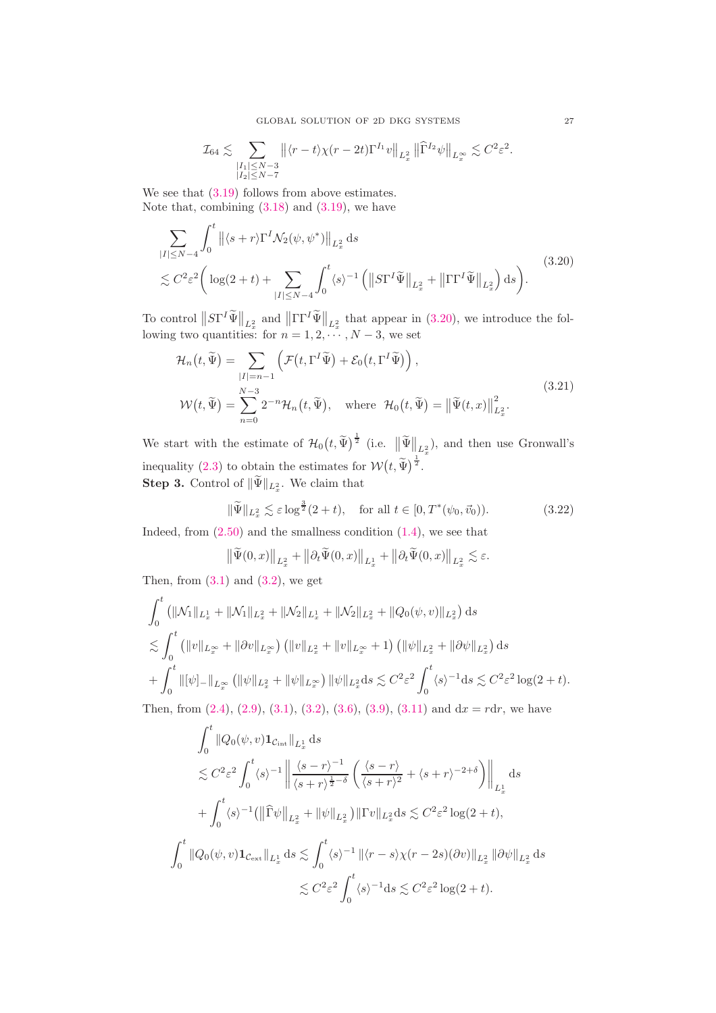$$
\mathcal{I}_{64} \lesssim \sum_{\substack{|I_1| \leq N-3 \\ |I_2| \leq N-7}} \big\| \langle r-t \rangle \chi(r-2t) \Gamma^{I_1} v \big\|_{L^2_x} \, \big\| \widehat \Gamma^{I_2} \psi \big\|_{L^\infty_x} \lesssim C^2 \varepsilon^2.
$$

We see that  $(3.19)$  follows from above estimates. Note that, combining  $(3.18)$  and  $(3.19)$ , we have

<span id="page-26-0"></span>
$$
\sum_{|I| \le N-4} \int_0^t \left\| \langle s+r \rangle \Gamma^I \mathcal{N}_2(\psi, \psi^*) \right\|_{L_x^2} ds
$$
\n
$$
\lesssim C^2 \varepsilon^2 \left( \log(2+t) + \sum_{|I| \le N-4} \int_0^t \langle s \rangle^{-1} \left( \left\| S \Gamma^I \widetilde{\Psi} \right\|_{L_x^2} + \left\| \Gamma \Gamma^I \widetilde{\Psi} \right\|_{L_x^2} \right) ds \right).
$$
\n(3.20)

To control  $||ST^I \tilde{\Psi}||_{L_x^2}$  and  $||\Gamma \Gamma^I \tilde{\Psi}||_{L_x^2}$  that appear in [\(3.20\)](#page-26-0), we introduce the following two quantities: for  $n = 1, 2, \dots, N - 3$ , we set

$$
\mathcal{H}_n(t, \widetilde{\Psi}) = \sum_{|I|=n-1} \left( \mathcal{F}(t, \Gamma^I \widetilde{\Psi}) + \mathcal{E}_0(t, \Gamma^I \widetilde{\Psi}) \right),
$$
\n
$$
\mathcal{W}(t, \widetilde{\Psi}) = \sum_{n=0}^{N-3} 2^{-n} \mathcal{H}_n(t, \widetilde{\Psi}), \quad \text{where } \mathcal{H}_0(t, \widetilde{\Psi}) = ||\widetilde{\Psi}(t, x)||_{L_x^2}^2.
$$
\n(3.21)

We start with the estimate of  $\mathcal{H}_0(t, \widetilde{\Psi})^{\frac{1}{2}}$  (i.e.  $\|\widetilde{\Psi}\|_{L_x^2}$ ), and then use Gronwall's inequality [\(2.3\)](#page-6-7) to obtain the estimates for  $W(t, \tilde{\Psi})^{\frac{1}{2}}$ . **Step 3.** Control of  $\|\Psi\|_{L_x^2}$ . We claim that

<span id="page-26-1"></span>
$$
\|\widetilde{\Psi}\|_{L_x^2} \lesssim \varepsilon \log^{\frac{3}{2}}(2+t), \quad \text{for all } t \in [0, T^*(\psi_0, \vec{v}_0)).\tag{3.22}
$$

Indeed, from  $(2.50)$  and the smallness condition  $(1.4)$ , we see that

$$
\left\|\widetilde{\Psi}(0,x)\right\|_{L_x^2} + \left\|\partial_t \widetilde{\Psi}(0,x)\right\|_{L_x^1} + \left\|\partial_t \widetilde{\Psi}(0,x)\right\|_{L_x^2} \lesssim \varepsilon.
$$

Then, from  $(3.1)$  and  $(3.2)$ , we get

$$
\int_0^t \left( \|\mathcal{N}_1\|_{L_x^1} + \|\mathcal{N}_1\|_{L_x^2} + \|\mathcal{N}_2\|_{L_x^1} + \|\mathcal{N}_2\|_{L_x^2} + \|Q_0(\psi, v)\|_{L_x^2} \right) ds
$$
\n
$$
\lesssim \int_0^t \left( \|v\|_{L_x^\infty} + \|\partial v\|_{L_x^\infty} \right) \left( \|v\|_{L_x^2} + \|v\|_{L_x^\infty} + 1 \right) \left( \|\psi\|_{L_x^2} + \|\partial \psi\|_{L_x^2} \right) ds
$$
\n
$$
+ \int_0^t \|\psi\|_{L_x^1} \|\psi\|_{L_x^1} + \|\psi\|_{L_x^\infty} \right) \|\psi\|_{L_x^2} ds \lesssim C^2 \varepsilon^2 \int_0^t \langle s \rangle^{-1} ds \lesssim C^2 \varepsilon^2 \log(2 + t).
$$

Then, from  $(2.4)$ ,  $(2.9)$ ,  $(3.1)$ ,  $(3.2)$ ,  $(3.6)$ ,  $(3.9)$ ,  $(3.11)$  and  $dx = rdr$ , we have

$$
\int_0^t ||Q_0(\psi, v) \mathbf{1}_{\mathcal{C}_{int}} ||_{L_x^1} ds
$$
\n
$$
\lesssim C^2 \varepsilon^2 \int_0^t \langle s \rangle^{-1} \left\| \frac{\langle s - r \rangle^{-1}}{\langle s + r \rangle^{\frac{1}{2} - \delta}} \left( \frac{\langle s - r \rangle}{\langle s + r \rangle^2} + \langle s + r \rangle^{-2 + \delta} \right) \right\|_{L_x^1} ds
$$
\n
$$
+ \int_0^t \langle s \rangle^{-1} (||\widehat{\Gamma}\psi||_{L_x^2} + ||\psi||_{L_x^2}) ||\Gamma v||_{L_x^2} ds \lesssim C^2 \varepsilon^2 \log(2 + t),
$$
\n
$$
\int_0^t ||Q_0(\psi, v) \mathbf{1}_{\mathcal{C}_{ext}} ||_{L_x^1} ds \lesssim \int_0^t \langle s \rangle^{-1} ||\langle r - s \rangle \chi(r - 2s)(\partial v) ||_{L_x^2} ||\partial \psi||_{L_x^2} ds
$$
\n
$$
\lesssim C^2 \varepsilon^2 \int_0^t \langle s \rangle^{-1} ds \lesssim C^2 \varepsilon^2 \log(2 + t).
$$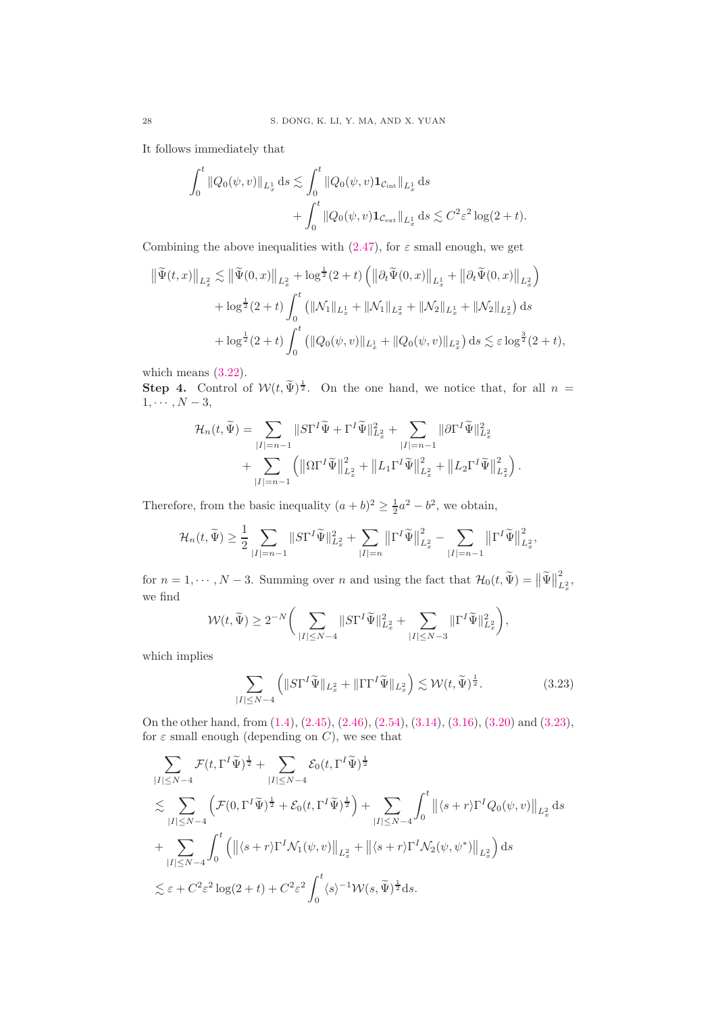It follows immediately that

$$
\int_0^t \|Q_0(\psi, v)\|_{L_x^1} ds \lesssim \int_0^t \|Q_0(\psi, v) \mathbf{1}_{\mathcal{C}_{int}}\|_{L_x^1} ds + \int_0^t \|Q_0(\psi, v) \mathbf{1}_{\mathcal{C}_{ext}}\|_{L_x^1} ds \lesssim C^2 \varepsilon^2 \log(2 + t).
$$

Combining the above inequalities with [\(2.47\)](#page-14-2), for  $\varepsilon$  small enough, we get

$$
\begin{split} \left\| \widetilde{\Psi}(t,x) \right\|_{L_{x}^{2}} &\lesssim \left\| \widetilde{\Psi}(0,x) \right\|_{L_{x}^{2}} + \log^{\frac{1}{2}}(2+t) \left( \left\| \partial_{t} \widetilde{\Psi}(0,x) \right\|_{L_{x}^{1}} + \left\| \partial_{t} \widetilde{\Psi}(0,x) \right\|_{L_{x}^{2}} \right) \\ &+ \log^{\frac{1}{2}}(2+t) \int_{0}^{t} \left( \|\mathcal{N}_{1} \|_{L_{x}^{1}} + \|\mathcal{N}_{1} \|_{L_{x}^{2}} + \|\mathcal{N}_{2} \|_{L_{x}^{1}} + \|\mathcal{N}_{2} \|_{L_{x}^{2}} \right) \mathrm{d}s \\ &+ \log^{\frac{1}{2}}(2+t) \int_{0}^{t} \left( \|Q_{0}(\psi,v) \|_{L_{x}^{1}} + \|Q_{0}(\psi,v) \|_{L_{x}^{2}} \right) \mathrm{d}s \lesssim \varepsilon \log^{\frac{3}{2}}(2+t), \end{split}
$$

which means  $(3.22)$ .

**Step 4.** Control of  $W(t, \tilde{\Psi})^{\frac{1}{2}}$ . On the one hand, we notice that, for all  $n =$  $1, \cdots, N-3,$ 

$$
\label{eq:hamiltonian} \begin{aligned} \mathcal{H}_n(t,\widetilde{\Psi}) &= \sum_{|I|=n-1}\|S\Gamma^I\widetilde{\Psi} + \Gamma^I\widetilde{\Psi}\|_{L_x^2}^2 + \sum_{|I|=n-1}\|\partial\Gamma^I\widetilde{\Psi}\|_{L_x^2}^2\\ &\quad + \sum_{|I|=n-1}\left(\left\|\Omega\Gamma^I\widetilde{\Psi}\right\|_{L_x^2}^2 + \left\|L_1\Gamma^I\widetilde{\Psi}\right\|_{L_x^2}^2 + \left\|L_2\Gamma^I\widetilde{\Psi}\right\|_{L_x^2}^2\right). \end{aligned}
$$

Therefore, from the basic inequality  $(a+b)^2 \geq \frac{1}{2}a^2 - b^2$ , we obtain,

$$
\mathcal{H}_n(t,\widetilde{\Psi}) \ge \frac{1}{2} \sum_{|I|=n-1} \|S\Gamma^I \widetilde{\Psi}\|_{L_x^2}^2 + \sum_{|I|=n} \left\|\Gamma^I \widetilde{\Psi}\right\|_{L_x^2}^2 - \sum_{|I|=n-1} \left\|\Gamma^I \widetilde{\Psi}\right\|_{L_x^2}^2,
$$

for  $n = 1, \dots, N-3$ . Summing over n and using the fact that  $\mathcal{H}_0(t, \tilde{\Psi}) = ||\tilde{\Psi}||_I^2$  $L_x^2$ , we find

$$
\mathcal{W}(t,\widetilde{\Psi}) \geq 2^{-N} \bigg( \sum_{|I| \leq N-4} \|S\Gamma^I \widetilde{\Psi}\|^2_{L_x^2} + \sum_{|I| \leq N-3} \|\Gamma^I \widetilde{\Psi}\|^2_{L_x^2} \bigg),
$$

which implies

<span id="page-27-0"></span>
$$
\sum_{|I| \le N-4} \left( \|S\Gamma^I \widetilde{\Psi}\|_{L_x^2} + \|\Gamma\Gamma^I \widetilde{\Psi}\|_{L_x^2} \right) \lesssim \mathcal{W}(t, \widetilde{\Psi})^{\frac{1}{2}}.
$$
 (3.23)

On the other hand, from [\(1.4\)](#page-1-3), [\(2.45\)](#page-13-5), [\(2.46\)](#page-13-4), [\(2.54\)](#page-15-3), [\(3.14\)](#page-19-3), [\(3.16\)](#page-22-1), [\(3.20\)](#page-26-0) and [\(3.23\)](#page-27-0), for  $\varepsilon$  small enough (depending on C), we see that

$$
\sum_{|I| \le N-4} \mathcal{F}(t, \Gamma^I \widetilde{\Psi})^{\frac{1}{2}} + \sum_{|I| \le N-4} \mathcal{E}_0(t, \Gamma^I \widetilde{\Psi})^{\frac{1}{2}} \n\lesssim \sum_{|I| \le N-4} \left( \mathcal{F}(0, \Gamma^I \widetilde{\Psi})^{\frac{1}{2}} + \mathcal{E}_0(t, \Gamma^I \widetilde{\Psi})^{\frac{1}{2}} \right) + \sum_{|I| \le N-4} \int_0^t \left\| \langle s+r \rangle \Gamma^I Q_0(\psi, v) \right\|_{L_x^2} ds \n+ \sum_{|I| \le N-4} \int_0^t \left( \left\| \langle s+r \rangle \Gamma^I \mathcal{N}_1(\psi, v) \right\|_{L_x^2} + \left\| \langle s+r \rangle \Gamma^I \mathcal{N}_2(\psi, \psi^*) \right\|_{L_x^2} \right) ds \n\lesssim \varepsilon + C^2 \varepsilon^2 \log(2+t) + C^2 \varepsilon^2 \int_0^t \langle s \rangle^{-1} \mathcal{W}(s, \widetilde{\Psi})^{\frac{1}{2}} ds.
$$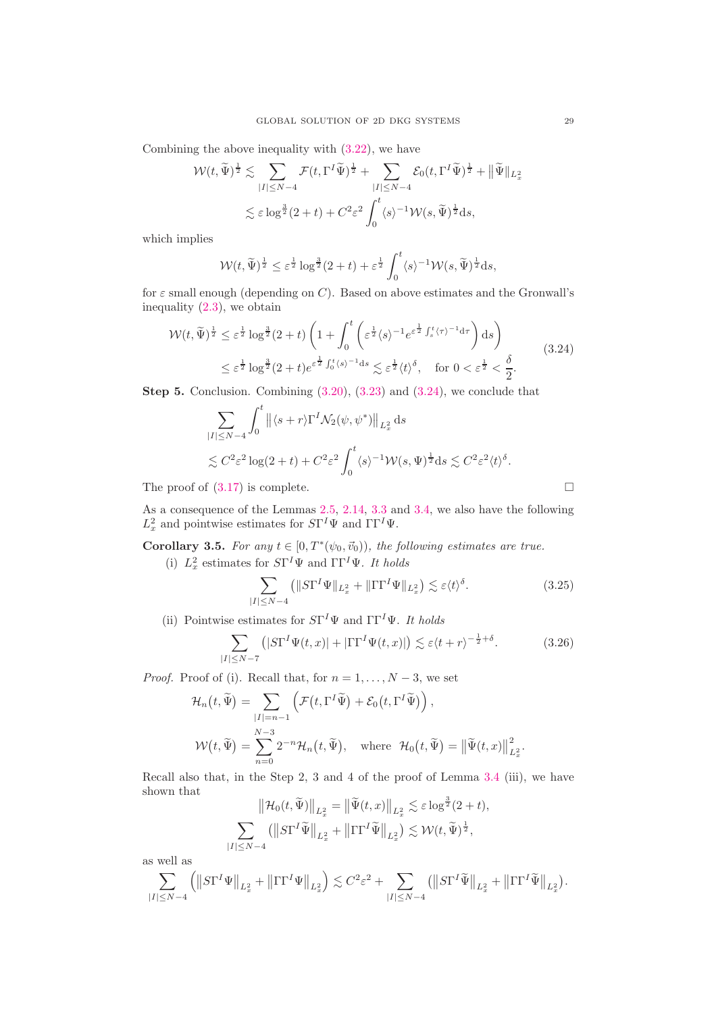Combining the above inequality with [\(3.22\)](#page-26-1), we have

$$
\mathcal{W}(t, \widetilde{\Psi})^{\frac{1}{2}} \lesssim \sum_{|I| \le N-4} \mathcal{F}(t, \Gamma^I \widetilde{\Psi})^{\frac{1}{2}} + \sum_{|I| \le N-4} \mathcal{E}_0(t, \Gamma^I \widetilde{\Psi})^{\frac{1}{2}} + ||\widetilde{\Psi}||_{L_x^2}
$$
  

$$
\lesssim \varepsilon \log^{\frac{3}{2}}(2+t) + C^2 \varepsilon^2 \int_0^t \langle s \rangle^{-1} \mathcal{W}(s, \widetilde{\Psi})^{\frac{1}{2}} ds,
$$

which implies

$$
\mathcal{W}(t,\widetilde{\Psi})^{\frac{1}{2}} \leq \varepsilon^{\frac{1}{2}} \log^{\frac{3}{2}}(2+t) + \varepsilon^{\frac{1}{2}} \int_0^t \langle s \rangle^{-1} \mathcal{W}(s,\widetilde{\Psi})^{\frac{1}{2}} ds,
$$

for  $\varepsilon$  small enough (depending on C). Based on above estimates and the Gronwall's inequality [\(2.3\)](#page-6-7), we obtain

<span id="page-28-0"></span>
$$
\mathcal{W}(t,\widetilde{\Psi})^{\frac{1}{2}} \leq \varepsilon^{\frac{1}{2}} \log^{\frac{3}{2}}(2+t) \left(1 + \int_0^t \left(\varepsilon^{\frac{1}{2}} \langle s \rangle^{-1} e^{\varepsilon^{\frac{1}{2}} \int_s^t \langle \tau \rangle^{-1} d\tau} \right) ds \right)
$$
  

$$
\leq \varepsilon^{\frac{1}{2}} \log^{\frac{3}{2}}(2+t) e^{\varepsilon^{\frac{1}{2}} \int_0^t \langle s \rangle^{-1} ds} \lesssim \varepsilon^{\frac{1}{2}} \langle t \rangle^{\delta}, \quad \text{for } 0 < \varepsilon^{\frac{1}{2}} < \frac{\delta}{2}.
$$
 (3.24)

Step 5. Conclusion. Combining [\(3.20\)](#page-26-0), [\(3.23\)](#page-27-0) and [\(3.24\)](#page-28-0), we conclude that

$$
\sum_{|I| \le N-4} \int_0^t \left\| \langle s+r \rangle \Gamma^I \mathcal{N}_2(\psi, \psi^*) \right\|_{L_x^2} ds
$$
  
\$\lesssim C^2 \varepsilon^2 \log(2+t) + C^2 \varepsilon^2 \int\_0^t \langle s \rangle^{-1} \mathcal{W}(s, \Psi)^{\frac{1}{2}} ds \lesssim C^2 \varepsilon^2 \langle t \rangle^{\delta}\$.

The proof of  $(3.17)$  is complete.

As a consequence of the Lemmas [2.5,](#page-7-4) [2.14,](#page-13-6) [3.3](#page-19-4) and [3.4,](#page-22-3) we also have the following  $L_x^2$  and pointwise estimates for  $S\Gamma^I\Psi$  and  $\Gamma\Gamma^I\Psi$ .

**Corollary 3.5.** For any  $t \in [0, T^*(\psi_0, \vec{v}_0))$ , the following estimates are true. (i)  $L_x^2$  estimates for  $S\Gamma^I\Psi$  and  $\Gamma\Gamma^I\Psi$ . It holds

<span id="page-28-1"></span>
$$
\sum_{|I| \le N-4} \left( \|S\Gamma^I \Psi\|_{L_x^2} + \|\Gamma\Gamma^I \Psi\|_{L_x^2} \right) \lesssim \varepsilon \langle t \rangle^{\delta}.
$$
 (3.25)

(ii) Pointwise estimates for  $S\Gamma^I \Psi$  and  $\Gamma\Gamma^I \Psi$ . It holds

<span id="page-28-2"></span>
$$
\sum_{|I| \le N-7} (|S\Gamma^I \Psi(t, x)| + |\Gamma\Gamma^I \Psi(t, x)|) \lesssim \varepsilon \langle t + r \rangle^{-\frac{1}{2} + \delta}.
$$
 (3.26)

*Proof.* Proof of (i). Recall that, for  $n = 1, ..., N - 3$ , we set

$$
\mathcal{H}_n(t, \widetilde{\Psi}) = \sum_{|I|=n-1} \left( \mathcal{F}(t, \Gamma^I \widetilde{\Psi}) + \mathcal{E}_0(t, \Gamma^I \widetilde{\Psi}) \right),
$$
  

$$
\mathcal{W}(t, \widetilde{\Psi}) = \sum_{n=0}^{N-3} 2^{-n} \mathcal{H}_n(t, \widetilde{\Psi}), \text{ where } \mathcal{H}_0(t, \widetilde{\Psi}) = ||\widetilde{\Psi}(t, x)||_{L_x^2}^2.
$$

Recall also that, in the Step 2, 3 and 4 of the proof of Lemma [3.4](#page-22-3) (iii), we have shown that  $\sim 10^{-1}$ 3

$$
\|\mathcal{H}_0(t,\widetilde{\Psi})\|_{L_x^2} = \|\widetilde{\Psi}(t,x)\|_{L_x^2} \lesssim \varepsilon \log^{\frac{3}{2}}(2+t),
$$
  

$$
\sum_{|I| \le N-4} (\|S\Gamma^I \widetilde{\Psi}\|_{L_x^2} + \|\Gamma\Gamma^I \widetilde{\Psi}\|_{L_x^2}) \lesssim \mathcal{W}(t,\widetilde{\Psi})^{\frac{1}{2}},
$$

as well as

$$
\sum_{|I|\leq N-4}\left(\left\|S\Gamma^I\Psi\right\|_{L_x^2}+\left\|\Gamma\Gamma^I\Psi\right\|_{L_x^2}\right)\lesssim C^2\varepsilon^2+\sum_{|I|\leq N-4}\left(\left\|S\Gamma^I\widetilde{\Psi}\right\|_{L_x^2}+\left\|\Gamma\Gamma^I\widetilde{\Psi}\right\|_{L_x^2}\right).
$$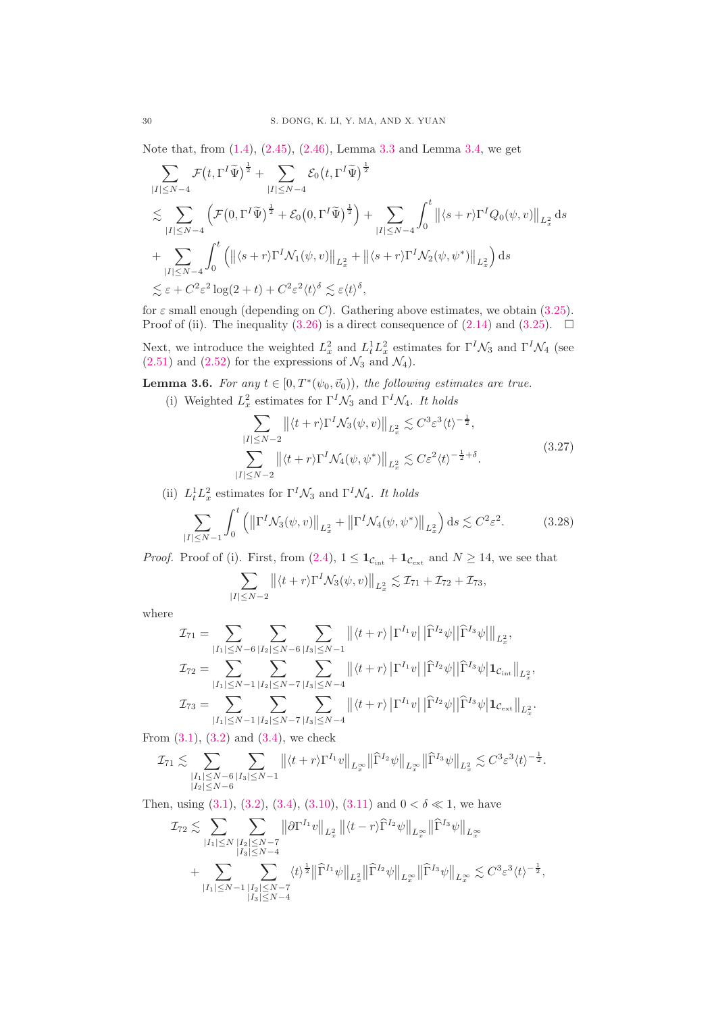Note that, from [\(1.4\)](#page-1-3), [\(2.45\)](#page-13-5), [\(2.46\)](#page-13-4), Lemma [3.3](#page-19-4) and Lemma [3.4,](#page-22-3) we get

$$
\sum_{|I| \leq N-4} \mathcal{F}(t, \Gamma^I \widetilde{\Psi})^{\frac{1}{2}} + \sum_{|I| \leq N-4} \mathcal{E}_0(t, \Gamma^I \widetilde{\Psi})^{\frac{1}{2}} \n\lesssim \sum_{|I| \leq N-4} \left( \mathcal{F}(0, \Gamma^I \widetilde{\Psi})^{\frac{1}{2}} + \mathcal{E}_0(0, \Gamma^I \widetilde{\Psi})^{\frac{1}{2}} \right) + \sum_{|I| \leq N-4} \int_0^t \left\| \langle s+r \rangle \Gamma^I Q_0(\psi, v) \right\|_{L_x^2} ds \n+ \sum_{|I| \leq N-4} \int_0^t \left( \left\| \langle s+r \rangle \Gamma^I \mathcal{N}_1(\psi, v) \right\|_{L_x^2} + \left\| \langle s+r \rangle \Gamma^I \mathcal{N}_2(\psi, \psi^*) \right\|_{L_x^2} \right) ds \n\lesssim \varepsilon + C^2 \varepsilon^2 \log(2+t) + C^2 \varepsilon^2 \langle t \rangle^{\delta} \lesssim \varepsilon \langle t \rangle^{\delta},
$$

for  $\varepsilon$  small enough (depending on C). Gathering above estimates, we obtain [\(3.25\)](#page-28-1). Proof of (ii). The inequality [\(3.26\)](#page-28-2) is a direct consequence of [\(2.14\)](#page-7-2) and [\(3.25\)](#page-28-1).  $\Box$ 

Next, we introduce the weighted  $L_x^2$  and  $L_t^1 L_x^2$  estimates for  $\Gamma^I \mathcal{N}_3$  and  $\Gamma^I \mathcal{N}_4$  (see  $(2.51)$  and  $(2.52)$  for the expressions of  $\mathcal{N}_3$  and  $\mathcal{N}_4$ ).

**Lemma 3.6.** For any  $t \in [0, T^*(\psi_0, \vec{v}_0))$ , the following estimates are true.

(i) Weighted  $L_x^2$  estimates for  $\Gamma^I \mathcal{N}_3$  and  $\Gamma^I \mathcal{N}_4$ . It holds

<span id="page-29-0"></span>
$$
\sum_{|I| \le N-2} \left\| \langle t+r \rangle \Gamma^I \mathcal{N}_3(\psi, v) \right\|_{L_x^2} \lesssim C^3 \varepsilon^3 \langle t \rangle^{-\frac{1}{2}},
$$
\n
$$
\sum_{|I| \le N-2} \left\| \langle t+r \rangle \Gamma^I \mathcal{N}_4(\psi, \psi^*) \right\|_{L_x^2} \lesssim C \varepsilon^2 \langle t \rangle^{-\frac{1}{2}+\delta}.
$$
\n(3.27)

(ii)  $L_t^1 L_x^2$  estimates for  $\Gamma^I \mathcal{N}_3$  and  $\Gamma^I \mathcal{N}_4$ . It holds

<span id="page-29-1"></span>
$$
\sum_{|I| \le N-1} \int_0^t \left( \left\| \Gamma^I \mathcal{N}_3(\psi, v) \right\|_{L_x^2} + \left\| \Gamma^I \mathcal{N}_4(\psi, \psi^*) \right\|_{L_x^2} \right) ds \lesssim C^2 \varepsilon^2. \tag{3.28}
$$

*Proof.* Proof of (i). First, from [\(2.4\)](#page-6-3),  $1 \leq \mathbf{1}_{\mathcal{C}_{int}} + \mathbf{1}_{\mathcal{C}_{ext}}$  and  $N \geq 14$ , we see that

$$
\sum_{|I|\leq N-2} \left\| \langle t+r\rangle \Gamma^I \mathcal{N}_3(\psi,v) \right\|_{L^2_x} \lesssim \mathcal{I}_{71}+\mathcal{I}_{72}+\mathcal{I}_{73},
$$

where

$$
\mathcal{I}_{71} = \sum_{|I_{1}| \leq N-6} \sum_{|I_{2}| \leq N-6} \sum_{|I_{3}| \leq N-1} ||\langle t+r \rangle| \Gamma^{I_{1}} v| |\widehat{\Gamma}^{I_{2}} \psi| |\widehat{\Gamma}^{I_{3}} \psi| \|_{L_{x}^{2}},
$$
  
\n
$$
\mathcal{I}_{72} = \sum_{|I_{1}| \leq N-1} \sum_{|I_{2}| \leq N-7} \sum_{|I_{3}| \leq N-4} ||\langle t+r \rangle| \Gamma^{I_{1}} v| |\widehat{\Gamma}^{I_{2}} \psi| |\widehat{\Gamma}^{I_{3}} \psi| \mathbf{1}_{\mathcal{C}_{int}} \|_{L_{x}^{2}},
$$
  
\n
$$
\mathcal{I}_{73} = \sum_{|I_{1}| \leq N-1} \sum_{|I_{2}| \leq N-7} \sum_{|I_{3}| \leq N-4} ||\langle t+r \rangle| \Gamma^{I_{1}} v| |\widehat{\Gamma}^{I_{2}} \psi| |\widehat{\Gamma}^{I_{3}} \psi| \mathbf{1}_{\mathcal{C}_{ext}} \|_{L_{x}^{2}}.
$$

From  $(3.1)$ ,  $(3.2)$  and  $(3.4)$ , we check

$$
\mathcal{I}_{71} \lesssim \sum_{\substack{|I_{1}| \leq N - 6 \\ |I_{2}| \leq N - 6}} \sum_{|I_{3}| \leq N - 1} \left\| \langle t + r \rangle \Gamma^{I_{1}} v \right\|_{L^{\infty}_{x}} \left\| \widehat{\Gamma}^{I_{2}} \psi \right\|_{L^{\infty}_{x}} \left\| \widehat{\Gamma}^{I_{3}} \psi \right\|_{L^{2}_{x}} \lesssim C^{3} \varepsilon^{3} \langle t \rangle^{-\frac{1}{2}}.
$$

Then, using  $(3.1), (3.2), (3.4), (3.10), (3.11)$  $(3.1), (3.2), (3.4), (3.10), (3.11)$  $(3.1), (3.2), (3.4), (3.10), (3.11)$  $(3.1), (3.2), (3.4), (3.10), (3.11)$  $(3.1), (3.2), (3.4), (3.10), (3.11)$  $(3.1), (3.2), (3.4), (3.10), (3.11)$  $(3.1), (3.2), (3.4), (3.10), (3.11)$  $(3.1), (3.2), (3.4), (3.10), (3.11)$  and  $0 < \delta \ll 1$ , we have

$$
\mathcal{I}_{72} \lesssim \sum_{|I_{1}| \leq N} \sum_{\substack{|I_{2}| \leq N-7 \\ |I_{3}| \leq N-4}} \left\| \partial \Gamma^{I_{1}} v \right\|_{L_{x}^{2}} \left\| \langle t-r \rangle \widehat{\Gamma}^{I_{2}} \psi \right\|_{L_{x}^{\infty}} \left\| \widehat{\Gamma}^{I_{3}} \psi \right\|_{L_{x}^{\infty}} \n+ \sum_{|I_{1}| \leq N-1} \sum_{\substack{|I_{2}| \leq N-7 \\ |I_{3}| \leq N-4}} \langle t \rangle^{\frac{1}{2}} \left\| \widehat{\Gamma}^{I_{1}} \psi \right\|_{L_{x}^{2}} \left\| \widehat{\Gamma}^{I_{2}} \psi \right\|_{L_{x}^{\infty}} \left\| \widehat{\Gamma}^{I_{3}} \psi \right\|_{L_{x}^{\infty}} \lesssim C^{3} \varepsilon^{3} \langle t \rangle^{-\frac{1}{2}},
$$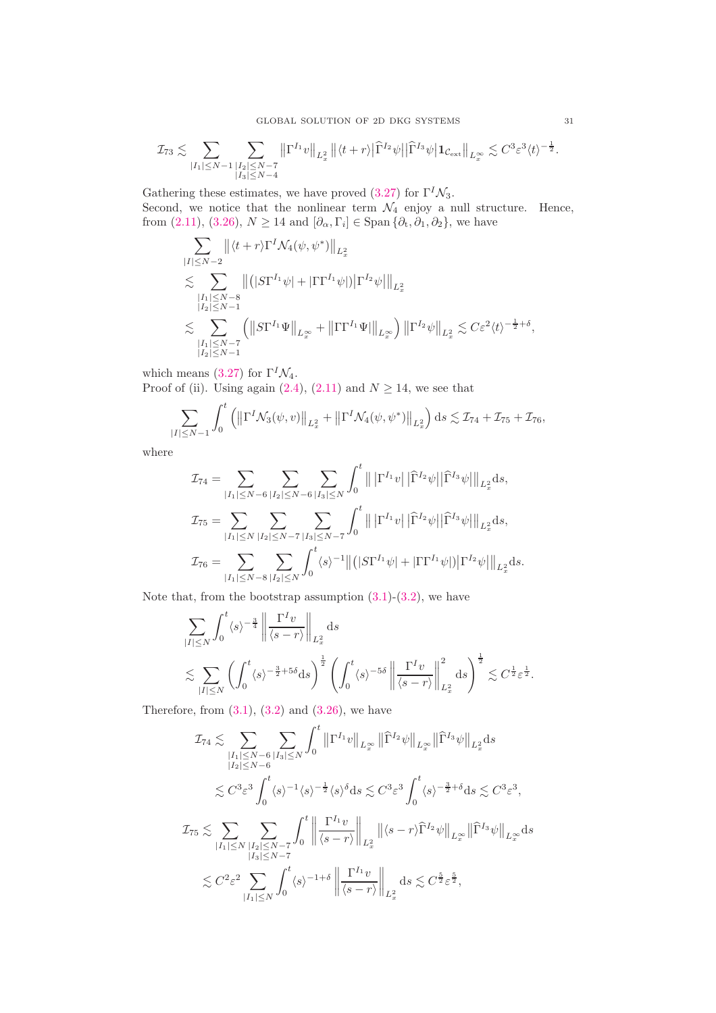$$
\mathcal{I}_{73} \lesssim \sum_{|I_{1}| \leq N-1} \sum_{\substack{|I_{2}| \leq N-7 \\ |I_{3}| \leq N-4}} \left\| \Gamma^{I_{1}} v \right\|_{L_{x}^{2}} \left\| \langle t+r \rangle \right| \widehat{\Gamma}^{I_{2}} \psi \left| \left| \widehat{\Gamma}^{I_{3}} \psi \right| \mathbf{1}_{\mathcal{C}_{\rm ext}} \right\|_{L_{x}^{\infty}} \lesssim C^{3} \varepsilon^{3} \langle t \rangle^{-\frac{1}{2}}.
$$

Gathering these estimates, we have proved [\(3.27\)](#page-29-0) for  $\Gamma^I \mathcal{N}_3$ . Second, we notice that the nonlinear term  $\mathcal{N}_4$  enjoy a null structure. Hence, from [\(2.11\)](#page-6-8), [\(3.26\)](#page-28-2),  $N \ge 14$  and  $[\partial_{\alpha}, \Gamma_i] \in \text{Span} \{ \partial_t, \partial_1, \partial_2 \}$ , we have

$$
\sum_{|I| \leq N-2} ||\langle t+r \rangle \Gamma^I \mathcal{N}_4(\psi, \psi^*)||_{L_x^2} \n\lesssim \sum_{\substack{|I_1| \leq N-8 \\ |I_2| \leq N-1}} ||(|S\Gamma^{I_1}\psi| + |\Gamma \Gamma^{I_1}\psi|)| \Gamma^{I_2}\psi||_{L_x^2} \n\lesssim \sum_{\substack{|I_1| \leq N-7 \\ |I_2| \leq N-1}} (||S\Gamma^{I_1}\Psi||_{L_x^{\infty}} + ||\Gamma \Gamma^{I_1}\Psi||_{L_x^{\infty}}) ||\Gamma^{I_2}\psi||_{L_x^2} \lesssim C \varepsilon^2 \langle t \rangle^{-\frac{1}{2}+\delta},
$$

which means [\(3.27\)](#page-29-0) for  $\Gamma^I \mathcal{N}_4$ . Proof of (ii). Using again [\(2.4\)](#page-6-3), [\(2.11\)](#page-6-8) and  $N \ge 14$ , we see that

$$
\sum_{|I| \le N-1} \int_0^t \left( \left\| \Gamma^I \mathcal{N}_3(\psi, v) \right\|_{L_x^2} + \left\| \Gamma^I \mathcal{N}_4(\psi, \psi^*) \right\|_{L_x^2} \right) ds \lesssim \mathcal{I}_{74} + \mathcal{I}_{75} + \mathcal{I}_{76},
$$

where

$$
\mathcal{I}_{74} = \sum_{|I_{1}| \leq N-6} \sum_{|I_{2}| \leq N-6} \sum_{|I_{3}| \leq N} \int_{0}^{t} \left\| \left| \Gamma^{I_{1}} v \right| \left| \widehat{\Gamma}^{I_{2}} \psi \right| \right\| \widehat{\Gamma}^{I_{3}} \psi \right\|_{L_{x}^{2}} ds,
$$
  

$$
\mathcal{I}_{75} = \sum_{|I_{1}| \leq N} \sum_{|I_{2}| \leq N-7} \sum_{|I_{3}| \leq N-7} \int_{0}^{t} \left\| \left| \Gamma^{I_{1}} v \right| \left| \widehat{\Gamma}^{I_{2}} \psi \right| \right\| \widehat{\Gamma}^{I_{3}} \psi \right\|_{L_{x}^{2}} ds,
$$
  

$$
\mathcal{I}_{76} = \sum_{|I_{1}| \leq N-8} \sum_{|I_{2}| \leq N} \int_{0}^{t} \langle s \rangle^{-1} \left\| \left( \left| S \Gamma^{I_{1}} \psi \right| + \left| \Gamma \Gamma^{I_{1}} \psi \right| \right) \right| \Gamma^{I_{2}} \psi \right\|_{L_{x}^{2}} ds.
$$

Note that, from the bootstrap assumption  $(3.1)-(3.2)$  $(3.1)-(3.2)$ , we have

$$
\sum_{|I| \le N} \int_0^t \langle s \rangle^{-\frac{3}{4}} \left\| \frac{\Gamma^I v}{\langle s - r \rangle} \right\|_{L_x^2} ds
$$
  

$$
\lesssim \sum_{|I| \le N} \left( \int_0^t \langle s \rangle^{-\frac{3}{2} + 5\delta} ds \right)^{\frac{1}{2}} \left( \int_0^t \langle s \rangle^{-5\delta} \left\| \frac{\Gamma^I v}{\langle s - r \rangle} \right\|_{L_x^2}^2 ds \right)^{\frac{1}{2}} \lesssim C^{\frac{1}{2}} \varepsilon^{\frac{1}{2}}.
$$

Therefore, from  $(3.1)$ ,  $(3.2)$  and  $(3.26)$ , we have

$$
\mathcal{I}_{74}\lesssim \sum_{\substack{|I_{1}|\leq N-6\\|I_{2}|\leq N-6}}\sum_{|I_{3}|\leq N}\int_{0}^{t}\left\|\Gamma^{I_{1}}v\right\|_{L^{\infty}_{x}}\left\|\widehat{\Gamma}^{I_{2}}\psi\right\|_{L^{\infty}_{x}}\left\|\widehat{\Gamma}^{I_{3}}\psi\right\|_{L^{2}_{x}}\mathrm{d}s
$$
\n
$$
\lesssim C^{3}\varepsilon^{3}\int_{0}^{t}\langle s\rangle^{-1}\langle s\rangle^{-\frac{1}{2}}\langle s\rangle^{\delta}\mathrm{d}s\lesssim C^{3}\varepsilon^{3}\int_{0}^{t}\langle s\rangle^{-\frac{3}{2}+\delta}\mathrm{d}s\lesssim C^{3}\varepsilon^{3},
$$
\n
$$
\mathcal{I}_{75}\lesssim \sum_{|I_{1}|\leq N}\sum_{\substack{|I_{2}|\leq N-7\\|I_{3}|\leq N-7}}\int_{0}^{t}\left\|\frac{\Gamma^{I_{1}}v}{\langle s-r\rangle}\right\|_{L^{2}_{x}}\left\|\langle s-r\rangle\widehat{\Gamma}^{I_{2}}\psi\right\|_{L^{\infty}_{x}}\left\|\widehat{\Gamma}^{I_{3}}\psi\right\|_{L^{\infty}_{x}}\mathrm{d}s
$$
\n
$$
\lesssim C^{2}\varepsilon^{2}\sum_{|I_{1}|\leq N}\int_{0}^{t}\langle s\rangle^{-1+\delta}\left\|\frac{\Gamma^{I_{1}}v}{\langle s-r\rangle}\right\|_{L^{2}_{x}}\mathrm{d}s\lesssim C^{\frac{5}{2}}\varepsilon^{\frac{5}{2}},
$$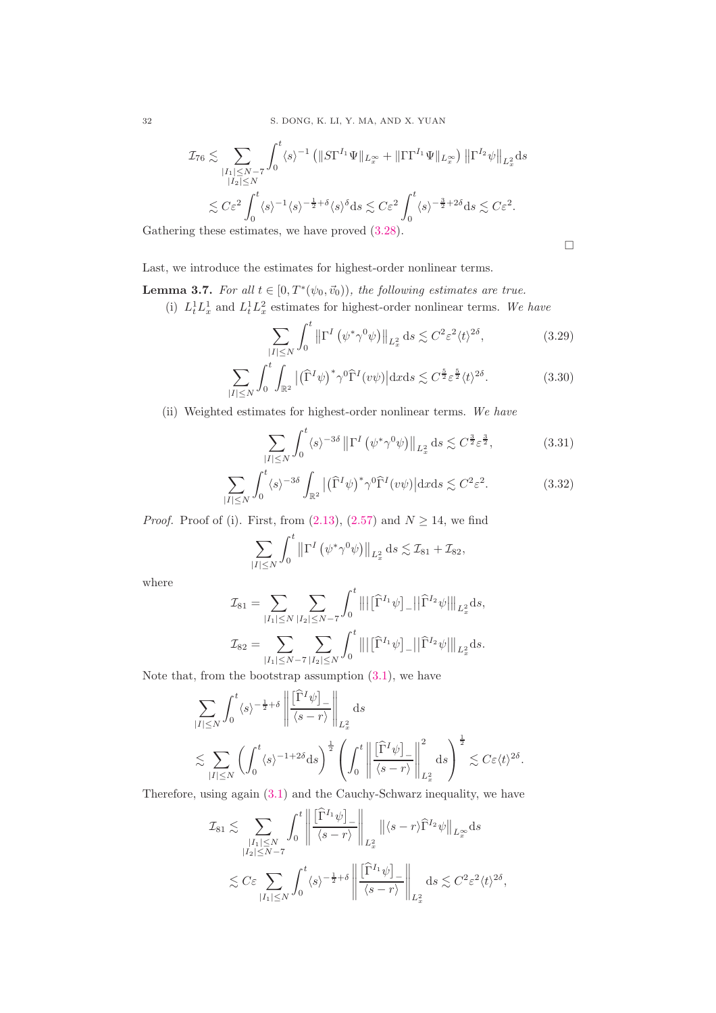32 S. DONG, K. LI, Y. MA, AND X. YUAN

$$
\mathcal{I}_{76} \lesssim \sum_{\substack{|I_1| \leq N-7 \\ |I_2| \leq N}} \int_0^t \langle s \rangle^{-1} \left( \| S\Gamma^{I_1} \Psi \|_{L_x^{\infty}} + \| \Gamma \Gamma^{I_1} \Psi \|_{L_x^{\infty}} \right) \left\| \Gamma^{I_2} \psi \right\|_{L_x^2} ds
$$
  

$$
\lesssim C \varepsilon^2 \int_0^t \langle s \rangle^{-1} \langle s \rangle^{-\frac{1}{2} + \delta} \langle s \rangle^{\delta} ds \lesssim C \varepsilon^2 \int_0^t \langle s \rangle^{-\frac{3}{2} + 2\delta} ds \lesssim C \varepsilon^2.
$$

Gathering these estimates, we have proved [\(3.28\)](#page-29-1).

<span id="page-31-4"></span><span id="page-31-3"></span><span id="page-31-2"></span><span id="page-31-1"></span> $\Box$ 

Last, we introduce the estimates for highest-order nonlinear terms.

- <span id="page-31-0"></span>**Lemma 3.7.** For all  $t \in [0, T^*(\psi_0, \vec{v}_0))$ , the following estimates are true.
	- (i)  $L_t^1 L_x^1$  and  $L_t^1 L_x^2$  estimates for highest-order nonlinear terms. We have

$$
\sum_{|I| \le N} \int_0^t \left\| \Gamma^I \left( \psi^* \gamma^0 \psi \right) \right\|_{L_x^2} ds \lesssim C^2 \varepsilon^2 \langle t \rangle^{2\delta},\tag{3.29}
$$

$$
\sum_{|I| \le N} \int_0^t \int_{\mathbb{R}^2} \left| \left( \widehat{\Gamma}^I \psi \right)^* \gamma^0 \widehat{\Gamma}^I(v\psi) \right| \mathrm{d}x \mathrm{d}s \lesssim C^{\frac{5}{2}} \varepsilon^{\frac{5}{2}} \langle t \rangle^{2\delta}.
$$
 (3.30)

(ii) Weighted estimates for highest-order nonlinear terms. We have

$$
\sum_{|I| \le N} \int_0^t \langle s \rangle^{-3\delta} \left\| \Gamma^I \left( \psi^* \gamma^0 \psi \right) \right\|_{L^2_x} ds \lesssim C^{\frac{3}{2}} \varepsilon^{\frac{3}{2}},\tag{3.31}
$$

$$
\sum_{|I| \le N} \int_0^t \langle s \rangle^{-3\delta} \int_{\mathbb{R}^2} \left| \left( \widehat{\Gamma}^I \psi \right)^* \gamma^0 \widehat{\Gamma}^I(v\psi) \right| \mathrm{d}x \mathrm{d}s \lesssim C^2 \varepsilon^2. \tag{3.32}
$$

*Proof.* Proof of (i). First, from  $(2.13)$ ,  $(2.57)$  and  $N \ge 14$ , we find

$$
\sum_{|I| \leq N} \int_0^t \left\| \Gamma^I \left( \psi^* \gamma^0 \psi \right) \right\|_{L^2_x} ds \lesssim \mathcal{I}_{81} + \mathcal{I}_{82},
$$

where

$$
\mathcal{I}_{81} = \sum_{|I_1| \le N} \sum_{|I_2| \le N-7} \int_0^t \left\| |\left[ \widehat{\Gamma}^{I_1} \psi \right]_{-} |\right| \widehat{\Gamma}^{I_2} \psi ||_{L_x^2} ds,
$$
  

$$
\mathcal{I}_{82} = \sum_{|I_1| \le N-7} \sum_{|I_2| \le N} \int_0^t \left\| |\left[ \widehat{\Gamma}^{I_1} \psi \right]_{-} |\right| \widehat{\Gamma}^{I_2} \psi ||_{L_x^2} ds.
$$

Note that, from the bootstrap assumption  $(3.1)$ , we have

$$
\sum_{|I| \le N} \int_0^t \langle s \rangle^{-\frac{1}{2} + \delta} \left\| \frac{\left[\widehat{\Gamma}^I \psi\right]_{-}}{\langle s - r \rangle} \right\|_{L_x^2} ds
$$
\n
$$
\lesssim \sum_{|I| \le N} \left( \int_0^t \langle s \rangle^{-1 + 2\delta} ds \right)^{\frac{1}{2}} \left( \int_0^t \left\| \frac{\left[\widehat{\Gamma}^I \psi\right]_{-}}{\langle s - r \rangle} \right\|_{L_x^2}^2 ds \right)^{\frac{1}{2}} \lesssim C\varepsilon \langle t \rangle^{2\delta}.
$$

Therefore, using again [\(3.1\)](#page-16-3) and the Cauchy-Schwarz inequality, we have

$$
\mathcal{I}_{81} \lesssim \sum_{\substack{|I_1| \leq N \\ |I_2| \leq N-7}} \int_0^t \left\| \frac{\left[\widehat{\Gamma}^{I_1} \psi \right]_{-}}{\langle s-r \rangle} \right\|_{L_x^2} \left\| \langle s-r \rangle \widehat{\Gamma}^{I_2} \psi \right\|_{L_x^{\infty}} ds
$$
  

$$
\lesssim C\varepsilon \sum_{|I_1| \leq N} \int_0^t \langle s \rangle^{-\frac{1}{2}+\delta} \left\| \frac{\left[\widehat{\Gamma}^{I_1} \psi \right]_{-}}{\langle s-r \rangle} \right\|_{L_x^2} ds \lesssim C^2 \varepsilon^2 \langle t \rangle^{2\delta},
$$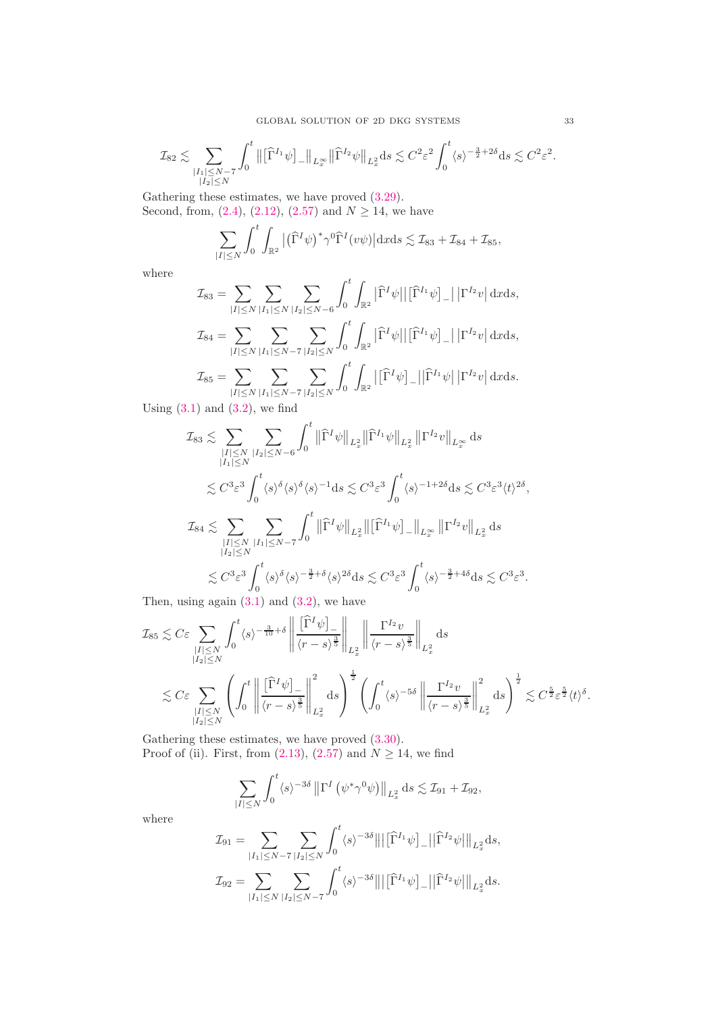$$
\mathcal{I}_{82} \lesssim \sum_{\substack{|I_1| \leq N-7 \\ |I_2| \leq N}} \int_0^t \big\| \big[ \widehat{\Gamma}^{I_1} \psi \big]_- \big\|_{L^\infty_x} \big\| \widehat{\Gamma}^{I_2} \psi \big\|_{L^2_x} \mathrm{d}s \lesssim C^2 \varepsilon^2 \int_0^t \langle s \rangle^{-\frac{3}{2}+2\delta} \mathrm{d}s \lesssim C^2 \varepsilon^2.
$$

Gathering these estimates, we have proved [\(3.29\)](#page-31-1). Second, from,  $(2.4)$ ,  $(2.12)$ ,  $(2.57)$  and  $N \ge 14$ , we have

$$
\sum_{|I|\leq N} \int_0^t \int_{\mathbb{R}^2} \left| \left( \widehat{\Gamma}^I \psi \right)^* \gamma^0 \widehat{\Gamma}^I(v\psi) \right| \mathrm{d}x \mathrm{d}s \lesssim \mathcal{I}_{83} + \mathcal{I}_{84} + \mathcal{I}_{85},
$$

where

$$
\mathcal{I}_{83} = \sum_{|I| \leq N} \sum_{|I_1| \leq N} \sum_{|I_2| \leq N-6} \int_0^t \int_{\mathbb{R}^2} |\hat{\Gamma}^I \psi| |[\hat{\Gamma}^{I_1} \psi]_-| |\Gamma^{I_2} v| \, \mathrm{d}x \mathrm{d}s,
$$
\n
$$
\mathcal{I}_{84} = \sum_{|I| \leq N} \sum_{|I_1| \leq N-7} \sum_{|I_2| \leq N} \int_0^t \int_{\mathbb{R}^2} |\hat{\Gamma}^I \psi| |[\hat{\Gamma}^{I_1} \psi]_-| |\Gamma^{I_2} v| \, \mathrm{d}x \mathrm{d}s,
$$
\n
$$
\mathcal{I}_{85} = \sum_{|I| \leq N} \sum_{|I_1| \leq N-7} \sum_{|I_2| \leq N} \int_0^t \int_{\mathbb{R}^2} |[\hat{\Gamma}^I \psi]_-| |\hat{\Gamma}^{I_1} \psi| |\Gamma^{I_2} v| \, \mathrm{d}x \mathrm{d}s.
$$

Using  $(3.1)$  and  $(3.2)$ , we find

$$
\mathcal{I}_{83} \lesssim \sum_{\substack{|I| \leq N \\ |I_1| \leq N}} \sum_{|I_2| \leq N-6} \int_0^t \left\| \widehat{\Gamma}^I \psi \right\|_{L_x^2} \left\| \widehat{\Gamma}^{I_1} \psi \right\|_{L_x^2} \left\| \Gamma^{I_2} v \right\|_{L_x^{\infty}} ds
$$
  
\n
$$
\lesssim C^3 \varepsilon^3 \int_0^t \langle s \rangle^{\delta} \langle s \rangle^{\delta} \langle s \rangle^{-1} ds \lesssim C^3 \varepsilon^3 \int_0^t \langle s \rangle^{-1+2\delta} ds \lesssim C^3 \varepsilon^3 \langle t \rangle^{2\delta},
$$
  
\n
$$
\mathcal{I}_{84} \lesssim \sum_{\substack{|I| \leq N \\ |I_2| \leq N}} \sum_{|I_1| \leq N-7} \int_0^t \left\| \widehat{\Gamma}^I \psi \right\|_{L_x^2} \left\| \left[ \widehat{\Gamma}^{I_1} \psi \right]_{-} \right\|_{L_x^{\infty}} \left\| \Gamma^{I_2} v \right\|_{L_x^2} ds
$$
  
\n
$$
\lesssim C^3 \varepsilon^3 \int_0^t \langle s \rangle^{\delta} \langle s \rangle^{-\frac{3}{2}+\delta} \langle s \rangle^{2\delta} ds \lesssim C^3 \varepsilon^3 \int_0^t \langle s \rangle^{-\frac{3}{2}+4\delta} ds \lesssim C^3 \varepsilon^3.
$$

Then, using again  $(3.1)$  and  $(3.2)$ , we have

$$
\mathcal{I}_{85} \lesssim C\varepsilon \sum_{\substack{|I| \le N \\ |I_2| \le N}} \int_0^t \langle s \rangle^{-\frac{3}{10}+\delta} \left\| \frac{[\widehat{\Gamma}^I \psi]_-}{\langle r - s \rangle^{\frac{3}{5}}} \right\|_{L_x^2} \left\| \frac{\Gamma^{I_2} v}{\langle r - s \rangle^{\frac{3}{5}}} \right\|_{L_x^2} ds
$$
\n
$$
\lesssim C\varepsilon \sum_{\substack{|I| \le N \\ |I_2| \le N}} \left( \int_0^t \left\| \frac{[\widehat{\Gamma}^I \psi]_-}{\langle r - s \rangle^{\frac{3}{5}}} \right\|_{L_x^2}^2 ds \right)^{\frac{1}{2}} \left( \int_0^t \langle s \rangle^{-5\delta} \left\| \frac{\Gamma^{I_2} v}{\langle r - s \rangle^{\frac{3}{5}}} \right\|_{L_x^2}^2 ds \right)^{\frac{1}{2}} \lesssim C^{\frac{5}{2}} \varepsilon^{\frac{5}{2}} \langle t \rangle^{\delta}.
$$

Gathering these estimates, we have proved [\(3.30\)](#page-31-2). Proof of (ii). First, from [\(2.13\)](#page-7-1), [\(2.57\)](#page-16-2) and  $N \ge 14$ , we find

$$
\sum_{|I|\leq N} \int_0^t \langle s \rangle^{-3\delta} \left\| \Gamma^I \left( \psi^* \gamma^0 \psi \right) \right\|_{L^2_x} ds \lesssim \mathcal{I}_{91} + \mathcal{I}_{92},
$$

where

$$
\mathcal{I}_{91} = \sum_{|I_{1}| \leq N-7} \sum_{|I_{2}| \leq N} \int_{0}^{t} \langle s \rangle^{-3\delta} ||| \left[ \widehat{\Gamma}^{I_{1}} \psi \right]_{-} || \widehat{\Gamma}^{I_{2}} \psi |||_{L_{x}^{2}} ds,
$$
  

$$
\mathcal{I}_{92} = \sum_{|I_{1}| \leq N} \sum_{|I_{2}| \leq N-7} \int_{0}^{t} \langle s \rangle^{-3\delta} ||| \left[ \widehat{\Gamma}^{I_{1}} \psi \right]_{-} || \widehat{\Gamma}^{I_{2}} \psi |||_{L_{x}^{2}} ds.
$$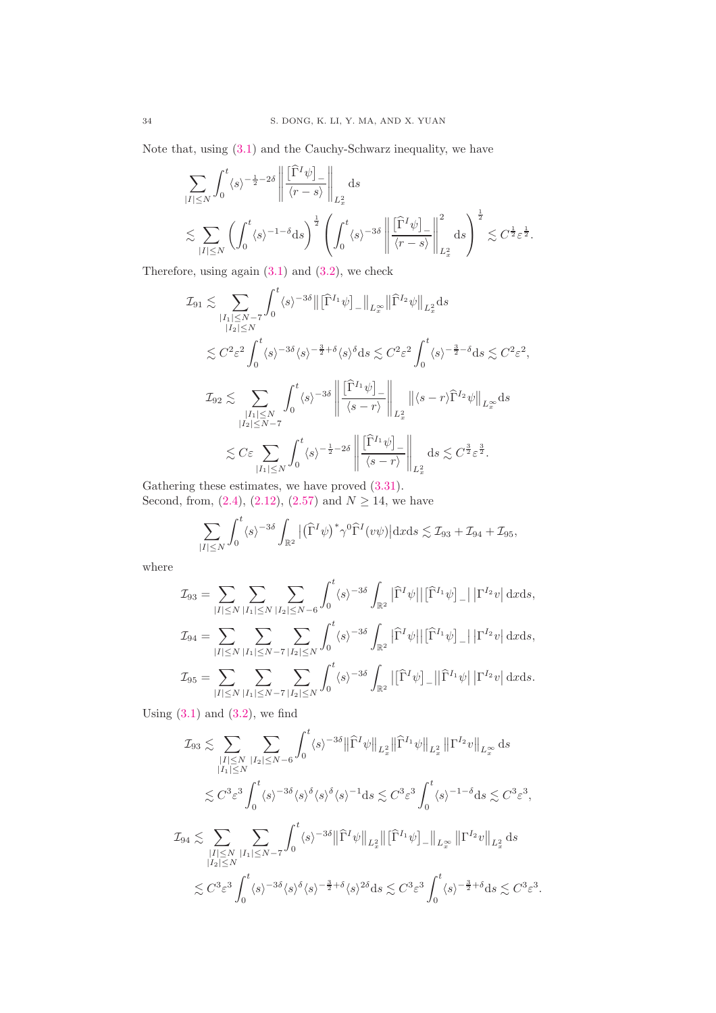Note that, using [\(3.1\)](#page-16-3) and the Cauchy-Schwarz inequality, we have

$$
\begin{split} & \sum_{|I| \leq N} \int_0^t \langle s \rangle^{-\frac{1}{2} - 2\delta} \left\| \frac{[\widehat{\Gamma}^I \psi ]_-}{\langle r - s \rangle} \right\|_{L_x^2} \mathrm{d}s \\ & \lesssim \sum_{|I| \leq N} \left( \int_0^t \langle s \rangle^{-1-\delta} \mathrm{d}s \right)^{\frac{1}{2}} \left( \int_0^t \langle s \rangle^{-3\delta} \left\| \frac{[\widehat{\Gamma}^I \psi ]_-}{\langle r - s \rangle} \right\|_{L_x^2}^2 \mathrm{d}s \right)^{\frac{1}{2}} \lesssim C^{\frac{1}{2}} \varepsilon^{\frac{1}{2}}. \end{split}
$$

Therefore, using again [\(3.1\)](#page-16-3) and [\(3.2\)](#page-17-1), we check

$$
\mathcal{I}_{91} \lesssim \sum_{\substack{|I_{1}| \leq N-7 \\ |I_{2}| \leq N}} \int_{0}^{t} \langle s \rangle^{-3\delta} \|\left[\widehat{\Gamma}^{I_{1}} \psi\right]_{-} \|\mathbf{L}_{x}^{\infty}\| \widehat{\Gamma}^{I_{2}} \psi\|_{L_{x}^{2}} ds
$$
\n
$$
\lesssim C^{2} \varepsilon^{2} \int_{0}^{t} \langle s \rangle^{-3\delta} \langle s \rangle^{-\frac{3}{2}+\delta} \langle s \rangle^{\delta} ds \lesssim C^{2} \varepsilon^{2} \int_{0}^{t} \langle s \rangle^{-\frac{3}{2}-\delta} ds \lesssim C^{2} \varepsilon^{2},
$$
\n
$$
\mathcal{I}_{92} \lesssim \sum_{\substack{|I_{1}| \leq N \\ |I_{2}| \leq N-7}} \int_{0}^{t} \langle s \rangle^{-3\delta} \left\| \frac{\left[\widehat{\Gamma}^{I_{1}} \psi\right]_{-}}{\langle s-r \rangle} \right\|_{L_{x}^{2}} \|\langle s-r \rangle \widehat{\Gamma}^{I_{2}} \psi\|_{L_{x}^{\infty}} ds
$$
\n
$$
\lesssim C \varepsilon \sum_{|I_{1}| \leq N} \int_{0}^{t} \langle s \rangle^{-\frac{1}{2}-2\delta} \left\| \frac{\left[\widehat{\Gamma}^{I_{1}} \psi\right]_{-}}{\langle s-r \rangle} \right\|_{L_{x}^{2}} ds \lesssim C^{\frac{3}{2}} \varepsilon^{\frac{3}{2}}.
$$

Gathering these estimates, we have proved [\(3.31\)](#page-31-3). Second, from, [\(2.4\)](#page-6-3), [\(2.12\)](#page-7-0), [\(2.57\)](#page-16-2) and  $N \ge 14$ , we have

$$
\sum_{|I| \le N} \int_0^t \langle s \rangle^{-3\delta} \int_{\mathbb{R}^2} \left| \left( \widehat{\Gamma}^I \psi \right)^* \gamma^0 \widehat{\Gamma}^I(v\psi) \right| \mathrm{d}x \mathrm{d}s \lesssim \mathcal{I}_{93} + \mathcal{I}_{94} + \mathcal{I}_{95},
$$

where

$$
\mathcal{I}_{93} = \sum_{|I| \leq N} \sum_{|I_1| \leq N} \sum_{|I_2| \leq N-6} \int_0^t \langle s \rangle^{-3\delta} \int_{\mathbb{R}^2} |\hat{\Gamma}^I \psi| |[\hat{\Gamma}^{I_1} \psi]_-| |\Gamma^{I_2} v| \, \mathrm{d}x \mathrm{d}s,
$$
  

$$
\mathcal{I}_{94} = \sum_{|I| \leq N} \sum_{|I_1| \leq N-7} \sum_{|I_2| \leq N} \int_0^t \langle s \rangle^{-3\delta} \int_{\mathbb{R}^2} |\hat{\Gamma}^I \psi| |[\hat{\Gamma}^{I_1} \psi]_-| |\Gamma^{I_2} v| \, \mathrm{d}x \mathrm{d}s,
$$
  

$$
\mathcal{I}_{95} = \sum_{|I| \leq N} \sum_{|I_1| \leq N-7} \sum_{|I_2| \leq N} \int_0^t \langle s \rangle^{-3\delta} \int_{\mathbb{R}^2} |[\hat{\Gamma}^I \psi]_-| |\hat{\Gamma}^{I_1} \psi| |\Gamma^{I_2} v| \, \mathrm{d}x \mathrm{d}s.
$$

Using  $(3.1)$  and  $(3.2)$ , we find

$$
\mathcal{I}_{93} \lesssim \sum_{\substack{|I| \le N \\ |I_1| \le N}} \sum_{|I_2| \le N - 6} \int_0^t \langle s \rangle^{-3\delta} \left\| \widehat{\Gamma}^I \psi \right\|_{L_x^2} \left\| \widehat{\Gamma}^{I_1} \psi \right\|_{L_x^2} \left\| \Gamma^{I_2} v \right\|_{L_x^{\infty}} ds
$$
  

$$
\lesssim C^3 \varepsilon^3 \int_0^t \langle s \rangle^{-3\delta} \langle s \rangle^{\delta} \langle s \rangle^{-1} ds \lesssim C^3 \varepsilon^3 \int_0^t \langle s \rangle^{-1-\delta} ds \lesssim C^3 \varepsilon^3,
$$
  

$$
\mathcal{I}_{94} \lesssim \sum_{\substack{|I| \le N \\ |I_2| \le N}} \sum_{|I_1| \le N - 7} \int_0^t \langle s \rangle^{-3\delta} \left\| \widehat{\Gamma}^I \psi \right\|_{L_x^2} \left\| \left[ \widehat{\Gamma}^{I_1} \psi \right]_{-} \right\|_{L_x^{\infty}} \left\| \Gamma^{I_2} v \right\|_{L_x^2} ds
$$
  

$$
\lesssim C^3 \varepsilon^3 \int_0^t \langle s \rangle^{-3\delta} \langle s \rangle^{\delta} \langle s \rangle^{-\frac{3}{2} + \delta} \langle s \rangle^{2\delta} ds \lesssim C^3 \varepsilon^3 \int_0^t \langle s \rangle^{-\frac{3}{2} + \delta} ds \lesssim C^3 \varepsilon^3.
$$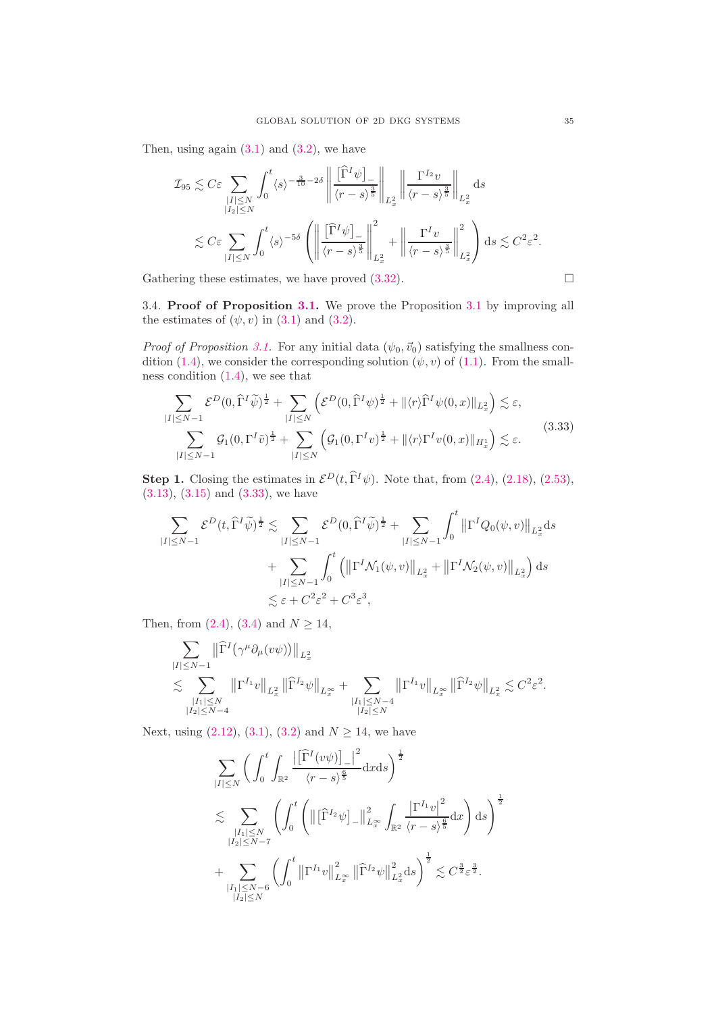Then, using again  $(3.1)$  and  $(3.2)$ , we have

$$
\mathcal{I}_{95} \lesssim C\varepsilon \sum_{\substack{|I| \le N \\ |I_2| \le N}} \int_0^t \langle s \rangle^{-\frac{3}{10}-2\delta} \left\| \frac{\left[\widehat{\Gamma}^I \psi \right]_{-}}{\langle r - s \rangle^{\frac{3}{5}}} \right\|_{L_x^2} \left\| \frac{\Gamma^{I_2} v}{\langle r - s \rangle^{\frac{3}{5}}} \right\|_{L_x^2} ds
$$
  

$$
\lesssim C\varepsilon \sum_{|I| \le N} \int_0^t \langle s \rangle^{-5\delta} \left( \left\| \frac{\left[\widehat{\Gamma}^I \psi \right]_{-}}{\langle r - s \rangle^{\frac{3}{5}}} \right\|_{L_x^2}^2 + \left\| \frac{\Gamma^I v}{\langle r - s \rangle^{\frac{3}{5}}} \right\|_{L_x^2}^2 \right) ds \lesssim C^2 \varepsilon^2.
$$

Gathering these estimates, we have proved  $(3.32)$ .  $\Box$ 

<span id="page-34-0"></span>3.4. Proof of Proposition [3.1.](#page-17-2) We prove the Proposition [3.1](#page-17-2) by improving all the estimates of  $(\psi, v)$  in  $(3.1)$  and  $(3.2)$ .

*Proof of Proposition [3.1.](#page-17-2)* For any initial data  $(\psi_0, \vec{v}_0)$  satisfying the smallness con-dition [\(1.4\)](#page-1-3), we consider the corresponding solution  $(\psi, v)$  of [\(1.1\)](#page-0-0). From the smallness condition  $(1.4)$ , we see that

<span id="page-34-1"></span>
$$
\sum_{|I| \le N-1} \mathcal{E}^{D}(0, \widehat{\Gamma}^{I} \widetilde{\psi})^{\frac{1}{2}} + \sum_{|I| \le N} \left( \mathcal{E}^{D}(0, \widehat{\Gamma}^{I} \psi)^{\frac{1}{2}} + \| \langle r \rangle \widehat{\Gamma}^{I} \psi(0, x) \|_{L_{x}^{2}} \right) \lesssim \varepsilon,
$$
\n
$$
\sum_{|I| \le N-1} \mathcal{G}_{1}(0, \Gamma^{I} \widetilde{\nu})^{\frac{1}{2}} + \sum_{|I| \le N} \left( \mathcal{G}_{1}(0, \Gamma^{I} \nu)^{\frac{1}{2}} + \| \langle r \rangle \Gamma^{I} v(0, x) \|_{H_{x}^{1}} \right) \lesssim \varepsilon.
$$
\n(3.33)

**Step 1.** Closing the estimates in  $\mathcal{E}^D(t, \hat{\Gamma}^I \psi)$ . Note that, from [\(2.4\)](#page-6-3), [\(2.18\)](#page-8-2), [\(2.53\)](#page-15-1), [\(3.13\)](#page-19-1), [\(3.15\)](#page-22-0) and [\(3.33\)](#page-34-1), we have

$$
\sum_{|I| \leq N-1} \mathcal{E}^{D}(t, \widehat{\Gamma}^{I} \widetilde{\psi})^{\frac{1}{2}} \lesssim \sum_{|I| \leq N-1} \mathcal{E}^{D}(0, \widehat{\Gamma}^{I} \widetilde{\psi})^{\frac{1}{2}} + \sum_{|I| \leq N-1} \int_{0}^{t} \left\| \Gamma^{I} Q_{0}(\psi, v) \right\|_{L_{x}^{2}} ds
$$
  
+ 
$$
\sum_{|I| \leq N-1} \int_{0}^{t} \left( \left\| \Gamma^{I} \mathcal{N}_{1}(\psi, v) \right\|_{L_{x}^{2}} + \left\| \Gamma^{I} \mathcal{N}_{2}(\psi, v) \right\|_{L_{x}^{2}} \right) ds
$$
  

$$
\lesssim \varepsilon + C^{2} \varepsilon^{2} + C^{3} \varepsilon^{3},
$$

Then, from  $(2.4)$ ,  $(3.4)$  and  $N \ge 14$ ,

$$
\begin{split} & \sum_{|I| \leq N-1} \big\| \widehat{\Gamma}^I \big( \gamma^\mu \partial_\mu (v \psi) \big) \big\|_{L^2_x} \\ & \lesssim \sum_{\substack{|I_1| \leq N \\ |I_2| \leq N-4}} \big\| \Gamma^{I_1} v \big\|_{L^2_x} \, \big\| \widehat{\Gamma}^{I_2} \psi \big\|_{L^\infty_x} + \sum_{\substack{|I_1| \leq N-4 \\ |I_2| \leq N}} \big\| \Gamma^{I_1} v \big\|_{L^\infty_x} \, \big\| \widehat{\Gamma}^{I_2} \psi \big\|_{L^2_x} \lesssim C^2 \varepsilon^2. \end{split}
$$

Next, using  $(2.12)$ ,  $(3.1)$ ,  $(3.2)$  and  $N \ge 14$ , we have

$$
\sum_{|I| \leq N} \left( \int_0^t \int_{\mathbb{R}^2} \frac{\left| \left[ \widehat{\Gamma}^I(v\psi) \right]_{-} \right|^2}{\langle r - s \rangle^{\frac{6}{5}}} dx ds \right)^{\frac{1}{2}} \n\lesssim \sum_{\substack{|I_1| \leq N \\ |I_2| \leq N - 7}} \left( \int_0^t \left( \left\| \left[ \widehat{\Gamma}^{I_2}\psi \right]_{-} \right\|_{L_x^\infty}^2 \int_{\mathbb{R}^2} \frac{\left| \Gamma^{I_1}v \right|^2}{\langle r - s \rangle^{\frac{6}{5}}} dx \right) ds \right)^{\frac{1}{2}} \n+ \sum_{\substack{|I_1| \leq N - 6 \\ |I_2| \leq N}} \left( \int_0^t \left\| \Gamma^{I_1}v \right\|_{L_x^\infty}^2 \left\| \widehat{\Gamma}^{I_2}\psi \right\|_{L_x^2}^2 ds \right)^{\frac{1}{2}} \lesssim C^{\frac{3}{2}} \varepsilon^{\frac{3}{2}}.
$$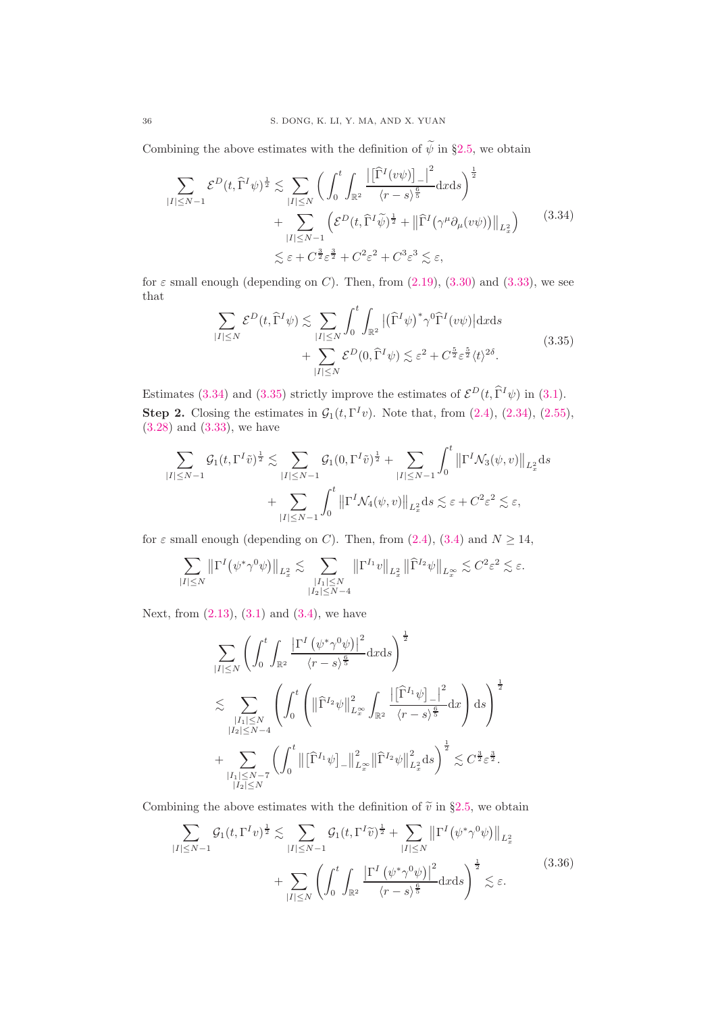Combining the above estimates with the definition of  $\widetilde{\psi}$  in §[2.5,](#page-15-7) we obtain

<span id="page-35-0"></span>
$$
\sum_{|I| \le N-1} \mathcal{E}^{D}(t, \widehat{\Gamma}^{I} \psi)^{\frac{1}{2}} \lesssim \sum_{|I| \le N} \left( \int_{0}^{t} \int_{\mathbb{R}^{2}} \frac{\left| \widehat{\Gamma}^{I}(v\psi) \right|_{-} \right|^{2}}{\langle r - s \rangle^{\frac{6}{5}}} dx ds \right)^{\frac{1}{2}} + \sum_{|I| \le N-1} \left( \mathcal{E}^{D}(t, \widehat{\Gamma}^{I} \widetilde{\psi})^{\frac{1}{2}} + \left\| \widehat{\Gamma}^{I}(\gamma^{\mu} \partial_{\mu}(v\psi)) \right\|_{L_{x}^{2}} \right) \lesssim \varepsilon + C^{\frac{3}{2}} \varepsilon^{\frac{3}{2}} + C^{2} \varepsilon^{2} + C^{3} \varepsilon^{3} \lesssim \varepsilon,
$$
\n(3.34)

for  $\varepsilon$  small enough (depending on C). Then, from [\(2.19\)](#page-8-3), [\(3.30\)](#page-31-2) and [\(3.33\)](#page-34-1), we see that

<span id="page-35-1"></span>
$$
\sum_{|I| \le N} \mathcal{E}^D(t, \widehat{\Gamma}^I \psi) \lesssim \sum_{|I| \le N} \int_0^t \int_{\mathbb{R}^2} |(\widehat{\Gamma}^I \psi)^* \gamma^0 \widehat{\Gamma}^I(v\psi)| \, \mathrm{d}x \mathrm{d}s
$$
\n
$$
+ \sum_{|I| \le N} \mathcal{E}^D(0, \widehat{\Gamma}^I \psi) \lesssim \varepsilon^2 + C^{\frac{5}{2}} \varepsilon^{\frac{5}{2}} \langle t \rangle^{2\delta}.
$$
\n
$$
(3.35)
$$

Estimates [\(3.34\)](#page-35-0) and [\(3.35\)](#page-35-1) strictly improve the estimates of  $\mathcal{E}^D(t, \hat{\Gamma}^I \psi)$  in [\(3.1\)](#page-16-3). **Step 2.** Closing the estimates in  $\mathcal{G}_1(t, \Gamma^I v)$ . Note that, from [\(2.4\)](#page-6-3), [\(2.34\)](#page-11-1), [\(2.55\)](#page-15-4), [\(3.28\)](#page-29-1) and [\(3.33\)](#page-34-1), we have

$$
\sum_{|I| \le N-1} \mathcal{G}_1(t, \Gamma^I \tilde{v})^{\frac{1}{2}} \lesssim \sum_{|I| \le N-1} \mathcal{G}_1(0, \Gamma^I \tilde{v})^{\frac{1}{2}} + \sum_{|I| \le N-1} \int_0^t \left\| \Gamma^I \mathcal{N}_3(\psi, v) \right\|_{L_x^2} ds
$$
  
+ 
$$
\sum_{|I| \le N-1} \int_0^t \left\| \Gamma^I \mathcal{N}_4(\psi, v) \right\|_{L_x^2} ds \lesssim \varepsilon + C^2 \varepsilon^2 \lesssim \varepsilon,
$$

for  $\varepsilon$  small enough (depending on C). Then, from [\(2.4\)](#page-6-3), [\(3.4\)](#page-17-6) and  $N \ge 14$ ,

$$
\sum_{|I|\leq N}\left\|\Gamma^I\big(\psi^*\gamma^0\psi\big)\right\|_{L^2_x}\lesssim\sum_{\substack{|I_1|\leq N\\ |I_2|\leq N-4}}\left\|\Gamma^{I_1}v\right\|_{L^2_x}\left\|\widehat{\Gamma}^{I_2}\psi\right\|_{L^\infty_x}\lesssim C^2\varepsilon^2\lesssim\varepsilon.
$$

Next, from  $(2.13)$ ,  $(3.1)$  and  $(3.4)$ , we have

$$
\begin{split} & \sum_{|I|\leq N} \left(\int_0^t \int_{\mathbb{R}^2} \frac{\left|\Gamma^I\left(\psi^*\gamma^0\psi\right)\right|^2}{\langle r-s\rangle^{\frac{6}{5}}} \mathrm{d}x\mathrm{d}s\right)^{\frac{1}{2}} \\ & \lesssim \sum_{\substack{|I_1|\leq N\\ |I_2|\leq N-4}} \left(\int_0^t \left(\left\|\widehat{\Gamma}^{I_2}\psi\right\|_{L^\infty_x}^2 \int_{\mathbb{R}^2} \frac{\left|\widehat{\Gamma}^{I_1}\psi\right|_{-}\right|^2}{\langle r-s\rangle^{\frac{6}{5}}} \mathrm{d}x\right) \mathrm{d}s\right)^{\frac{1}{2}} \\ & + \sum_{\substack{|I_1|\leq N-7\\ |I_2|\leq N}} \left(\int_0^t \left\|\widehat{\Gamma}^{I_1}\psi\right_{-}\right\|_{L^\infty_x}^2 \left\|\widehat{\Gamma}^{I_2}\psi\right\|_{L^2_x}^2 \mathrm{d}s\right)^{\frac{1}{2}} \lesssim C^{\frac{3}{2}}\varepsilon^{\frac{3}{2}}. \end{split}
$$

Combining the above estimates with the definition of  $\tilde{v}$  in §[2.5,](#page-15-7) we obtain

<span id="page-35-2"></span>
$$
\sum_{|I| \le N-1} \mathcal{G}_1(t, \Gamma^I v)^{\frac{1}{2}} \lesssim \sum_{|I| \le N-1} \mathcal{G}_1(t, \Gamma^I \widetilde{v})^{\frac{1}{2}} + \sum_{|I| \le N} \left\| \Gamma^I \left( \psi^* \gamma^0 \psi \right) \right\|_{L_x^2}
$$

$$
+ \sum_{|I| \le N} \left( \int_0^t \int_{\mathbb{R}^2} \frac{\left| \Gamma^I \left( \psi^* \gamma^0 \psi \right) \right|^2}{\langle r - s \rangle^{\frac{6}{5}}} dx ds \right)^{\frac{1}{2}} \lesssim \varepsilon. \tag{3.36}
$$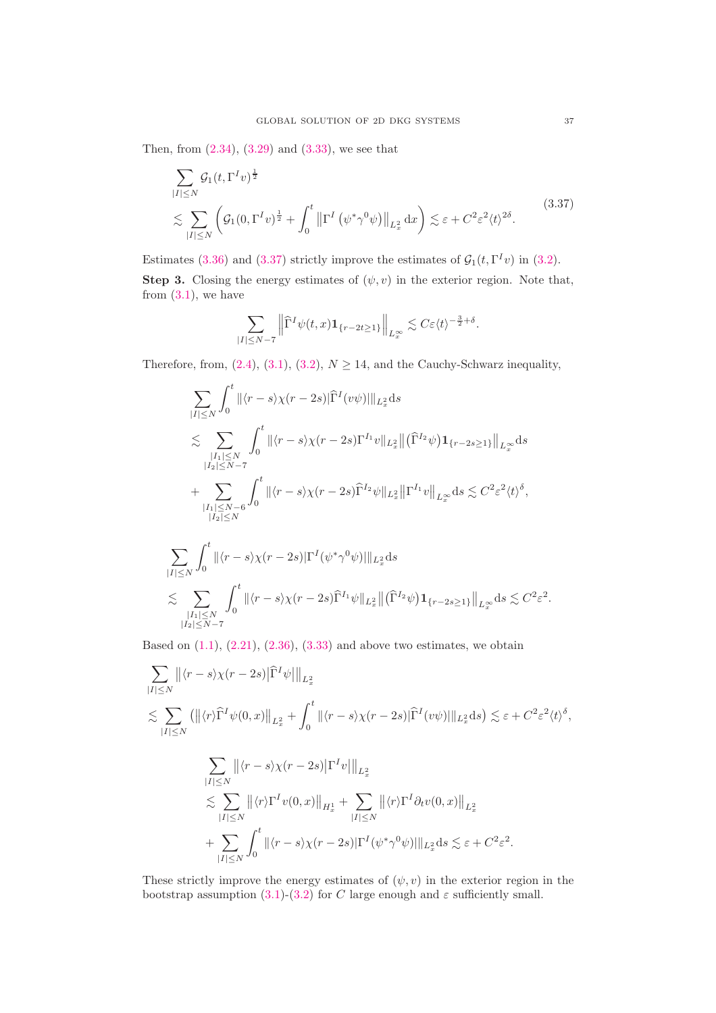Then, from [\(2.34\)](#page-11-1), [\(3.29\)](#page-31-1) and [\(3.33\)](#page-34-1), we see that

<span id="page-36-0"></span>
$$
\sum_{|I| \le N} \mathcal{G}_1(t, \Gamma^I v)^{\frac{1}{2}}
$$
\n
$$
\lesssim \sum_{|I| \le N} \left( \mathcal{G}_1(0, \Gamma^I v)^{\frac{1}{2}} + \int_0^t \left\| \Gamma^I \left( \psi^* \gamma^0 \psi \right) \right\|_{L_x^2} dx \right) \lesssim \varepsilon + C^2 \varepsilon^2 \langle t \rangle^{2\delta}.
$$
\n(3.37)

Estimates [\(3.36\)](#page-35-2) and [\(3.37\)](#page-36-0) strictly improve the estimates of  $\mathcal{G}_1(t, \Gamma^I v)$  in [\(3.2\)](#page-17-1). Step 3. Closing the energy estimates of  $(\psi, v)$  in the exterior region. Note that, from  $(3.1)$ , we have

$$
\sum_{|I|\leq N-7}\left\|\widehat{\Gamma}^I\psi(t,x)\mathbf{1}_{\{r-2t\geq 1\}}\right\|_{L^\infty_x}\lesssim C\varepsilon\langle t\rangle^{-\frac{3}{2}+\delta}.
$$

Therefore, from, [\(2.4\)](#page-6-3), [\(3.1\)](#page-16-3), [\(3.2\)](#page-17-1),  $N \ge 14$ , and the Cauchy-Schwarz inequality,

$$
\sum_{|I| \leq N} \int_0^t \|\langle r - s \rangle \chi(r - 2s)| \widehat{\Gamma}^I(v\psi) \|_{L_x^2} ds
$$
\n
$$
\lesssim \sum_{\substack{|I_1| \leq N \\ |I_2| \leq N-7}} \int_0^t \|\langle r - s \rangle \chi(r - 2s) \Gamma^{I_1} v \|_{L_x^2} \| (\widehat{\Gamma}^{I_2} \psi) \mathbf{1}_{\{r - 2s \geq 1\}} \|_{L_x^{\infty}} ds
$$
\n
$$
+ \sum_{\substack{|I_1| \leq N-6 \\ |I_2| \leq N}} \int_0^t \|\langle r - s \rangle \chi(r - 2s) \widehat{\Gamma}^{I_2} \psi \|_{L_x^2} \| \Gamma^{I_1} v \|_{L_x^{\infty}} ds \lesssim C^2 \varepsilon^2 \langle t \rangle^{\delta},
$$
\n
$$
\sum_{|I| \leq N} \int_0^t \|\langle r - s \rangle \chi(r - 2s) |\Gamma^I(\psi^* \gamma^0 \psi)| \|_{L_x^2} ds
$$
\n
$$
\lesssim \sum_{|I_1| \leq N} \int_0^t \|\langle r - s \rangle \chi(r - 2s) \widehat{\Gamma}^{I_1} \psi \|_{L_x^2} \| (\widehat{\Gamma}^{I_2} \psi) \mathbf{1}_{\{r - 2s \geq 1\}} \|_{L_x^{\infty}} ds \lesssim C^2 \varepsilon^2.
$$

Based on  $(1.1)$ ,  $(2.21)$ ,  $(2.36)$ ,  $(3.33)$  and above two estimates, we obtain

 $|I_1| \le N$ <br> $|I_2| \le N-7$ 

$$
\sum_{|I| \le N} ||\langle r - s \rangle \chi(r - 2s) | \hat{\Gamma}^{I} \psi ||_{L_{x}^{2}}
$$
\n
$$
\lesssim \sum_{|I| \le N} (||\langle r \rangle \hat{\Gamma}^{I} \psi(0, x) ||_{L_{x}^{2}} + \int_{0}^{t} ||\langle r - s \rangle \chi(r - 2s) | \hat{\Gamma}^{I} (v\psi) ||_{L_{x}^{2}} ds) \lesssim \varepsilon + C^{2} \varepsilon^{2} \langle t \rangle^{\delta},
$$
\n
$$
\sum_{|I| \le N} ||\langle r - s \rangle \chi(r - 2s) | \Gamma^{I} v ||_{L_{x}^{2}}
$$
\n
$$
\lesssim \sum_{|I| \le N} ||\langle r \rangle \Gamma^{I} v(0, x) ||_{H_{x}^{1}} + \sum_{|I| \le N} ||\langle r \rangle \Gamma^{I} \partial_{t} v(0, x) ||_{L_{x}^{2}}
$$
\n
$$
+ \sum_{|I| \le N} \int_{0}^{t} ||\langle r - s \rangle \chi(r - 2s) | \Gamma^{I} (\psi^{*} \gamma^{0} \psi) ||_{L_{x}^{2}} ds \lesssim \varepsilon + C^{2} \varepsilon^{2}.
$$

These strictly improve the energy estimates of  $(\psi, v)$  in the exterior region in the bootstrap assumption [\(3.1\)](#page-16-3)-[\(3.2\)](#page-17-1) for C large enough and  $\varepsilon$  sufficiently small.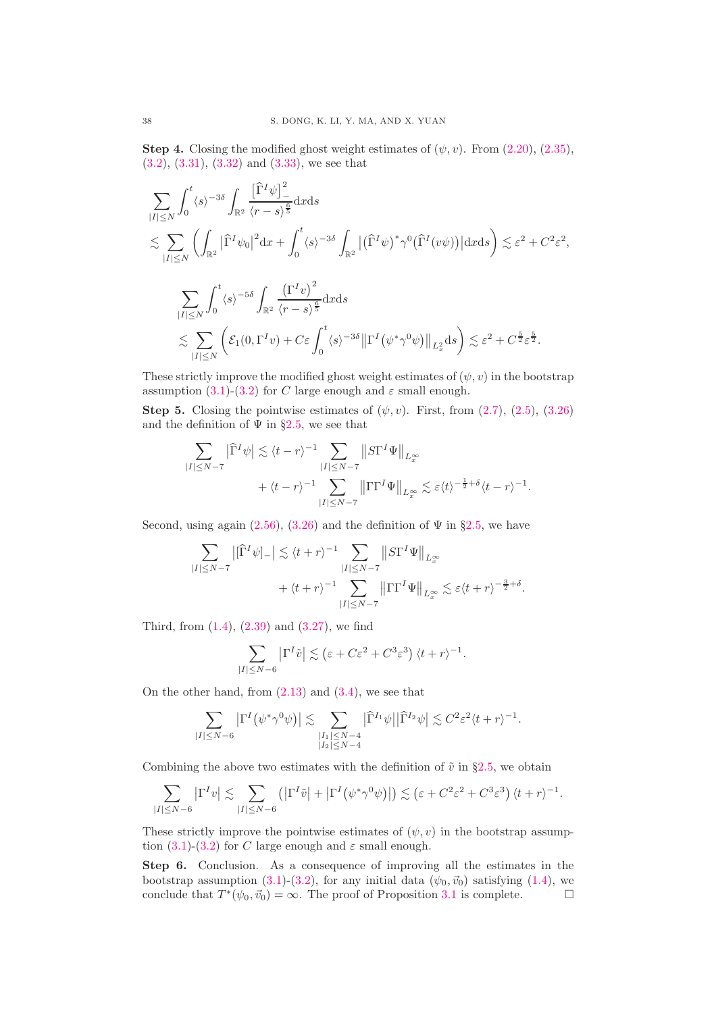**Step 4.** Closing the modified ghost weight estimates of  $(\psi, v)$ . From  $(2.20)$ ,  $(2.35)$ , [\(3.2\)](#page-17-1), [\(3.31\)](#page-31-3), [\(3.32\)](#page-31-4) and [\(3.33\)](#page-34-1), we see that

$$
\sum_{|I| \leq N} \int_0^t \langle s \rangle^{-3\delta} \int_{\mathbb{R}^2} \frac{\left[\widehat{\Gamma}^I \psi\right]_{-}}{\langle r - s \rangle^{\frac{5}{5}}} dx ds
$$
\n
$$
\lesssim \sum_{|I| \leq N} \left( \int_{\mathbb{R}^2} \left| \widehat{\Gamma}^I \psi_0 \right|^2 dx + \int_0^t \langle s \rangle^{-3\delta} \int_{\mathbb{R}^2} \left| \left(\widehat{\Gamma}^I \psi \right)^* \gamma^0 (\widehat{\Gamma}^I (v\psi)) \right| dx ds \right) \lesssim \varepsilon^2 + C^2 \varepsilon^2,
$$
\n
$$
\sum_{|I| \leq N} \int_0^t \langle s \rangle^{-5\delta} \int_{\mathbb{R}^2} \frac{\left(\Gamma^I v\right)^2}{\langle r - s \rangle^{\frac{6}{5}}} dx ds
$$
\n
$$
\lesssim \sum_{|I| \leq N} \left( \mathcal{E}_1 (0, \Gamma^I v) + C \varepsilon \int_0^t \langle s \rangle^{-3\delta} \left\| \Gamma^I (\psi^* \gamma^0 \psi) \right\|_{L_x^2} ds \right) \lesssim \varepsilon^2 + C^{\frac{5}{2}} \varepsilon^{\frac{5}{2}}.
$$

These strictly improve the modified ghost weight estimates of  $(\psi, v)$  in the bootstrap assumption [\(3.1\)](#page-16-3)-[\(3.2\)](#page-17-1) for C large enough and  $\varepsilon$  small enough.

Step 5. Closing the pointwise estimates of  $(\psi, v)$ . First, from  $(2.7)$ ,  $(2.5)$ ,  $(3.26)$ and the definition of  $\Psi$  in §[2.5,](#page-15-7) we see that

$$
\begin{split} \sum_{|I|\leq N-7} \big|\widehat{\Gamma}^I\psi\big| &\lesssim \langle t-r\rangle^{-1} \sum_{|I|\leq N-7}\big\|S\Gamma^I\Psi\big\|_{L^\infty_x}\\ &\quad + \langle t-r\rangle^{-1} \sum_{|I|\leq N-7}\big\|\Gamma\Gamma^I\Psi\big\|_{L^\infty_x} \lesssim \varepsilon \langle t\rangle^{-\frac{1}{2}+\delta} \langle t-r\rangle^{-1}. \end{split}
$$

Second, using again [\(2.56\)](#page-15-5), [\(3.26\)](#page-28-2) and the definition of  $\Psi$  in §[2.5,](#page-15-7) we have

$$
\sum_{|I| \le N-7} |[\widehat{\Gamma}^I \psi]_ - | \lesssim \langle t + r \rangle^{-1} \sum_{|I| \le N-7} ||S\Gamma^I \Psi||_{L^\infty_x}
$$
  
 
$$
+ \langle t + r \rangle^{-1} \sum_{|I| \le N-7} ||\Gamma \Gamma^I \Psi||_{L^\infty_x} \lesssim \varepsilon \langle t + r \rangle^{-\frac{3}{2}+\delta}.
$$

Third, from [\(1.4\)](#page-1-3), [\(2.39\)](#page-12-2) and [\(3.27\)](#page-29-0), we find

$$
\sum_{|I|\leq N-6} \left|\Gamma^I\tilde v\right|\lesssim \left(\varepsilon + C\varepsilon^2 + C^3\varepsilon^3\right)\langle t+r\rangle^{-1}.
$$

On the other hand, from  $(2.13)$  and  $(3.4)$ , we see that

$$
\sum_{|I|\leq N-6} \left|\Gamma^I(\psi^*\gamma^0\psi)\right| \lesssim \sum_{\substack{|I_1|\leq N-4\\|I_2|\leq N-4}} \left|\widehat{\Gamma}^{I_1}\psi\right| \left|\widehat{\Gamma}^{I_2}\psi\right| \lesssim C^2 \varepsilon^2 \langle t+r\rangle^{-1}.
$$

Combining the above two estimates with the definition of  $\tilde{v}$  in §[2.5,](#page-15-7) we obtain

$$
\sum_{|I|\leq N-6}\left|\Gamma^{I}v\right|\lesssim \sum_{|I|\leq N-6}\left(\left|\Gamma^{I}\tilde{v}\right|+\left|\Gamma^{I}\big(\psi^{*}\gamma^{0}\psi\big)\right|\right)\lesssim \left(\varepsilon+C^{2}\varepsilon^{2}+C^{3}\varepsilon^{3}\right)\langle t+r\rangle^{-1}.
$$

These strictly improve the pointwise estimates of  $(\psi, v)$  in the bootstrap assump-tion [\(3.1\)](#page-16-3)-[\(3.2\)](#page-17-1) for C large enough and  $\varepsilon$  small enough.

Step 6. Conclusion. As a consequence of improving all the estimates in the bootstrap assumption [\(3.1\)](#page-16-3)-[\(3.2\)](#page-17-1), for any initial data  $(\psi_0, \vec{v}_0)$  satisfying [\(1.4\)](#page-1-3), we conclude that  $T^*(\psi_0, \vec{v}_0) = \infty$ . The proof of Proposition [3.1](#page-17-2) is complete.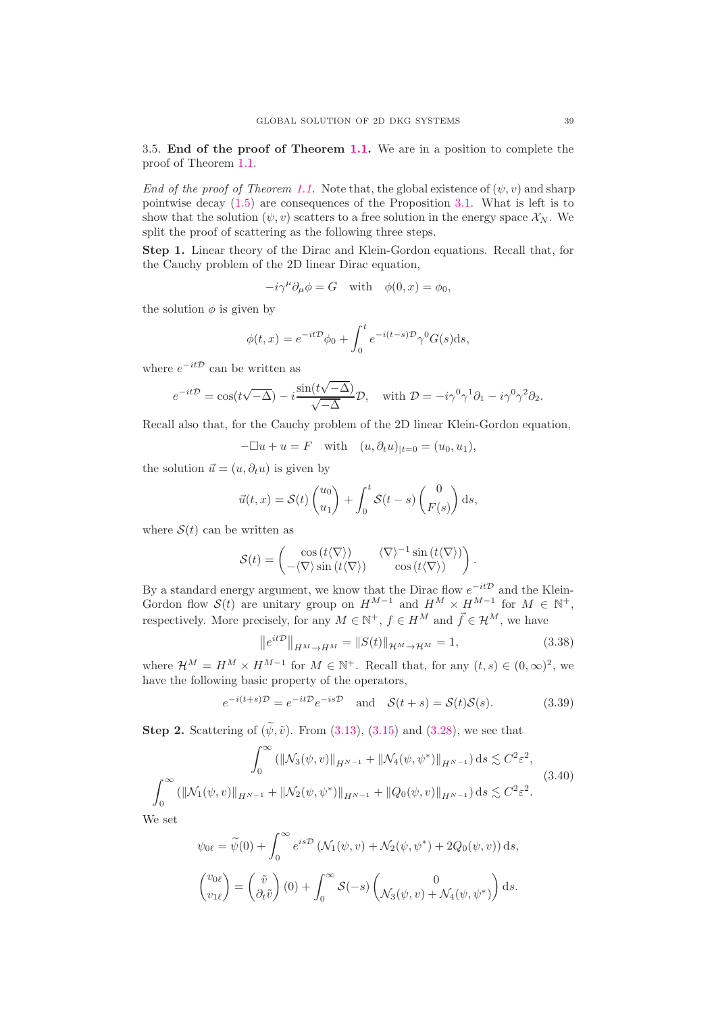<span id="page-38-0"></span>3.5. End of the proof of Theorem [1.1.](#page-1-2) We are in a position to complete the proof of Theorem [1.1.](#page-1-2)

End of the proof of Theorem [1.1.](#page-1-2) Note that, the global existence of  $(\psi, v)$  and sharp pointwise decay [\(1.5\)](#page-1-0) are consequences of the Proposition [3.1.](#page-17-2) What is left is to show that the solution  $(\psi, v)$  scatters to a free solution in the energy space  $\mathcal{X}_N$ . We split the proof of scattering as the following three steps.

Step 1. Linear theory of the Dirac and Klein-Gordon equations. Recall that, for the Cauchy problem of the 2D linear Dirac equation,

 $-i\gamma^{\mu}\partial_{\mu}\phi = G$  with  $\phi(0, x) = \phi_0$ ,

the solution  $\phi$  is given by

$$
\phi(t,x) = e^{-it\mathcal{D}}\phi_0 + \int_0^t e^{-i(t-s)\mathcal{D}}\gamma^0 G(s)ds,
$$

where  $e^{-it\mathcal{D}}$  can be written as

$$
e^{-it\mathcal{D}} = \cos(t\sqrt{-\Delta}) - i\frac{\sin(t\sqrt{-\Delta})}{\sqrt{-\Delta}}\mathcal{D}, \text{ with } \mathcal{D} = -i\gamma^0\gamma^1\partial_1 - i\gamma^0\gamma^2\partial_2.
$$

Recall also that, for the Cauchy problem of the 2D linear Klein-Gordon equation,

$$
-\Box u + u = F \quad \text{with} \quad (u, \partial_t u)_{|t=0} = (u_0, u_1),
$$

the solution  $\vec{u} = (u, \partial_t u)$  is given by

$$
\vec{u}(t,x) = \mathcal{S}(t) \begin{pmatrix} u_0 \\ u_1 \end{pmatrix} + \int_0^t \mathcal{S}(t-s) \begin{pmatrix} 0 \\ F(s) \end{pmatrix} ds,
$$

where  $S(t)$  can be written as

$$
\mathcal{S}(t) = \begin{pmatrix} \cos(t\langle \nabla \rangle) & \langle \nabla \rangle^{-1} \sin(t\langle \nabla \rangle) \\ -\langle \nabla \rangle \sin(t\langle \nabla \rangle) & \cos(t\langle \nabla \rangle) \end{pmatrix}.
$$

By a standard energy argument, we know that the Dirac flow  $e^{-it\mathcal{D}}$  and the Klein-Gordon flow  $\mathcal{S}(t)$  are unitary group on  $H^{M-1}$  and  $H^M \times H^{M-1}$  for  $M \in \mathbb{N}^+$ , respectively. More precisely, for any  $M \in \mathbb{N}^+$ ,  $f \in H^M$  and  $\vec{f} \in \mathcal{H}^M$ , we have

<span id="page-38-1"></span>
$$
\left\|e^{it\mathcal{D}}\right\|_{H^M \to H^M} = \|S(t)\|_{\mathcal{H}^M \to \mathcal{H}^M} = 1,\tag{3.38}
$$

where  $\mathcal{H}^M = H^M \times H^{M-1}$  for  $M \in \mathbb{N}^+$ . Recall that, for any  $(t, s) \in (0, \infty)^2$ , we have the following basic property of the operators,

<span id="page-38-2"></span>
$$
e^{-i(t+s)\mathcal{D}} = e^{-it\mathcal{D}} e^{-is\mathcal{D}}
$$
 and  $\mathcal{S}(t+s) = \mathcal{S}(t)\mathcal{S}(s)$ . (3.39)

Step 2. Scattering of  $(\tilde{\psi}, \tilde{v})$ . From [\(3.13\)](#page-19-1), [\(3.15\)](#page-22-0) and [\(3.28\)](#page-29-1), we see that

<span id="page-38-3"></span>
$$
\int_0^\infty (\|\mathcal{N}_3(\psi, v)\|_{H^{N-1}} + \|\mathcal{N}_4(\psi, \psi^*)\|_{H^{N-1}}) ds \lesssim C^2 \varepsilon^2,
$$
  

$$
\int_0^\infty (\|\mathcal{N}_1(\psi, v)\|_{H^{N-1}} + \|\mathcal{N}_2(\psi, \psi^*)\|_{H^{N-1}} + \|Q_0(\psi, v)\|_{H^{N-1}}) ds \lesssim C^2 \varepsilon^2.
$$
\n(3.40)

We set

$$
\psi_{0\ell} = \tilde{\psi}(0) + \int_0^{\infty} e^{is\mathcal{D}} \left( \mathcal{N}_1(\psi, v) + \mathcal{N}_2(\psi, \psi^*) + 2Q_0(\psi, v) \right) ds,
$$

$$
\begin{pmatrix} v_{0\ell} \\ v_{1\ell} \end{pmatrix} = \begin{pmatrix} \tilde{v} \\ \partial_t \tilde{v} \end{pmatrix} (0) + \int_0^{\infty} \mathcal{S}(-s) \begin{pmatrix} 0 \\ \mathcal{N}_3(\psi, v) + \mathcal{N}_4(\psi, \psi^*) \end{pmatrix} ds.
$$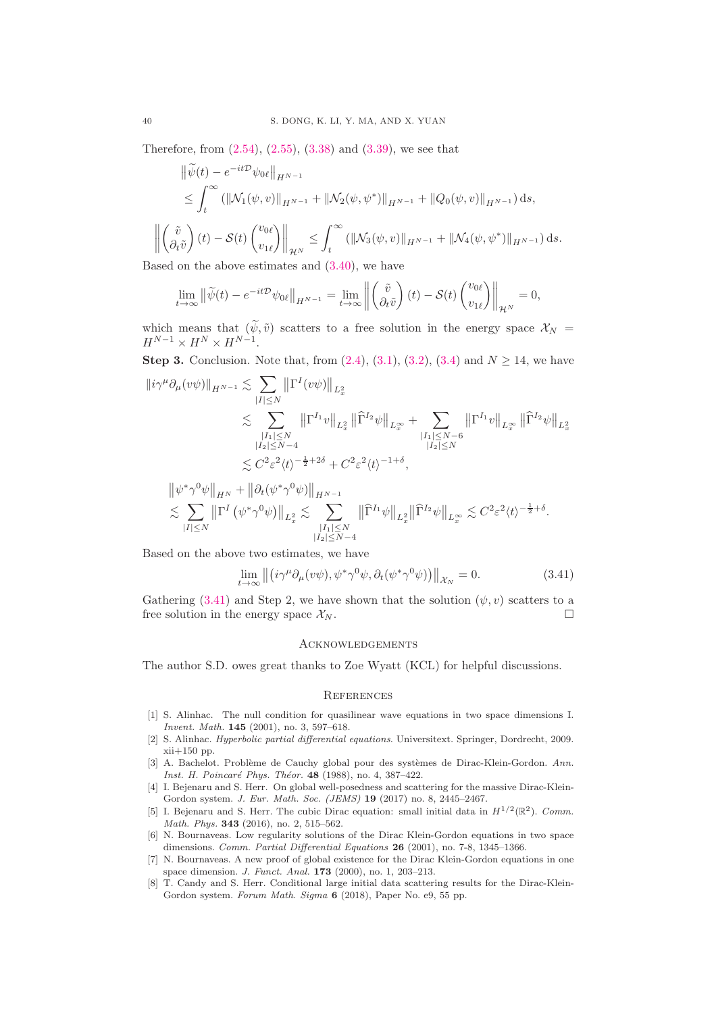Therefore, from [\(2.54\)](#page-15-3), [\(2.55\)](#page-15-4), [\(3.38\)](#page-38-1) and [\(3.39\)](#page-38-2), we see that

$$
\begin{aligned}\n\|\widetilde{\psi}(t) - e^{-it\mathcal{D}} \psi_{0\ell}\|_{H^{N-1}} \\
&\leq \int_{t}^{\infty} \left( \|\mathcal{N}_{1}(\psi, v)\|_{H^{N-1}} + \|\mathcal{N}_{2}(\psi, \psi^{*})\|_{H^{N-1}} + \|Q_{0}(\psi, v)\|_{H^{N-1}} \right) ds, \\
\left\|\left(\frac{\widetilde{v}}{\partial_{t}\widetilde{v}}\right)(t) - \mathcal{S}(t) \begin{pmatrix}v_{0\ell} \\ v_{1\ell}\end{pmatrix}\right\|_{\mathcal{H}^{N}} &\leq \int_{t}^{\infty} \left( \|\mathcal{N}_{3}(\psi, v)\|_{H^{N-1}} + \|\mathcal{N}_{4}(\psi, \psi^{*})\|_{H^{N-1}} \right) ds.\n\end{aligned}
$$

Based on the above estimates and [\(3.40\)](#page-38-3), we have

$$
\lim_{t \to \infty} \left\| \widetilde{\psi}(t) - e^{-it\mathcal{D}} \psi_{0\ell} \right\|_{H^{N-1}} = \lim_{t \to \infty} \left\| \begin{pmatrix} \widetilde{v} \\ \partial_t \widetilde{v} \end{pmatrix} (t) - \mathcal{S}(t) \begin{pmatrix} v_{0\ell} \\ v_{1\ell} \end{pmatrix} \right\|_{\mathcal{H}^N} = 0,
$$

which means that  $(\psi, \tilde{v})$  scatters to a free solution in the energy space  $\mathcal{X}_N =$  $H^{N-1} \times H^N \times H^{N-1}.$ 

**Step 3.** Conclusion. Note that, from  $(2.4)$ ,  $(3.1)$ ,  $(3.2)$ ,  $(3.4)$  and  $N \ge 14$ , we have

$$
\|i\gamma^{\mu}\partial_{\mu}(v\psi)\|_{H^{N-1}} \lesssim \sum_{|I| \leq N} \|\Gamma^{I}(v\psi)\|_{L_{x}^{2}}\n\lesssim \sum_{\substack{|I_{1}| \leq N \\ |I_{2}| \leq N-4}} \|\Gamma^{I_{1}}v\|_{L_{x}^{2}} \|\widehat{\Gamma}^{I_{2}}\psi\|_{L_{x}^{\infty}} + \sum_{\substack{|I_{1}| \leq N-6 \\ |I_{2}| \leq N}} \|\Gamma^{I_{1}}v\|_{L_{x}^{\infty}} \|\widehat{\Gamma}^{I_{2}}\psi\|_{L_{x}^{2}}\n\lesssim C^{2}\varepsilon^{2}\langle t \rangle^{-\frac{1}{2}+2\delta} + C^{2}\varepsilon^{2}\langle t \rangle^{-1+\delta},\n\|\psi^{*}\gamma^{0}\psi\|_{H^{N}} + \|\partial_{t}(\psi^{*}\gamma^{0}\psi)\|_{H^{N-1}}
$$

$$
\lesssim \sum_{|I| \leq N} \|\Gamma^I \left( \psi^* \gamma^0 \psi \right) \|_{L^2_x} \lesssim \sum_{\substack{|I_1| \leq N \\ |I_2| \leq N-4}} \|\widehat{\Gamma}^{I_1} \psi \|_{L^2_x} \|\widehat{\Gamma}^{I_2} \psi \|_{L^\infty_x} \lesssim C^2 \varepsilon^2 \langle t \rangle^{-\frac{1}{2}+\delta}.
$$

Based on the above two estimates, we have

<span id="page-39-8"></span>
$$
\lim_{t \to \infty} \left\| \left( i\gamma^{\mu} \partial_{\mu} (v\psi), \psi^* \gamma^0 \psi, \partial_t (\psi^* \gamma^0 \psi) \right) \right\|_{\mathcal{X}_N} = 0. \tag{3.41}
$$

Gathering [\(3.41\)](#page-39-8) and Step 2, we have shown that the solution  $(\psi, v)$  scatters to a free solution in the energy space  $\mathcal{X}_N$ .

### Acknowledgements

The author S.D. owes great thanks to Zoe Wyatt (KCL) for helpful discussions.

#### **REFERENCES**

- <span id="page-39-6"></span>[1] S. Alinhac. The null condition for quasilinear wave equations in two space dimensions I. Invent. Math. 145 (2001), no. 3, 597–618.
- <span id="page-39-7"></span>[2] S. Alinhac. Hyperbolic partial differential equations. Universitext. Springer, Dordrecht, 2009.  $xii+150$  pp.
- <span id="page-39-1"></span>[3] A. Bachelot. Problème de Cauchy global pour des systèmes de Dirac-Klein-Gordon. Ann. Inst. H. Poincaré Phys. Théor. 48 (1988), no. 4, 387-422.
- <span id="page-39-2"></span>[4] I. Bejenaru and S. Herr. On global well-posedness and scattering for the massive Dirac-Klein-Gordon system. J. Eur. Math. Soc. (JEMS) 19 (2017) no. 8, 2445–2467.
- <span id="page-39-4"></span>[5] I. Bejenaru and S. Herr. The cubic Dirac equation: small initial data in  $H^{1/2}(\mathbb{R}^2)$ . Comm. Math. Phys. **343** (2016), no. 2, 515-562.
- <span id="page-39-0"></span>[6] N. Bournaveas. Low regularity solutions of the Dirac Klein-Gordon equations in two space dimensions. Comm. Partial Differential Equations 26 (2001), no. 7-8, 1345-1366.
- <span id="page-39-3"></span>[7] N. Bournaveas. A new proof of global existence for the Dirac Klein-Gordon equations in one space dimension. J. Funct. Anal. 173 (2000), no. 1, 203–213.
- <span id="page-39-5"></span>[8] T. Candy and S. Herr. Conditional large initial data scattering results for the Dirac-Klein-Gordon system. Forum Math. Sigma 6 (2018), Paper No. e9, 55 pp.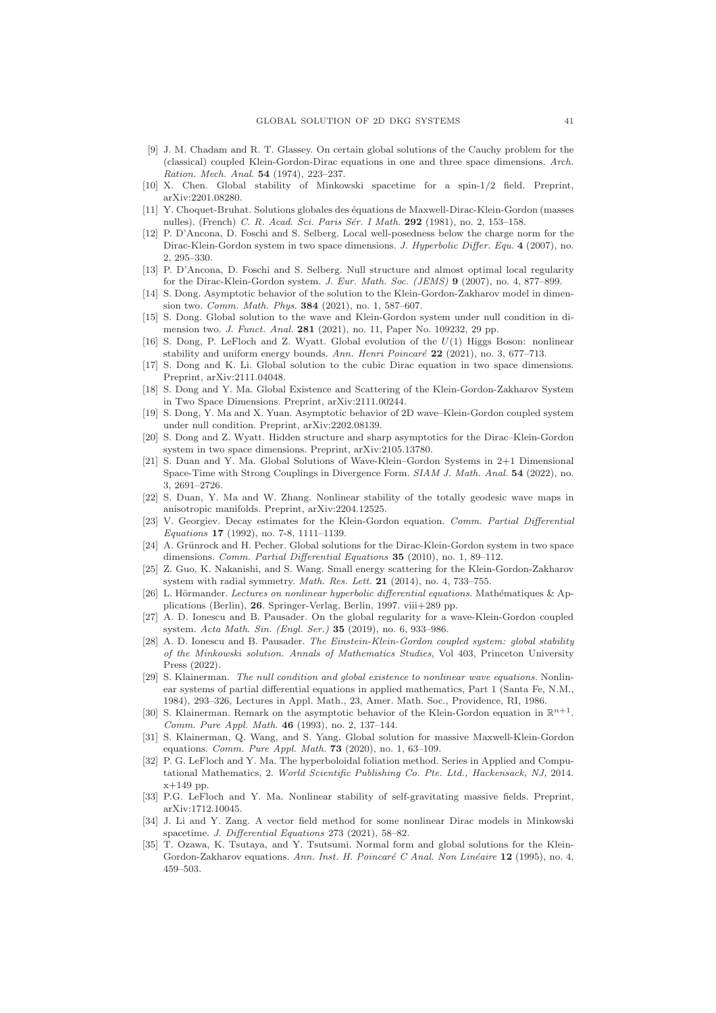- <span id="page-40-2"></span>[9] J. M. Chadam and R. T. Glassey. On certain global solutions of the Cauchy problem for the (classical) coupled Klein-Gordon-Dirac equations in one and three space dimensions. Arch. Ration. Mech. Anal. 54 (1974), 223–237.
- <span id="page-40-11"></span><span id="page-40-3"></span>[10] X. Chen. Global stability of Minkowski spacetime for a spin-1/2 field. Preprint, arXiv:2201.08280.
- [11] Y. Choquet-Bruhat. Solutions globales des ´equations de Maxwell-Dirac-Klein-Gordon (masses nulles). (French) C. R. Acad. Sci. Paris Sér. I Math. 292 (1981), no. 2, 153–158.
- <span id="page-40-5"></span>[12] P. D'Ancona, D. Foschi and S. Selberg. Local well-posedness below the charge norm for the Dirac-Klein-Gordon system in two space dimensions. J. Hyperbolic Differ. Equ. 4 (2007), no. 2, 295–330.
- <span id="page-40-4"></span>[13] P. D'Ancona, D. Foschi and S. Selberg. Null structure and almost optimal local regularity for the Dirac-Klein-Gordon system. J. Eur. Math. Soc. (JEMS) 9 (2007), no. 4, 877–899.
- <span id="page-40-8"></span>[14] S. Dong. Asymptotic behavior of the solution to the Klein-Gordon-Zakharov model in dimension two. Comm. Math. Phys. 384 (2021), no. 1, 587–607.
- <span id="page-40-20"></span>[15] S. Dong. Global solution to the wave and Klein-Gordon system under null condition in dimension two. J. Funct. Anal. 281 (2021), no. 11, Paper No. 109232, 29 pp.
- <span id="page-40-12"></span>[16] S. Dong, P. LeFloch and Z. Wyatt. Global evolution of the  $U(1)$  Higgs Boson: nonlinear stability and uniform energy bounds. Ann. Henri Poincaré  $22$  (2021), no. 3, 677–713.
- <span id="page-40-13"></span>[17] S. Dong and K. Li. Global solution to the cubic Dirac equation in two space dimensions. Preprint, arXiv:2111.04048.
- <span id="page-40-10"></span>[18] S. Dong and Y. Ma. Global Existence and Scattering of the Klein-Gordon-Zakharov System in Two Space Dimensions. Preprint, arXiv:2111.00244.
- <span id="page-40-21"></span>[19] S. Dong, Y. Ma and X. Yuan. Asymptotic behavior of 2D wave–Klein-Gordon coupled system under null condition. Preprint, arXiv:2202.08139.
- <span id="page-40-1"></span>[20] S. Dong and Z. Wyatt. Hidden structure and sharp asymptotics for the Dirac–Klein-Gordon system in two space dimensions. Preprint, arXiv:2105.13780.
- <span id="page-40-9"></span>[21] S. Duan and Y. Ma. Global Solutions of Wave-Klein–Gordon Systems in 2+1 Dimensional Space-Time with Strong Couplings in Divergence Form. SIAM J. Math. Anal. 54 (2022), no. 3, 2691–2726.
- <span id="page-40-14"></span>[22] S. Duan, Y. Ma and W. Zhang. Nonlinear stability of the totally geodesic wave maps in anisotropic manifolds. Preprint, arXiv:2204.12525.
- <span id="page-40-23"></span>[23] V. Georgiev. Decay estimates for the Klein-Gordon equation. Comm. Partial Differential Equations 17 (1992), no. 7-8, 1111–1139.
- <span id="page-40-0"></span>[24] A. Grünrock and H. Pecher. Global solutions for the Dirac-Klein-Gordon system in two space dimensions. Comm. Partial Differential Equations 35 (2010), no. 1, 89-112.
- <span id="page-40-7"></span>[25] Z. Guo, K. Nakanishi, and S. Wang. Small energy scattering for the Klein-Gordon-Zakharov system with radial symmetry. Math. Res. Lett. 21 (2014), no. 4, 733–755.
- <span id="page-40-25"></span> $[26]$  L. Hörmander. Lectures on nonlinear hyperbolic differential equations. Mathématiques & Applications (Berlin), 26. Springer-Verlag, Berlin, 1997. viii+289 pp.
- <span id="page-40-15"></span>[27] A. D. Ionescu and B. Pausader. On the global regularity for a wave-Klein-Gordon coupled system. Acta Math. Sin. (Engl. Ser.) 35 (2019), no. 6, 933–986.
- <span id="page-40-16"></span>[28] A. D. Ionescu and B. Pausader. The Einstein-Klein-Gordon coupled system: global stability of the Minkowski solution. Annals of Mathematics Studies, Vol 403, Princeton University Press (2022).
- <span id="page-40-22"></span>[29] S. Klainerman. The null condition and global existence to nonlinear wave equations. Nonlinear systems of partial differential equations in applied mathematics, Part 1 (Santa Fe, N.M., 1984), 293–326, Lectures in Appl. Math., 23, Amer. Math. Soc., Providence, RI, 1986.
- <span id="page-40-26"></span>[30] S. Klainerman. Remark on the asymptotic behavior of the Klein-Gordon equation in  $\mathbb{R}^{n+1}$ . Comm. Pure Appl. Math. 46 (1993), no. 2, 137–144.
- <span id="page-40-17"></span>[31] S. Klainerman, Q. Wang, and S. Yang. Global solution for massive Maxwell-Klein-Gordon equations. Comm. Pure Appl. Math. 73 (2020), no. 1, 63–109.
- <span id="page-40-24"></span>[32] P. G. LeFloch and Y. Ma. The hyperboloidal foliation method. Series in Applied and Computational Mathematics, 2. World Scientific Publishing Co. Pte. Ltd., Hackensack, NJ, 2014.  $x+149$  pp.
- <span id="page-40-18"></span>[33] P.G. LeFloch and Y. Ma. Nonlinear stability of self-gravitating massive fields. Preprint, arXiv:1712.10045.
- <span id="page-40-19"></span>[34] J. Li and Y. Zang. A vector field method for some nonlinear Dirac models in Minkowski spacetime. J. Differential Equations 273 (2021), 58–82.
- <span id="page-40-6"></span>[35] T. Ozawa, K. Tsutaya, and Y. Tsutsumi. Normal form and global solutions for the Klein-Gordon-Zakharov equations. Ann. Inst. H. Poincaré C Anal. Non Linéaire 12 (1995), no. 4, 459–503.